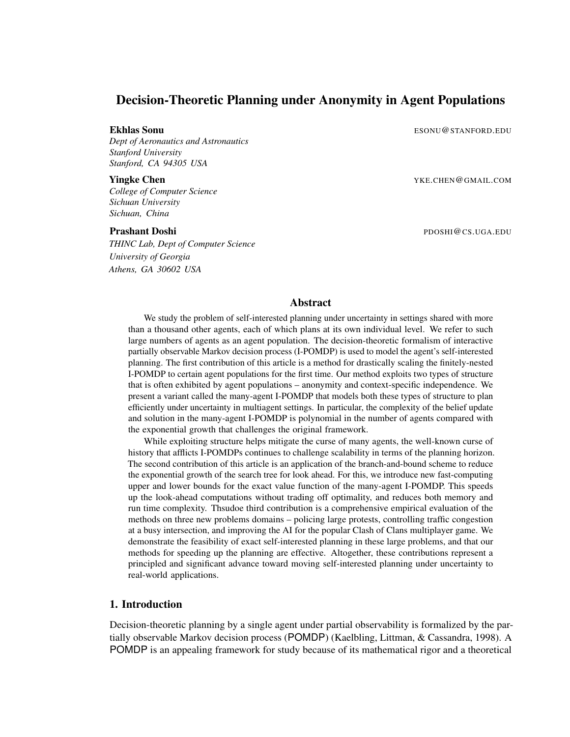# Decision-Theoretic Planning under Anonymity in Agent Populations

*Dept of Aeronautics and Astronautics Stanford University Stanford, CA 94305 USA*

*College of Computer Science Sichuan University Sichuan, China*

*THINC Lab, Dept of Computer Science University of Georgia Athens, GA 30602 USA*

**Ekhlas Sonu** Esonu **ESONU ESONU ESONU ESONU ESONU ESONU ESONU** 

**Yingke Chen** YKE.CHEN@GMAIL.COM

Prashant Doshi Phoshi Phoshi Phoshi Phoshi Phoshi Phoshi Phoshi Phoshi Phoshi Phoshi Phoshi Phoshi Phoshi Phoshi Phoshi Phoshi Phoshi Phoshi Phoshi Phoshi Phoshi Phoshi Phoshi Phoshi Phoshi Phoshi Phoshi Phoshi Phoshi Phos

## Abstract

We study the problem of self-interested planning under uncertainty in settings shared with more than a thousand other agents, each of which plans at its own individual level. We refer to such large numbers of agents as an agent population. The decision-theoretic formalism of interactive partially observable Markov decision process (I-POMDP) is used to model the agent's self-interested planning. The first contribution of this article is a method for drastically scaling the finitely-nested I-POMDP to certain agent populations for the first time. Our method exploits two types of structure that is often exhibited by agent populations – anonymity and context-specific independence. We present a variant called the many-agent I-POMDP that models both these types of structure to plan efficiently under uncertainty in multiagent settings. In particular, the complexity of the belief update and solution in the many-agent I-POMDP is polynomial in the number of agents compared with the exponential growth that challenges the original framework.

While exploiting structure helps mitigate the curse of many agents, the well-known curse of history that afflicts I-POMDPs continues to challenge scalability in terms of the planning horizon. The second contribution of this article is an application of the branch-and-bound scheme to reduce the exponential growth of the search tree for look ahead. For this, we introduce new fast-computing upper and lower bounds for the exact value function of the many-agent I-POMDP. This speeds up the look-ahead computations without trading off optimality, and reduces both memory and run time complexity. Thsudoe third contribution is a comprehensive empirical evaluation of the methods on three new problems domains – policing large protests, controlling traffic congestion at a busy intersection, and improving the AI for the popular Clash of Clans multiplayer game. We demonstrate the feasibility of exact self-interested planning in these large problems, and that our methods for speeding up the planning are effective. Altogether, these contributions represent a principled and significant advance toward moving self-interested planning under uncertainty to real-world applications.

## 1. Introduction

Decision-theoretic planning by a single agent under partial observability is formalized by the partially observable Markov decision process (POMDP) (Kaelbling, Littman, & Cassandra, 1998). A POMDP is an appealing framework for study because of its mathematical rigor and a theoretical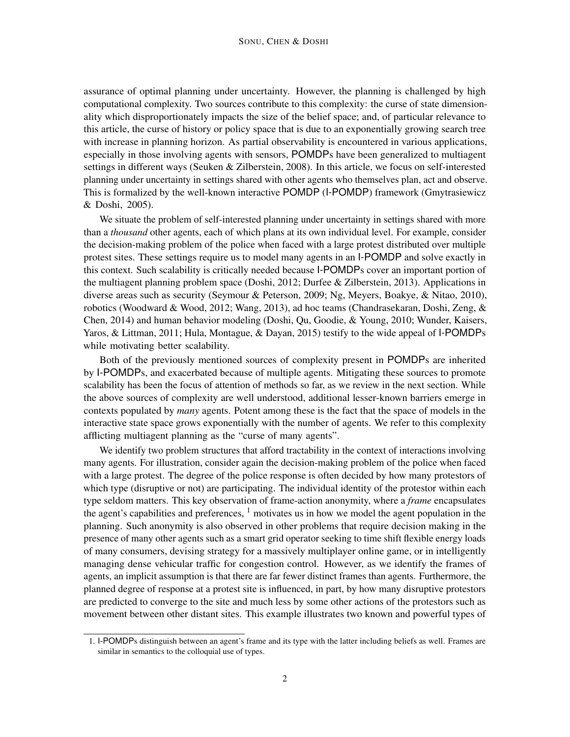assurance of optimal planning under uncertainty. However, the planning is challenged by high computational complexity. Two sources contribute to this complexity: the curse of state dimensionality which disproportionately impacts the size of the belief space; and, of particular relevance to this article, the curse of history or policy space that is due to an exponentially growing search tree with increase in planning horizon. As partial observability is encountered in various applications, especially in those involving agents with sensors, POMDPs have been generalized to multiagent settings in different ways (Seuken & Zilberstein, 2008). In this article, we focus on self-interested planning under uncertainty in settings shared with other agents who themselves plan, act and observe. This is formalized by the well-known interactive POMDP (I-POMDP) framework (Gmytrasiewicz & Doshi, 2005).

We situate the problem of self-interested planning under uncertainty in settings shared with more than a *thousand* other agents, each of which plans at its own individual level. For example, consider the decision-making problem of the police when faced with a large protest distributed over multiple protest sites. These settings require us to model many agents in an I-POMDP and solve exactly in this context. Such scalability is critically needed because I-POMDPs cover an important portion of the multiagent planning problem space (Doshi, 2012; Durfee & Zilberstein, 2013). Applications in diverse areas such as security (Seymour & Peterson, 2009; Ng, Meyers, Boakye, & Nitao, 2010), robotics (Woodward & Wood, 2012; Wang, 2013), ad hoc teams (Chandrasekaran, Doshi, Zeng, & Chen, 2014) and human behavior modeling (Doshi, Qu, Goodie, & Young, 2010; Wunder, Kaisers, Yaros, & Littman, 2011; Hula, Montague, & Dayan, 2015) testify to the wide appeal of I-POMDPs while motivating better scalability.

Both of the previously mentioned sources of complexity present in POMDPs are inherited by I-POMDPs, and exacerbated because of multiple agents. Mitigating these sources to promote scalability has been the focus of attention of methods so far, as we review in the next section. While the above sources of complexity are well understood, additional lesser-known barriers emerge in contexts populated by *many* agents. Potent among these is the fact that the space of models in the interactive state space grows exponentially with the number of agents. We refer to this complexity afflicting multiagent planning as the "curse of many agents".

We identify two problem structures that afford tractability in the context of interactions involving many agents. For illustration, consider again the decision-making problem of the police when faced with a large protest. The degree of the police response is often decided by how many protestors of which type (disruptive or not) are participating. The individual identity of the protestor within each type seldom matters. This key observation of frame-action anonymity, where a *frame* encapsulates the agent's capabilities and preferences,  $\frac{1}{1}$  motivates us in how we model the agent population in the planning. Such anonymity is also observed in other problems that require decision making in the presence of many other agents such as a smart grid operator seeking to time shift flexible energy loads of many consumers, devising strategy for a massively multiplayer online game, or in intelligently managing dense vehicular traffic for congestion control. However, as we identify the frames of agents, an implicit assumption is that there are far fewer distinct frames than agents. Furthermore, the planned degree of response at a protest site is influenced, in part, by how many disruptive protestors are predicted to converge to the site and much less by some other actions of the protestors such as movement between other distant sites. This example illustrates two known and powerful types of

<sup>1.</sup> I-POMDPs distinguish between an agent's frame and its type with the latter including beliefs as well. Frames are similar in semantics to the colloquial use of types.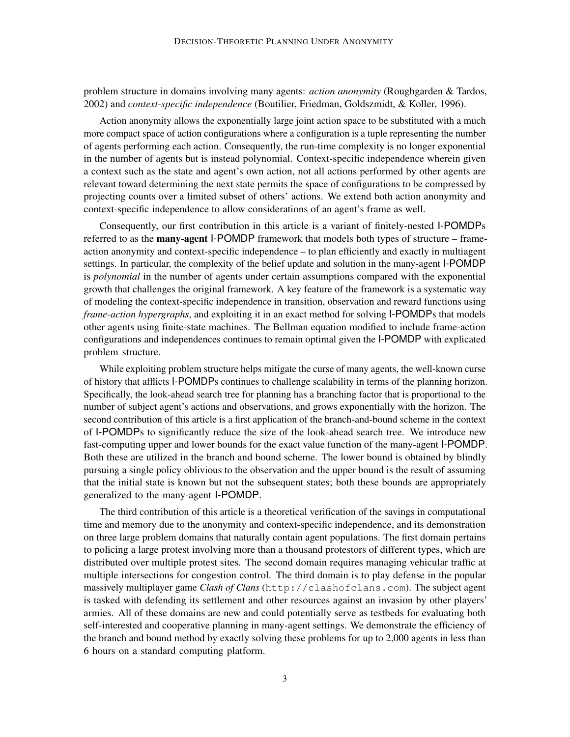problem structure in domains involving many agents: *action anonymity* (Roughgarden & Tardos, 2002) and *context-specific independence* (Boutilier, Friedman, Goldszmidt, & Koller, 1996).

Action anonymity allows the exponentially large joint action space to be substituted with a much more compact space of action configurations where a configuration is a tuple representing the number of agents performing each action. Consequently, the run-time complexity is no longer exponential in the number of agents but is instead polynomial. Context-specific independence wherein given a context such as the state and agent's own action, not all actions performed by other agents are relevant toward determining the next state permits the space of configurations to be compressed by projecting counts over a limited subset of others' actions. We extend both action anonymity and context-specific independence to allow considerations of an agent's frame as well.

Consequently, our first contribution in this article is a variant of finitely-nested I-POMDPs referred to as the **many-agent I-POMDP** framework that models both types of structure – frameaction anonymity and context-specific independence – to plan efficiently and exactly in multiagent settings. In particular, the complexity of the belief update and solution in the many-agent I-POMDP is *polynomial* in the number of agents under certain assumptions compared with the exponential growth that challenges the original framework. A key feature of the framework is a systematic way of modeling the context-specific independence in transition, observation and reward functions using *frame-action hypergraphs*, and exploiting it in an exact method for solving I-POMDPs that models other agents using finite-state machines. The Bellman equation modified to include frame-action configurations and independences continues to remain optimal given the I-POMDP with explicated problem structure.

While exploiting problem structure helps mitigate the curse of many agents, the well-known curse of history that afflicts I-POMDPs continues to challenge scalability in terms of the planning horizon. Specifically, the look-ahead search tree for planning has a branching factor that is proportional to the number of subject agent's actions and observations, and grows exponentially with the horizon. The second contribution of this article is a first application of the branch-and-bound scheme in the context of I-POMDPs to significantly reduce the size of the look-ahead search tree. We introduce new fast-computing upper and lower bounds for the exact value function of the many-agent I-POMDP. Both these are utilized in the branch and bound scheme. The lower bound is obtained by blindly pursuing a single policy oblivious to the observation and the upper bound is the result of assuming that the initial state is known but not the subsequent states; both these bounds are appropriately generalized to the many-agent I-POMDP.

The third contribution of this article is a theoretical verification of the savings in computational time and memory due to the anonymity and context-specific independence, and its demonstration on three large problem domains that naturally contain agent populations. The first domain pertains to policing a large protest involving more than a thousand protestors of different types, which are distributed over multiple protest sites. The second domain requires managing vehicular traffic at multiple intersections for congestion control. The third domain is to play defense in the popular massively multiplayer game *Clash of Clans* (http://clashofclans.com). The subject agent is tasked with defending its settlement and other resources against an invasion by other players' armies. All of these domains are new and could potentially serve as testbeds for evaluating both self-interested and cooperative planning in many-agent settings. We demonstrate the efficiency of the branch and bound method by exactly solving these problems for up to 2,000 agents in less than 6 hours on a standard computing platform.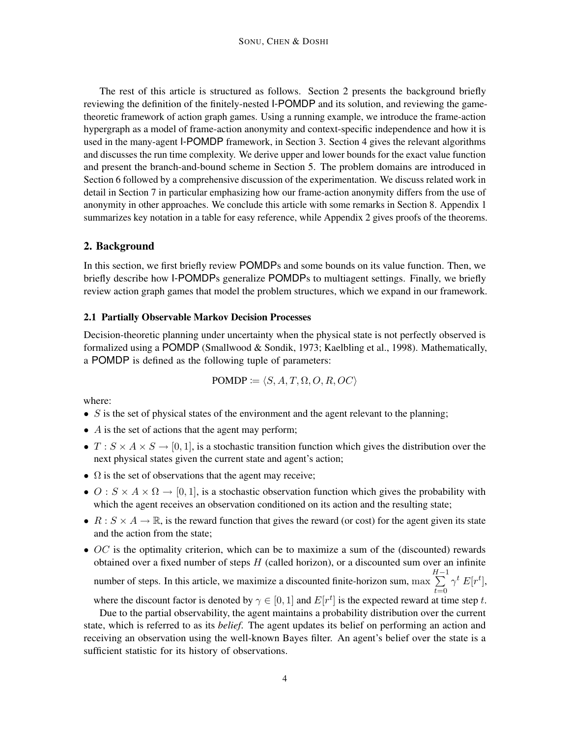The rest of this article is structured as follows. Section 2 presents the background briefly reviewing the definition of the finitely-nested I-POMDP and its solution, and reviewing the gametheoretic framework of action graph games. Using a running example, we introduce the frame-action hypergraph as a model of frame-action anonymity and context-specific independence and how it is used in the many-agent I-POMDP framework, in Section 3. Section 4 gives the relevant algorithms and discusses the run time complexity. We derive upper and lower bounds for the exact value function and present the branch-and-bound scheme in Section 5. The problem domains are introduced in Section 6 followed by a comprehensive discussion of the experimentation. We discuss related work in detail in Section 7 in particular emphasizing how our frame-action anonymity differs from the use of anonymity in other approaches. We conclude this article with some remarks in Section 8. Appendix 1 summarizes key notation in a table for easy reference, while Appendix 2 gives proofs of the theorems.

# 2. Background

In this section, we first briefly review POMDPs and some bounds on its value function. Then, we briefly describe how I-POMDPs generalize POMDPs to multiagent settings. Finally, we briefly review action graph games that model the problem structures, which we expand in our framework.

## 2.1 Partially Observable Markov Decision Processes

Decision-theoretic planning under uncertainty when the physical state is not perfectly observed is formalized using a POMDP (Smallwood & Sondik, 1973; Kaelbling et al., 1998). Mathematically, a POMDP is defined as the following tuple of parameters:

$$
POMDP := \langle S, A, T, \Omega, O, R, OC \rangle
$$

where:

- $S$  is the set of physical states of the environment and the agent relevant to the planning;
- $\bullet$  A is the set of actions that the agent may perform;
- $T : S \times A \times S \rightarrow [0, 1]$ , is a stochastic transition function which gives the distribution over the next physical states given the current state and agent's action;
- $\Omega$  is the set of observations that the agent may receive;
- $O: S \times A \times \Omega \rightarrow [0, 1]$ , is a stochastic observation function which gives the probability with which the agent receives an observation conditioned on its action and the resulting state;
- $R : S \times A \rightarrow \mathbb{R}$ , is the reward function that gives the reward (or cost) for the agent given its state and the action from the state;
- $OC$  is the optimality criterion, which can be to maximize a sum of the (discounted) rewards obtained over a fixed number of steps  $H$  (called horizon), or a discounted sum over an infinite  $\sum_{ }^{H-1}$

number of steps. In this article, we maximize a discounted finite-horizon sum, max  $t=0$  $\gamma^t E[r^t],$ 

where the discount factor is denoted by  $\gamma \in [0, 1]$  and  $E[r^t]$  is the expected reward at time step t.

Due to the partial observability, the agent maintains a probability distribution over the current state, which is referred to as its *belief*. The agent updates its belief on performing an action and receiving an observation using the well-known Bayes filter. An agent's belief over the state is a sufficient statistic for its history of observations.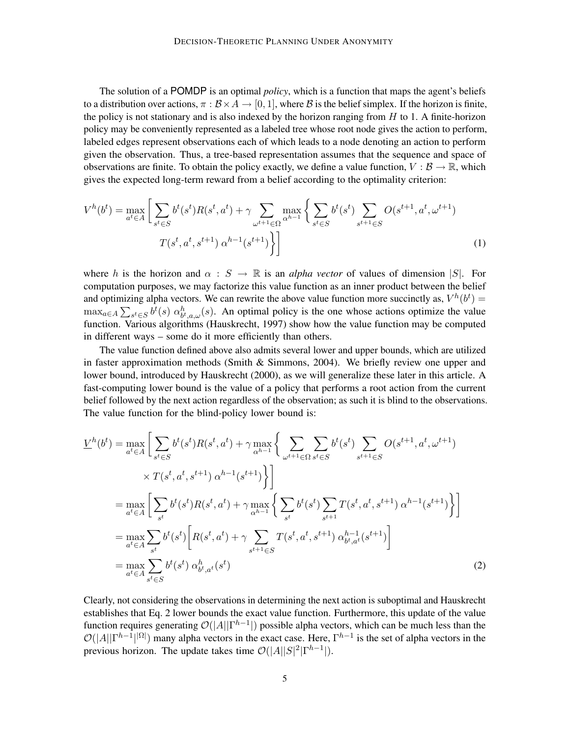The solution of a POMDP is an optimal *policy*, which is a function that maps the agent's beliefs to a distribution over actions,  $\pi : \mathcal{B} \times A \to [0, 1]$ , where  $\mathcal{B}$  is the belief simplex. If the horizon is finite, the policy is not stationary and is also indexed by the horizon ranging from  $H$  to 1. A finite-horizon policy may be conveniently represented as a labeled tree whose root node gives the action to perform, labeled edges represent observations each of which leads to a node denoting an action to perform given the observation. Thus, a tree-based representation assumes that the sequence and space of observations are finite. To obtain the policy exactly, we define a value function,  $V : \mathcal{B} \to \mathbb{R}$ , which gives the expected long-term reward from a belief according to the optimality criterion:

$$
V^{h}(b^{t}) = \max_{a^{t} \in A} \left[ \sum_{s^{t} \in S} b^{t}(s^{t}) R(s^{t}, a^{t}) + \gamma \sum_{\omega^{t+1} \in \Omega} \max_{\alpha^{h-1}} \left\{ \sum_{s^{t} \in S} b^{t}(s^{t}) \sum_{s^{t+1} \in S} O(s^{t+1}, a^{t}, \omega^{t+1}) \right\} \right]
$$
\n
$$
T(s^{t}, a^{t}, s^{t+1}) \alpha^{h-1}(s^{t+1}) \bigg\} \bigg]
$$
\n(1)

where h is the horizon and  $\alpha : S \to \mathbb{R}$  is an *alpha vector* of values of dimension |S|. For computation purposes, we may factorize this value function as an inner product between the belief and optimizing alpha vectors. We can rewrite the above value function more succinctly as,  $V^h(b^t)$  =  $\max_{a \in A} \sum_{s^t \in S} b^t(s) \alpha^h_{b^t, a, \omega}(s)$ . An optimal policy is the one whose actions optimize the value function. Various algorithms (Hauskrecht, 1997) show how the value function may be computed in different ways – some do it more efficiently than others.

The value function defined above also admits several lower and upper bounds, which are utilized in faster approximation methods (Smith & Simmons, 2004). We briefly review one upper and lower bound, introduced by Hauskrecht (2000), as we will generalize these later in this article. A fast-computing lower bound is the value of a policy that performs a root action from the current belief followed by the next action regardless of the observation; as such it is blind to the observations. The value function for the blind-policy lower bound is:

$$
\underline{V}^{h}(b^{t}) = \max_{a^{t} \in A} \left[ \sum_{s^{t} \in S} b^{t}(s^{t}) R(s^{t}, a^{t}) + \gamma \max_{\alpha^{h-1}} \left\{ \sum_{\omega^{t+1} \in \Omega} \sum_{s^{t} \in S} b^{t}(s^{t}) \sum_{s^{t+1} \in S} O(s^{t+1}, a^{t}, \omega^{t+1}) \right\} \right]
$$
\n
$$
\times T(s^{t}, a^{t}, s^{t+1}) \alpha^{h-1}(s^{t+1}) \right\} \bigg]
$$
\n
$$
= \max_{a^{t} \in A} \left[ \sum_{s^{t}} b^{t}(s^{t}) R(s^{t}, a^{t}) + \gamma \max_{\alpha^{h-1}} \left\{ \sum_{s^{t}} b^{t}(s^{t}) \sum_{s^{t+1}} T(s^{t}, a^{t}, s^{t+1}) \alpha^{h-1}(s^{t+1}) \right\} \right]
$$
\n
$$
= \max_{a^{t} \in A} \sum_{s^{t}} b^{t}(s^{t}) \left[ R(s^{t}, a^{t}) + \gamma \sum_{s^{t+1} \in S} T(s^{t}, a^{t}, s^{t+1}) \alpha^{h-1}_{b^{t}, a^{t}}(s^{t+1}) \right]
$$
\n
$$
= \max_{a^{t} \in A} \sum_{s^{t} \in S} b^{t}(s^{t}) \alpha^{h}_{b^{t}, a^{t}}(s^{t}) \tag{2}
$$

Clearly, not considering the observations in determining the next action is suboptimal and Hauskrecht establishes that Eq. 2 lower bounds the exact value function. Furthermore, this update of the value function requires generating  $\mathcal{O}(|A||\Gamma^{h-1}|)$  possible alpha vectors, which can be much less than the  $\mathcal{O}(|A||\Gamma^{h-1}|\Omega|)$  many alpha vectors in the exact case. Here,  $\Gamma^{h-1}$  is the set of alpha vectors in the previous horizon. The update takes time  $\mathcal{O}(|A||S|^2|\Gamma^{h-1}|)$ .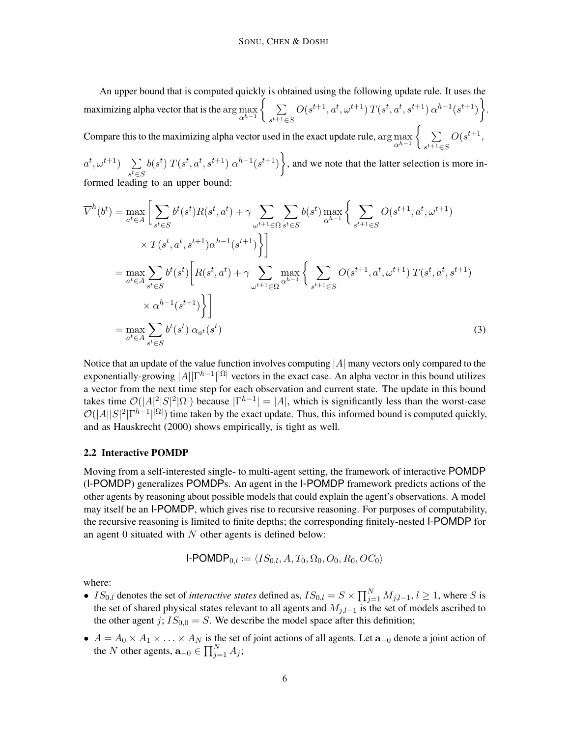An upper bound that is computed quickly is obtained using the following update rule. It uses the maximizing alpha vector that is the  $\arg \max_{\alpha^{h-1}} \left\{ \sum_{s^{t+1} \in \mathbb{R}^n} \alpha_s^s \right\}$  $s^{t+1}$ ∈S  $O(s^{t+1}, a^t, \omega^{t+1}) T(s^t, a^t, s^{t+1}) \alpha^{h-1}(s^{t+1})$ Compare this to the maximizing alpha vector used in the exact update rule,  $\arg \max$   $\begin{cases} & \sum o(s^{t+1}, \end{cases}$  $\alpha^{h-1}$   $\left\{ s^{t+1} \in S \right\}$ 

 $a^t, \omega^{t+1})$   $\sum$  $s^t \in S$  $b(s^t) T(s^t, a^t, s^{t+1}) \alpha^{h-1}(s^{t+1})$ , and we note that the latter selection is more informed leading to an upper bound:

$$
\overline{V}^{h}(b^{t}) = \max_{a^{t} \in A} \left[ \sum_{s^{t} \in S} b^{t}(s^{t}) R(s^{t}, a^{t}) + \gamma \sum_{\omega^{t+1} \in \Omega} \sum_{s^{t} \in S} b(s^{t}) \max_{\alpha^{h-1}} \left\{ \sum_{s^{t+1} \in S} O(s^{t+1}, a^{t}, \omega^{t+1}) \right\} \right]
$$
\n
$$
\times T(s^{t}, a^{t}, s^{t+1}) \alpha^{h-1}(s^{t+1}) \right]
$$
\n
$$
= \max_{a^{t} \in A} \sum_{s^{t} \in S} b^{t}(s^{t}) \left[ R(s^{t}, a^{t}) + \gamma \sum_{\omega^{t+1} \in \Omega} \max_{\alpha^{h-1}} \left\{ \sum_{s^{t+1} \in S} O(s^{t+1}, a^{t}, \omega^{t+1}) T(s^{t}, a^{t}, s^{t+1}) \right\} \right]
$$
\n
$$
= \max_{a^{t} \in A} \sum_{s^{t} \in S} b^{t}(s^{t}) \alpha_{a^{t}}(s^{t})
$$
\n(3)

Notice that an update of the value function involves computing  $|A|$  many vectors only compared to the exponentially-growing  $|A||\Gamma^{h-1}||^{\Omega}$  vectors in the exact case. An alpha vector in this bound utilizes a vector from the next time step for each observation and current state. The update in this bound takes time  $\mathcal{O}(|A|^2|S|^2|\Omega|)$  because  $|\Gamma^{h-1}| = |A|$ , which is significantly less than the worst-case  $\mathcal{O}(|A||S|^2|\Gamma^{h-1}|\Omega|)$  time taken by the exact update. Thus, this informed bound is computed quickly, and as Hauskrecht (2000) shows empirically, is tight as well.

#### 2.2 Interactive POMDP

Moving from a self-interested single- to multi-agent setting, the framework of interactive POMDP (I-POMDP) generalizes POMDPs. An agent in the I-POMDP framework predicts actions of the other agents by reasoning about possible models that could explain the agent's observations. A model may itself be an I-POMDP, which gives rise to recursive reasoning. For purposes of computability, the recursive reasoning is limited to finite depths; the corresponding finitely-nested I-POMDP for an agent 0 situated with  $N$  other agents is defined below:

$$
\mathsf{I}\text{-}\mathsf{POMDP}_{0,l} \coloneqq \langle IS_{0,l}, A, T_0, \Omega_0, O_0, R_0, OC_0 \rangle
$$

where:

- $IS_{0,l}$  denotes the set of *interactive states* defined as,  $IS_{0,l} = S \times \prod_{j=1}^{N} M_{j,l-1}$ ,  $l \ge 1$ , where S is the set of shared physical states relevant to all agents and  $M_{j,l-1}$  is the set of models ascribed to the other agent j;  $IS_{0,0} = S$ . We describe the model space after this definition;
- $A = A_0 \times A_1 \times \ldots \times A_N$  is the set of joint actions of all agents. Let  $\mathbf{a}_{-0}$  denote a joint action of the N other agents,  $\mathbf{a}_{-0} \in \prod_{j=1}^{N} A_j$ ;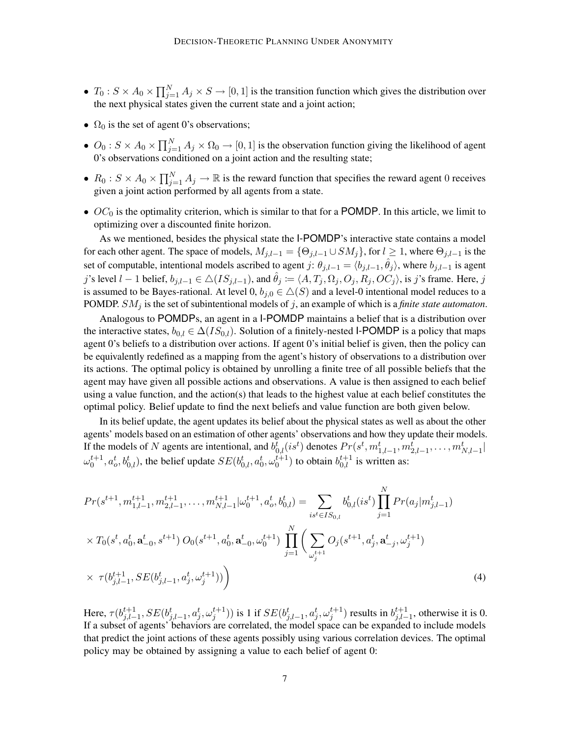- $T_0: S \times A_0 \times \prod_{j=1}^N A_j \times S \to [0,1]$  is the transition function which gives the distribution over the next physical states given the current state and a joint action;
- $\Omega_0$  is the set of agent 0's observations;
- $O_0: S \times A_0 \times \prod_{j=1}^N A_j \times \Omega_0 \to [0,1]$  is the observation function giving the likelihood of agent 0's observations conditioned on a joint action and the resulting state;
- $R_0: S \times A_0 \times \prod_{j=1}^N A_j \to \mathbb{R}$  is the reward function that specifies the reward agent 0 receives given a joint action performed by all agents from a state.
- $OC<sub>0</sub>$  is the optimality criterion, which is similar to that for a POMDP. In this article, we limit to optimizing over a discounted finite horizon.

As we mentioned, besides the physical state the I-POMDP's interactive state contains a model for each other agent. The space of models,  $M_{j,l-1} = \{\Theta_{j,l-1} \cup SM_j\}$ , for  $l \geq 1$ , where  $\Theta_{j,l-1}$  is the set of computable, intentional models ascribed to agent j:  $\theta_{j,l-1} = \langle b_{j,l-1}, \hat{\theta}_j \rangle$ , where  $b_{j,l-1}$  is agent j's level  $l-1$  belief,  $b_{j,l-1} \in \triangle (IS_{j,l-1})$ , and  $\hat{\theta}_j \coloneqq \langle A, T_j, \Omega_j, O_j, R_j, OC_j \rangle$ , is j's frame. Here, j is assumed to be Bayes-rational. At level 0,  $b_{i,0} \in \Delta(S)$  and a level-0 intentional model reduces to a POMDP. SM<sup>j</sup> is the set of subintentional models of j, an example of which is a *finite state automaton*.

Analogous to POMDPs, an agent in a I-POMDP maintains a belief that is a distribution over the interactive states,  $b_{0,l} \in \Delta(IS_{0,l})$ . Solution of a finitely-nested I-POMDP is a policy that maps agent 0's beliefs to a distribution over actions. If agent 0's initial belief is given, then the policy can be equivalently redefined as a mapping from the agent's history of observations to a distribution over its actions. The optimal policy is obtained by unrolling a finite tree of all possible beliefs that the agent may have given all possible actions and observations. A value is then assigned to each belief using a value function, and the action(s) that leads to the highest value at each belief constitutes the optimal policy. Belief update to find the next beliefs and value function are both given below.

In its belief update, the agent updates its belief about the physical states as well as about the other agents' models based on an estimation of other agents' observations and how they update their models. If the models of N agents are intentional, and  $b_{0,l}^t(is^t)$  denotes  $Pr(s^t, m_{1,l-1}^t, m_{2,l-1}^t, \ldots, m_{N,l-1}^t |$  $\omega_0^{t+1}, a_o^t, b_{0,l}^t$ , the belief update  $SE(b_{0,l}^t, a_0^t, \omega_0^{t+1})$  to obtain  $b_{0,l}^{t+1}$  is written as:

$$
Pr(s^{t+1}, m_{1,l-1}^{t+1}, m_{2,l-1}^{t+1}, \dots, m_{N,l-1}^{t+1} | \omega_0^{t+1}, a_o^t, b_{0,l}^t) = \sum_{is^t \in IS_{0,l}} b_{0,l}^t(is^t) \prod_{j=1}^N Pr(a_j | m_{j,l-1}^t)
$$
  
 
$$
\times T_0(s^t, a_0^t, \mathbf{a}_{-0}^t, s^{t+1}) O_0(s^{t+1}, a_0^t, \mathbf{a}_{-0}^t, \omega_0^{t+1}) \prod_{j=1}^N \left( \sum_{\omega_j^{t+1}} O_j(s^{t+1}, a_j^t, \mathbf{a}_{-j}^t, \omega_j^{t+1}) \right)
$$
  
 
$$
\times \tau(b_{j,l-1}^{t+1}, SE(b_{j,l-1}^t, a_j^t, \omega_j^{t+1})) \tag{4}
$$

Here,  $\tau(b^{t+1}_{i,l-})$  $j_{j,l-1}^{t+1}, SE(b_{j,l-1}^t, a_j^t, \omega_j^{t+1}))$  is 1 if  $SE(b_{j,l-1}^t, a_j^t, \omega_j^{t+1})$  results in  $b_{j,l-1}^{t+1}$  $j,l-1$ , otherwise it is 0. If a subset of agents' behaviors are correlated, the model space can be expanded to include models that predict the joint actions of these agents possibly using various correlation devices. The optimal policy may be obtained by assigning a value to each belief of agent 0: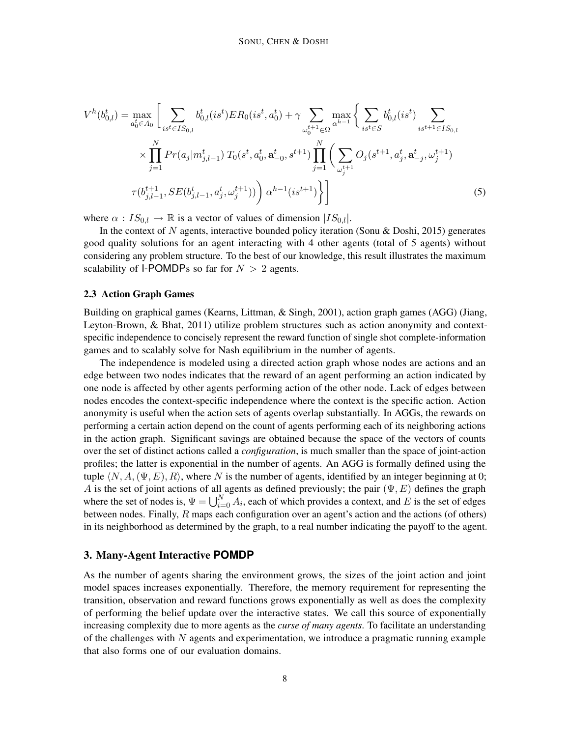$$
V^{h}(b_{0,l}^{t}) = \max_{a_{0}^{t} \in A_{0}} \left[ \sum_{is^{t} \in IS_{0,l}} b_{0,l}^{t}(is^{t}) ER_{0}(is^{t}, a_{0}^{t}) + \gamma \sum_{\omega_{0}^{t+1} \in \Omega} \max_{\alpha^{h-1}} \left\{ \sum_{is^{t} \in S} b_{0,l}^{t}(is^{t}) \sum_{is^{t+1} \in IS_{0,l}} \times \prod_{j=1}^{N} Pr(a_{j}|m_{j,l-1}^{t}) T_{0}(s^{t}, a_{0}^{t}, a_{-0}^{t}, s^{t+1}) \prod_{j=1}^{N} \left( \sum_{\omega_{j}^{t+1}} O_{j}(s^{t+1}, a_{j}^{t}, a_{-j}^{t}, \omega_{j}^{t+1}) \right) \right. \left. \pi(b_{j,l-1}^{t+1}, SE(b_{j,l-1}^{t}, a_{j}^{t}, \omega_{j}^{t+1})) \right) \alpha^{h-1}(is^{t+1}) \right\}
$$
\n
$$
(5)
$$

where  $\alpha$  :  $IS_{0,l} \to \mathbb{R}$  is a vector of values of dimension  $|IS_{0,l}|$ .

In the context of N agents, interactive bounded policy iteration (Sonu & Doshi, 2015) generates good quality solutions for an agent interacting with 4 other agents (total of 5 agents) without considering any problem structure. To the best of our knowledge, this result illustrates the maximum scalability of I-POMDPs so far for  $N > 2$  agents.

#### 2.3 Action Graph Games

Building on graphical games (Kearns, Littman, & Singh, 2001), action graph games (AGG) (Jiang, Leyton-Brown, & Bhat, 2011) utilize problem structures such as action anonymity and contextspecific independence to concisely represent the reward function of single shot complete-information games and to scalably solve for Nash equilibrium in the number of agents.

The independence is modeled using a directed action graph whose nodes are actions and an edge between two nodes indicates that the reward of an agent performing an action indicated by one node is affected by other agents performing action of the other node. Lack of edges between nodes encodes the context-specific independence where the context is the specific action. Action anonymity is useful when the action sets of agents overlap substantially. In AGGs, the rewards on performing a certain action depend on the count of agents performing each of its neighboring actions in the action graph. Significant savings are obtained because the space of the vectors of counts over the set of distinct actions called a *configuration*, is much smaller than the space of joint-action profiles; the latter is exponential in the number of agents. An AGG is formally defined using the tuple  $\langle N, A, (\Psi, E), R \rangle$ , where N is the number of agents, identified by an integer beginning at 0; A is the set of joint actions of all agents as defined previously; the pair  $(\Psi, E)$  defines the graph where the set of nodes is,  $\Psi = \bigcup_{i=0}^{N} A_i$ , each of which provides a context, and E is the set of edges between nodes. Finally,  $R$  maps each configuration over an agent's action and the actions (of others) in its neighborhood as determined by the graph, to a real number indicating the payoff to the agent.

## 3. Many-Agent Interactive **POMDP**

As the number of agents sharing the environment grows, the sizes of the joint action and joint model spaces increases exponentially. Therefore, the memory requirement for representing the transition, observation and reward functions grows exponentially as well as does the complexity of performing the belief update over the interactive states. We call this source of exponentially increasing complexity due to more agents as the *curse of many agents*. To facilitate an understanding of the challenges with  $N$  agents and experimentation, we introduce a pragmatic running example that also forms one of our evaluation domains.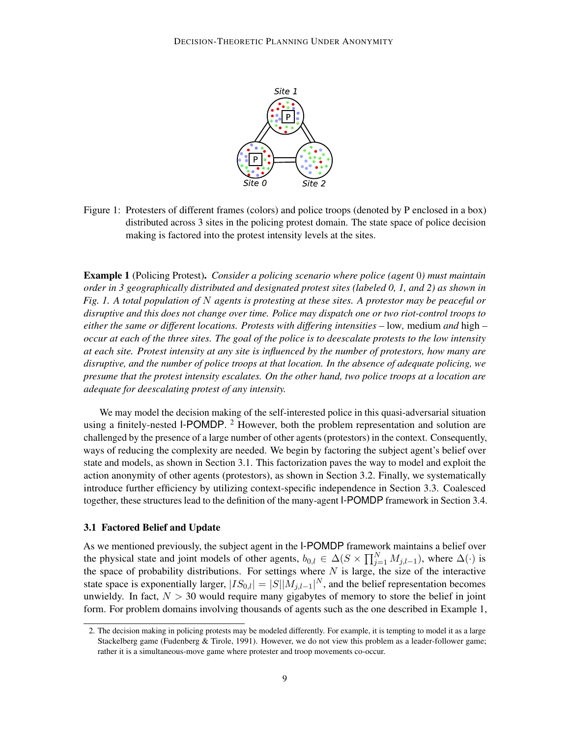

Figure 1: Protesters of different frames (colors) and police troops (denoted by P enclosed in a box) distributed across 3 sites in the policing protest domain. The state space of police decision making is factored into the protest intensity levels at the sites.

Example 1 (Policing Protest). *Consider a policing scenario where police (agent* 0*) must maintain order in 3 geographically distributed and designated protest sites (labeled 0, 1, and 2) as shown in Fig. 1. A total population of* N *agents is protesting at these sites. A protestor may be peaceful or disruptive and this does not change over time. Police may dispatch one or two riot-control troops to either the same or different locations. Protests with differing intensities –* low*,* medium *and* high *– occur at each of the three sites. The goal of the police is to deescalate protests to the low intensity at each site. Protest intensity at any site is influenced by the number of protestors, how many are disruptive, and the number of police troops at that location. In the absence of adequate policing, we presume that the protest intensity escalates. On the other hand, two police troops at a location are adequate for deescalating protest of any intensity.*

We may model the decision making of the self-interested police in this quasi-adversarial situation using a finitely-nested I-POMDP.  $^2$  However, both the problem representation and solution are challenged by the presence of a large number of other agents (protestors) in the context. Consequently, ways of reducing the complexity are needed. We begin by factoring the subject agent's belief over state and models, as shown in Section 3.1. This factorization paves the way to model and exploit the action anonymity of other agents (protestors), as shown in Section 3.2. Finally, we systematically introduce further efficiency by utilizing context-specific independence in Section 3.3. Coalesced together, these structures lead to the definition of the many-agent I-POMDP framework in Section 3.4.

#### 3.1 Factored Belief and Update

As we mentioned previously, the subject agent in the I-POMDP framework maintains a belief over the physical state and joint models of other agents,  $b_{0,l} \in \Delta(S \times \prod_{j=1}^{N} M_{j,l-1})$ , where  $\Delta(\cdot)$  is the space of probability distributions. For settings where  $N$  is large, the size of the interactive state space is exponentially larger,  $|IS_{0,l}| = |S||M_{j,l-1}|^N$ , and the belief representation becomes unwieldy. In fact,  $N > 30$  would require many gigabytes of memory to store the belief in joint form. For problem domains involving thousands of agents such as the one described in Example 1,

<sup>2.</sup> The decision making in policing protests may be modeled differently. For example, it is tempting to model it as a large Stackelberg game (Fudenberg & Tirole, 1991). However, we do not view this problem as a leader-follower game; rather it is a simultaneous-move game where protester and troop movements co-occur.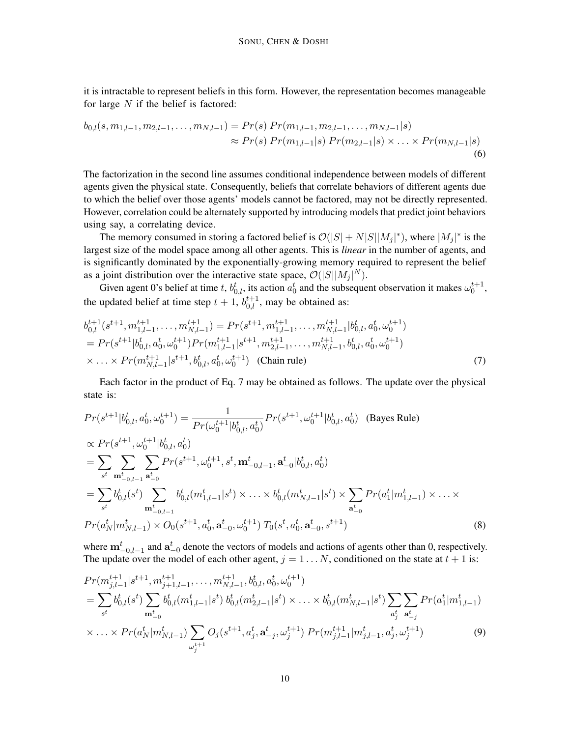it is intractable to represent beliefs in this form. However, the representation becomes manageable for large  $N$  if the belief is factored:

$$
b_{0,l}(s, m_{1,l-1}, m_{2,l-1}, \dots, m_{N,l-1}) = Pr(s) Pr(m_{1,l-1}, m_{2,l-1}, \dots, m_{N,l-1}|s)
$$
  
\n
$$
\approx Pr(s) Pr(m_{1,l-1}|s) Pr(m_{2,l-1}|s) \times \dots \times Pr(m_{N,l-1}|s)
$$
  
\n(6)

The factorization in the second line assumes conditional independence between models of different agents given the physical state. Consequently, beliefs that correlate behaviors of different agents due to which the belief over those agents' models cannot be factored, may not be directly represented. However, correlation could be alternately supported by introducing models that predict joint behaviors using say, a correlating device.

The memory consumed in storing a factored belief is  $\mathcal{O}(|S| + N|S||M_j|^*)$ , where  $|M_j|^*$  is the largest size of the model space among all other agents. This is *linear* in the number of agents, and is significantly dominated by the exponentially-growing memory required to represent the belief as a joint distribution over the interactive state space,  $\mathcal{O}(|S||M_j|^N)$ .

Given agent 0's belief at time t,  $b_{0,l}^t$ , its action  $a_0^t$  and the subsequent observation it makes  $\omega_0^{t+1}$ , the updated belief at time step  $t + 1$ ,  $b_{0,l}^{t+1}$ , may be obtained as:

$$
b_{0,l}^{t+1}(s^{t+1}, m_{1,l-1}^{t+1}, \dots, m_{N,l-1}^{t+1}) = Pr(s^{t+1}, m_{1,l-1}^{t+1}, \dots, m_{N,l-1}^{t+1} | b_{0,l}^t, a_0^t, \omega_0^{t+1})
$$
  
=  $Pr(s^{t+1}|b_{0,l}^t, a_0^t, \omega_0^{t+1}) Pr(m_{1,l-1}^{t+1}|s^{t+1}, m_{2,l-1}^{t+1}, \dots, m_{N,l-1}^{t+1}, b_{0,l}^t, a_0^t, \omega_0^{t+1})$   
 $\times \dots \times Pr(m_{N,l-1}^{t+1}|s^{t+1}, b_{0,l}^t, a_0^t, \omega_0^{t+1})$  (Chain rule) (7)

Each factor in the product of Eq. 7 may be obtained as follows. The update over the physical state is:

$$
Pr(s^{t+1}|b_{0,l}^t, a_0^t, \omega_0^{t+1}) = \frac{1}{Pr(\omega_0^{t+1}|b_{0,l}^t, a_0^t)} Pr(s^{t+1}, \omega_0^{t+1}|b_{0,l}^t, a_0^t) \quad \text{(Bayes Rule)}
$$
\n
$$
\propto Pr(s^{t+1}, \omega_0^{t+1}|b_{0,l}^t, a_0^t)
$$
\n
$$
= \sum_{s^t} \sum_{\mathbf{m}_{-0,l-1}^t} Pr(s^{t+1}, \omega_0^{t+1}, s^t, \mathbf{m}_{-0,l-1}^t, \mathbf{a}_{-0}^t|b_{0,l}^t, a_0^t)
$$
\n
$$
= \sum_{s^t} b_{0,l}^t(s^t) \sum_{\mathbf{m}_{-0,l-1}^t} b_{0,l}^t(m_{1,l-1}^t|s^t) \times \dots \times b_{0,l}^t(m_{N,l-1}^t|s^t) \times \sum_{\mathbf{a}_{-0}^t} Pr(a_1^t|m_{1,l-1}^t) \times \dots \times
$$
\n
$$
Pr(a_N^t|m_{N,l-1}^t) \times O_0(s^{t+1}, a_0^t, \mathbf{a}_{-0}^t, \omega_0^{t+1}) T_0(s^t, a_0^t, \mathbf{a}_{-0}^t, s^{t+1}) \tag{8}
$$

where  $\mathbf{m}_{-0,l-1}^{t}$  and  $\mathbf{a}_{-0}^{t}$  denote the vectors of models and actions of agents other than 0, respectively. The update over the model of each other agent,  $j = 1...N$ , conditioned on the state at  $t + 1$  is:

$$
Pr(m_{j,l-1}^{t+1}|s^{t+1}, m_{j+1,l-1}^{t+1}, \dots, m_{N,l-1}^{t+1}, b_{0,l}^t, a_0^t, \omega_0^{t+1})
$$
\n
$$
= \sum_{s^t} b_{0,l}^t(s^t) \sum_{\mathbf{m}_{-0}^t} b_{0,l}^t(m_{1,l-1}^t|s^t) b_{0,l}^t(m_{2,l-1}^t|s^t) \times \dots \times b_{0,l}^t(m_{N,l-1}^t|s^t) \sum_{a_j^t} \sum_{\mathbf{a}_{-j}^t} Pr(a_1^t|m_{1,l-1}^t)
$$
\n
$$
\times \dots \times Pr(a_N^t|m_{N,l-1}^t) \sum_{\omega_j^{t+1}} O_j(s^{t+1}, a_j^t, \mathbf{a}_{-j}^t, \omega_j^{t+1}) Pr(m_{j,l-1}^{t+1}|m_{j,l-1}^t, a_j^t, \omega_j^{t+1})
$$
\n
$$
(9)
$$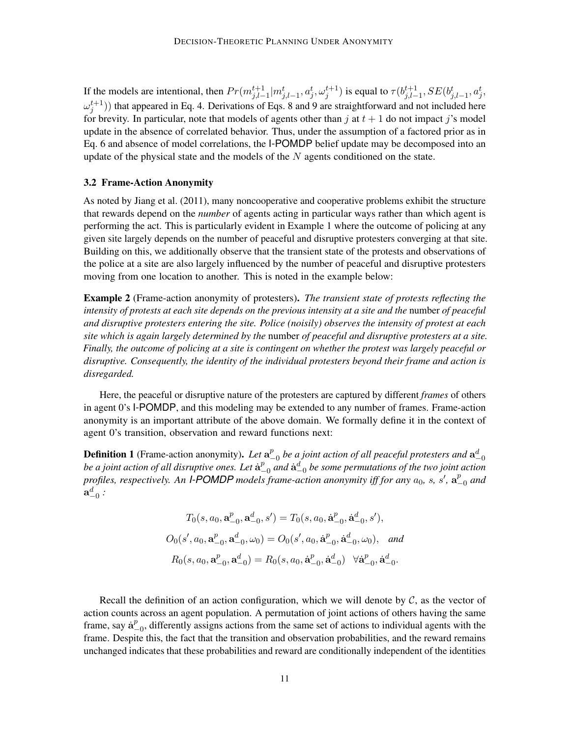If the models are intentional, then  $Pr(m_{j,l-1}^{t+1}|m_{j,l-1}^t, a_j^t, \omega_j^{t+1})$  is equal to  $\tau(b_{j,l-1}^{t+1}|m_{j,l-1}^t, a_j^t, \omega_j^{t+1})$  $_{j,l-1}^{t+1},SE(b_{j,l-1}^t,a_j^t,$  $\omega_j^{t+1}$ )) that appeared in Eq. 4. Derivations of Eqs. 8 and 9 are straightforward and not included here for brevity. In particular, note that models of agents other than j at  $t + 1$  do not impact j's model update in the absence of correlated behavior. Thus, under the assumption of a factored prior as in Eq. 6 and absence of model correlations, the I-POMDP belief update may be decomposed into an update of the physical state and the models of the  $N$  agents conditioned on the state.

#### 3.2 Frame-Action Anonymity

As noted by Jiang et al. (2011), many noncooperative and cooperative problems exhibit the structure that rewards depend on the *number* of agents acting in particular ways rather than which agent is performing the act. This is particularly evident in Example 1 where the outcome of policing at any given site largely depends on the number of peaceful and disruptive protesters converging at that site. Building on this, we additionally observe that the transient state of the protests and observations of the police at a site are also largely influenced by the number of peaceful and disruptive protesters moving from one location to another. This is noted in the example below:

Example 2 (Frame-action anonymity of protesters). *The transient state of protests reflecting the intensity of protests at each site depends on the previous intensity at a site and the* number *of peaceful and disruptive protesters entering the site. Police (noisily) observes the intensity of protest at each site which is again largely determined by the* number *of peaceful and disruptive protesters at a site. Finally, the outcome of policing at a site is contingent on whether the protest was largely peaceful or disruptive. Consequently, the identity of the individual protesters beyond their frame and action is disregarded.*

Here, the peaceful or disruptive nature of the protesters are captured by different *frames* of others in agent 0's I-POMDP, and this modeling may be extended to any number of frames. Frame-action anonymity is an important attribute of the above domain. We formally define it in the context of agent 0's transition, observation and reward functions next:

**Definition 1** (Frame-action anonymity). Let  $a^p$  $_{-0}^p$  be a joint action of all peaceful protesters and  $\mathbf{a}^{d}_{-0}$ be a joint action of all disruptive ones. Let  $\dot{\mathbf{a}}_{-}^p$  $_{-0}^{p}$  and  $\dot{\bf a}_{-0}^{d}$  be some permutations of the two joint action profiles, respectively. An *I-POMDP* models frame-action anonymity iff for any  $a_0$ , s, s',  $a^p$ −0 *and*  $\mathbf{a}_{-0}^{d}$  :

$$
T_0(s, a_0, \mathbf{a}_{-0}^p, \mathbf{a}_{-0}^d, s') = T_0(s, a_0, \dot{\mathbf{a}}_{-0}^p, \dot{\mathbf{a}}_{-0}^d, s'),
$$
  

$$
O_0(s', a_0, \mathbf{a}_{-0}^p, \mathbf{a}_{-0}^d, \omega_0) = O_0(s', a_0, \dot{\mathbf{a}}_{-0}^p, \dot{\mathbf{a}}_{-0}^d, \omega_0), \text{ and}
$$
  

$$
R_0(s, a_0, \mathbf{a}_{-0}^p, \mathbf{a}_{-0}^d) = R_0(s, a_0, \dot{\mathbf{a}}_{-0}^p, \dot{\mathbf{a}}_{-0}^d) \quad \forall \dot{\mathbf{a}}_{-0}^p, \dot{\mathbf{a}}_{-0}^d.
$$

Recall the definition of an action configuration, which we will denote by  $\mathcal{C}$ , as the vector of action counts across an agent population. A permutation of joint actions of others having the same frame, say  $\dot{\mathbf{a}}_{-}^{p}$  $P_{-0}$ , differently assigns actions from the same set of actions to individual agents with the frame. Despite this, the fact that the transition and observation probabilities, and the reward remains unchanged indicates that these probabilities and reward are conditionally independent of the identities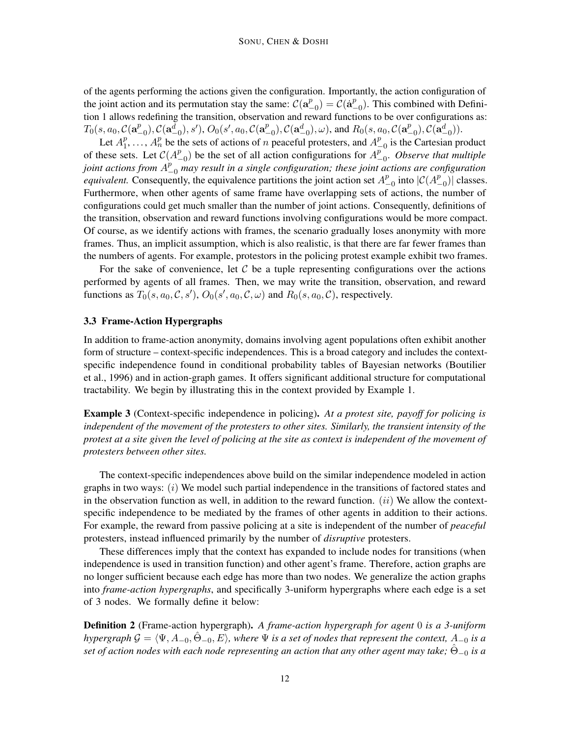of the agents performing the actions given the configuration. Importantly, the action configuration of the joint action and its permutation stay the same:  $C(\mathbf{a}^p)$  $\overset{p}{\mathcal{L}}_{-0}) = \overset{\_}{\mathcal{C}}(\dot{\mathbf{a}}^p_{-})$  $_{-0}^{p}$ ). This combined with Definition 1 allows redefining the transition, observation and reward functions to be over configurations as:  $T_0(s, a_0, \mathcal{C}(\mathbf{a}^{p}_{-})$  $({p\atop -0}),\mathcal{C}({\bf a}^{\bar d}_{-0}),s'),$   $O_0(s',a_0,\mathcal{C}({\bf a}^p_{-})$  $_{-0}^{p}),C(\mathbf{a}_{-0}^{d}),\omega),$  and  $R_{0}(s,a_{0},\mathcal{C}(\mathbf{a}_{-0}^{p}))$  $^p_{-0}), \mathcal{C}(\mathbf{a}^{d}_{-0})).$ 

Let  $A_1^p$  $_1^p$ , ...,  $A_n^p$  be the sets of actions of n peaceful protesters, and  $A_1^p$  $_{-0}^{p}$  is the Cartesian product of these sets. Let  $\mathcal{C}(A^p)$  $^{p}_{-0}$ ) be the set of all action configurations for  $A^{p}_{-}$ −0 . *Observe that multiple joint actions from*  $A_{-0}^p$  *may result in a single configuration; these joint actions are configuration equivalent.* Consequently, the equivalence partitions the joint action set  $A^p$  $_{-0}^{p}$  into  $|C(A_{-}^{p})$  $_{-0}^{p}$ )| classes. Furthermore, when other agents of same frame have overlapping sets of actions, the number of configurations could get much smaller than the number of joint actions. Consequently, definitions of the transition, observation and reward functions involving configurations would be more compact. Of course, as we identify actions with frames, the scenario gradually loses anonymity with more frames. Thus, an implicit assumption, which is also realistic, is that there are far fewer frames than the numbers of agents. For example, protestors in the policing protest example exhibit two frames.

For the sake of convenience, let  $\mathcal C$  be a tuple representing configurations over the actions performed by agents of all frames. Then, we may write the transition, observation, and reward functions as  $T_0(s, a_0, \mathcal{C}, s')$ ,  $O_0(s', a_0, \mathcal{C}, \omega)$  and  $R_0(s, a_0, \mathcal{C})$ , respectively.

#### 3.3 Frame-Action Hypergraphs

In addition to frame-action anonymity, domains involving agent populations often exhibit another form of structure – context-specific independences. This is a broad category and includes the contextspecific independence found in conditional probability tables of Bayesian networks (Boutilier et al., 1996) and in action-graph games. It offers significant additional structure for computational tractability. We begin by illustrating this in the context provided by Example 1.

Example 3 (Context-specific independence in policing). *At a protest site, payoff for policing is independent of the movement of the protesters to other sites. Similarly, the transient intensity of the protest at a site given the level of policing at the site as context is independent of the movement of protesters between other sites.*

The context-specific independences above build on the similar independence modeled in action graphs in two ways:  $(i)$  We model such partial independence in the transitions of factored states and in the observation function as well, in addition to the reward function.  $(ii)$  We allow the contextspecific independence to be mediated by the frames of other agents in addition to their actions. For example, the reward from passive policing at a site is independent of the number of *peaceful* protesters, instead influenced primarily by the number of *disruptive* protesters.

These differences imply that the context has expanded to include nodes for transitions (when independence is used in transition function) and other agent's frame. Therefore, action graphs are no longer sufficient because each edge has more than two nodes. We generalize the action graphs into *frame-action hypergraphs*, and specifically 3-uniform hypergraphs where each edge is a set of 3 nodes. We formally define it below:

Definition 2 (Frame-action hypergraph). *A frame-action hypergraph for agent* 0 *is a 3-uniform hypergraph*  $\mathcal{G} = \langle \Psi, A_{-0}, \Theta_{-0}, E \rangle$ , where  $\Psi$  is a set of nodes that represent the context,  $A_{-0}$  is a *set of action nodes with each node representing an action that any other agent may take;*  $\hat{\Theta}_{-0}$  *is a*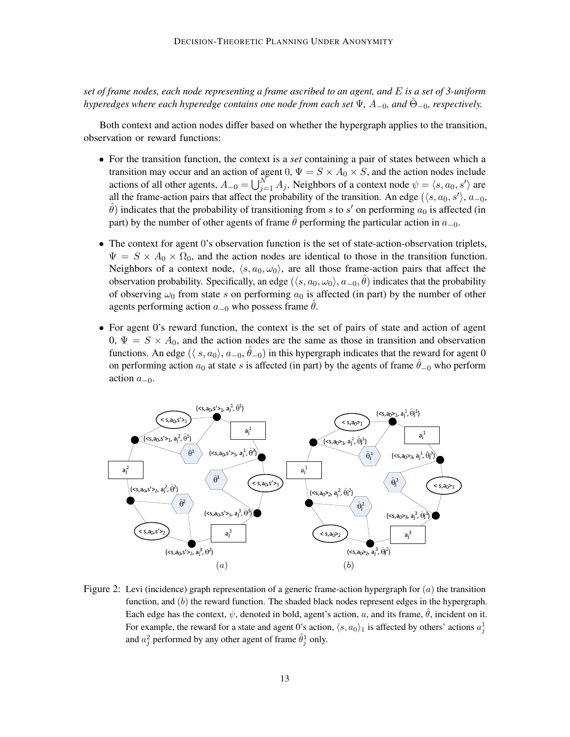*set of frame nodes, each node representing a frame ascribed to an agent, and* E *is a set of 3-uniform hyperedges where each hyperedge contains one node from each set*  $\Psi$ *, A*<sub>-0</sub>*, and*  $\hat{\Theta}_{-0}$ *, respectively.* 

Both context and action nodes differ based on whether the hypergraph applies to the transition, observation or reward functions:

- For the transition function, the context is a *set* containing a pair of states between which a transition may occur and an action of agent 0,  $\Psi = S \times A_0 \times S$ , and the action nodes include actions of all other agents,  $A_{-0} = \bigcup_{j=1}^{N} A_j$ . Neighbors of a context node  $\psi = \langle s, a_0, s' \rangle$  are all the frame-action pairs that affect the probability of the transition. An edge ( $\langle s, a_0, s' \rangle$ ,  $a_{-0}$ ,  $\hat{\theta}$ ) indicates that the probability of transitioning from s to s' on performing  $a_0$  is affected (in part) by the number of other agents of frame  $\hat{\theta}$  performing the particular action in  $a_{-0}$ .
- The context for agent 0's observation function is the set of state-action-observation triplets,  $\Psi = S \times A_0 \times \Omega_0$ , and the action nodes are identical to those in the transition function. Neighbors of a context node,  $\langle s, a_0, \omega_0 \rangle$ , are all those frame-action pairs that affect the observation probability. Specifically, an edge  $(\langle s, a_0, \omega_0 \rangle, a_{-0}, \hat{\theta})$  indicates that the probability of observing  $\omega_0$  from state s on performing  $a_0$  is affected (in part) by the number of other agents performing action  $a_{-0}$  who possess frame  $\theta$ .
- For agent 0's reward function, the context is the set of pairs of state and action of agent 0,  $\Psi = S \times A_0$ , and the action nodes are the same as those in transition and observation functions. An edge  $(\langle s, a_0 \rangle, a_{-0}, \hat{\theta}_{-0})$  in this hypergraph indicates that the reward for agent 0 on performing action  $a_0$  at state s is affected (in part) by the agents of frame  $\theta_{-0}$  who perform action  $a_{-0}$ .



Figure 2: Levi (incidence) graph representation of a generic frame-action hypergraph for  $(a)$  the transition function, and  $(b)$  the reward function. The shaded black nodes represent edges in the hypergraph. Each edge has the context,  $\psi$ , denoted in bold, agent's action, a, and its frame,  $\hat{\theta}$ , incident on it. For example, the reward for a state and agent 0's action,  $\langle s, a_0 \rangle$  is affected by others' actions  $a_j^1$ and  $a_j^2$  performed by any other agent of frame  $\hat{\theta}_j^1$  only.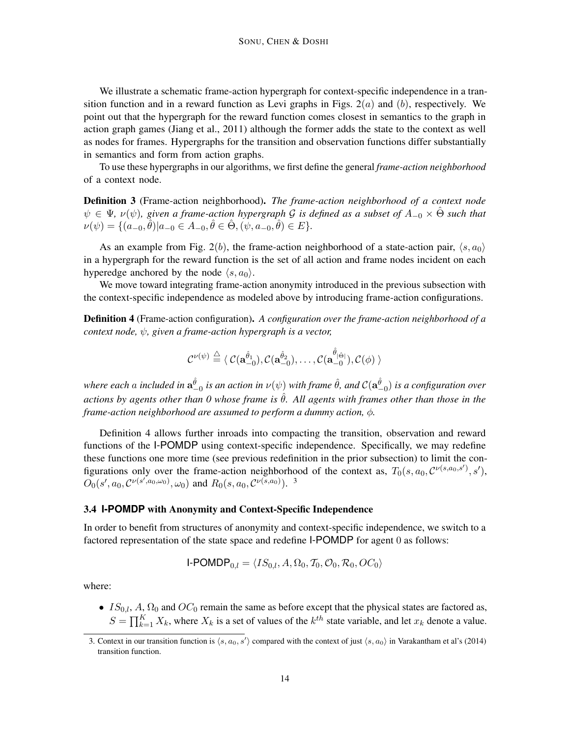We illustrate a schematic frame-action hypergraph for context-specific independence in a transition function and in a reward function as Levi graphs in Figs.  $2(a)$  and  $(b)$ , respectively. We point out that the hypergraph for the reward function comes closest in semantics to the graph in action graph games (Jiang et al., 2011) although the former adds the state to the context as well as nodes for frames. Hypergraphs for the transition and observation functions differ substantially in semantics and form from action graphs.

To use these hypergraphs in our algorithms, we first define the general *frame-action neighborhood* of a context node.

Definition 3 (Frame-action neighborhood). *The frame-action neighborhood of a context node*  $ψ ∈ Ψ, ν(ψ)$ , given a frame-action hypergraph  $G$  is defined as a subset of  $A_{-0} × \hat{Θ}$  such that  $\nu(\psi) = \{ (a_{-0}, \hat{\theta}) | a_{-0} \in A_{-0}, \hat{\theta} \in \hat{\Theta}, (\psi, a_{-0}, \hat{\theta}) \in E \}.$ 

As an example from Fig. 2(b), the frame-action neighborhood of a state-action pair,  $\langle s, a_0 \rangle$ in a hypergraph for the reward function is the set of all action and frame nodes incident on each hyperedge anchored by the node  $\langle s, a_0 \rangle$ .

We move toward integrating frame-action anonymity introduced in the previous subsection with the context-specific independence as modeled above by introducing frame-action configurations.

Definition 4 (Frame-action configuration). *A configuration over the frame-action neighborhood of a context node,* ψ*, given a frame-action hypergraph is a vector,*

$$
\mathcal{C}^{\nu(\psi)}\stackrel{\triangle}{=} \langle\ \mathcal{C}(\mathbf{a}^{\hat{\theta}_1}_{-0}),\mathcal{C}(\mathbf{a}^{\hat{\theta}_2}_{-0}),\ldots,\mathcal{C}(\mathbf{a}^{\hat{\theta}_{|\hat{\Theta}|}}_{-0}),\mathcal{C}(\phi)\ \rangle
$$

where each a included in  $a_{-0}^{\hat{\theta}}$  is an action in  $\nu(\psi)$  with frame  $\hat{\theta}$ , and  $\mathcal{C}(a_{-0}^{\hat{\theta}})$  is a configuration over *actions by agents other than 0 whose frame is*  $\hat{\theta}$ *. All agents with frames other than those in the frame-action neighborhood are assumed to perform a dummy action,* φ*.*

Definition 4 allows further inroads into compacting the transition, observation and reward functions of the I-POMDP using context-specific independence. Specifically, we may redefine these functions one more time (see previous redefinition in the prior subsection) to limit the configurations only over the frame-action neighborhood of the context as,  $T_0(s, a_0, \mathcal{C}^{\nu(s, a_0, s')}, s')$ ,  $\overline{O_0}(s', a_0, C^{\nu(s', a_0, \omega_0)}, \omega_0)$  and  $R_0(s, a_0, C^{\nu(s, a_0)})$ .<sup>3</sup>

## 3.4 **I-POMDP** with Anonymity and Context-Specific Independence

In order to benefit from structures of anonymity and context-specific independence, we switch to a factored representation of the state space and redefine I-POMDP for agent 0 as follows:

$$
\mathsf{I}\text{-}\mathsf{POMDP}_{0,l} = \langle IS_{0,l}, A, \Omega_0, \mathcal{T}_0, \mathcal{O}_0, \mathcal{R}_0, OC_0 \rangle
$$

where:

•  $IS_{0,l}$ , A,  $\Omega_0$  and  $OC_0$  remain the same as before except that the physical states are factored as,  $S = \prod_{k=1}^{K} X_k$ , where  $X_k$  is a set of values of the  $k^{th}$  state variable, and let  $x_k$  denote a value.

<sup>3.</sup> Context in our transition function is  $\langle s, a_0, s' \rangle$  compared with the context of just  $\langle s, a_0 \rangle$  in Varakantham et al's (2014) transition function.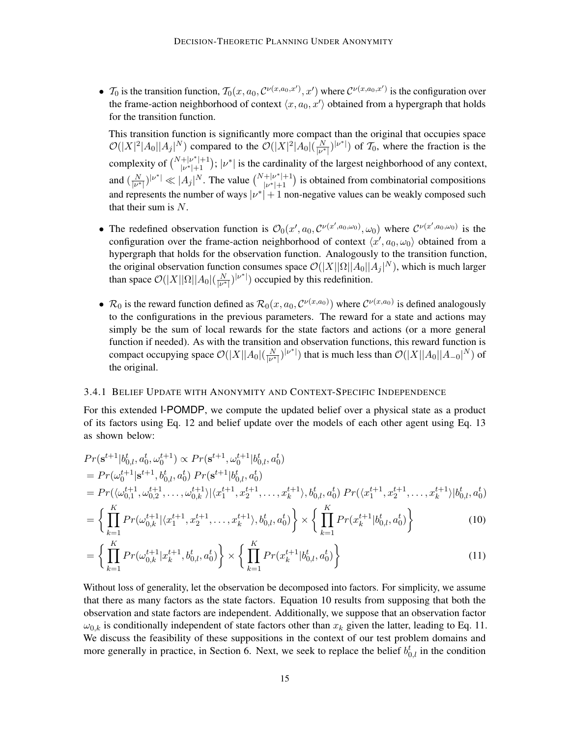•  $\mathcal{T}_0$  is the transition function,  $\mathcal{T}_0(x, a_0, \mathcal{C}^{\nu(x, a_0, x')}, x')$  where  $\mathcal{C}^{\nu(x, a_0, x')}$  is the configuration over the frame-action neighborhood of context  $\langle x, a_0, x' \rangle$  obtained from a hypergraph that holds for the transition function.

This transition function is significantly more compact than the original that occupies space  $\mathcal{O}(|X|^2|A_0||A_j|^N)$  compared to the  $\mathcal{O}(|X|^2|A_0|(\frac{N}{|\nu^*|}))$  $\frac{N}{|\nu^*|}$  ( $|\nu^*|$ ) of  $\mathcal{T}_0$ , where the fraction is the complexity of  $\binom{N+|\nu^*|+1}{|\nu^*|+1}$  $\vert v^* \vert + 1$ );  $\vert v^* \vert$  is the cardinality of the largest neighborhood of any context, and  $\left(\frac{N}{\ln n}\right)$  $\frac{N}{|\nu^*|}$ ,  $|\nu^*| \ll |A_j|^N$ . The value  $\binom{N+|\nu^*|+1}{|\nu^*|+1}$  $\frac{+|\nu^*|+1}{|\nu^*|+1}$  is obtained from combinatorial compositions and represents the number of ways  $|\nu^*| + 1$  non-negative values can be weakly composed such that their sum is N.

- The redefined observation function is  $\mathcal{O}_0(x', a_0, \mathcal{C}^{\nu(x', a_0, \omega_0)}, \omega_0)$  where  $\mathcal{C}^{\nu(x', a_0, \omega_0)}$  is the configuration over the frame-action neighborhood of context  $\langle x', a_0, \omega_0 \rangle$  obtained from a hypergraph that holds for the observation function. Analogously to the transition function, the original observation function consumes space  $\mathcal{O}(|X| |\Omega| |A_0| |A_j|^N)$ , which is much larger than space  $\mathcal{O}(|X||\Omega||A_0|(\frac{N}{\nu^*}))$  $\frac{N}{|\nu^*|}$ ) occupied by this redefinition.
- $\mathcal{R}_0$  is the reward function defined as  $\mathcal{R}_0(x, a_0, \mathcal{C}^{\nu(x, a_0)})$  where  $\mathcal{C}^{\nu(x, a_0)}$  is defined analogously to the configurations in the previous parameters. The reward for a state and actions may simply be the sum of local rewards for the state factors and actions (or a more general function if needed). As with the transition and observation functions, this reward function is compact occupying space  $\mathcal{O}(|X| |A_0|(\frac{N}{|\nu^*|}))$  $\frac{N}{|\nu^*|}$ ) that is much less than  $\mathcal{O}(|X||A_0||A_{-0}|^N)$  of the original.

## 3.4.1 BELIEF UPDATE WITH ANONYMITY AND CONTEXT-SPECIFIC INDEPENDENCE

For this extended I-POMDP, we compute the updated belief over a physical state as a product of its factors using Eq. 12 and belief update over the models of each other agent using Eq. 13 as shown below:

$$
Pr(\mathbf{s}^{t+1}|b_{0,l}^t, a_0^t, \omega_0^{t+1}) \propto Pr(\mathbf{s}^{t+1}, \omega_0^{t+1}|b_{0,l}^t, a_0^t)
$$
  
=  $Pr(\omega_0^{t+1}|\mathbf{s}^{t+1}, b_{0,l}^t, a_0^t) Pr(\mathbf{s}^{t+1}|b_{0,l}^t, a_0^t)$   
=  $Pr(\langle \omega_{0,1}^{t+1}, \omega_{0,2}^{t+1}, \dots, \omega_{0,k}^{t+1} \rangle | \langle x_1^{t+1}, x_2^{t+1}, \dots, x_k^{t+1} \rangle, b_{0,l}^t, a_0^t) Pr(\langle x_1^{t+1}, x_2^{t+1}, \dots, x_k^{t+1} \rangle | b_{0,l}^t, a_0^t)$ 

$$
= \left\{ \prod_{k=1}^{K} Pr(\omega_{0,k}^{t+1}|\langle x_1^{t+1}, x_2^{t+1}, \dots, x_k^{t+1} \rangle, b_{0,l}^t, a_0^t) \right\} \times \left\{ \prod_{k=1}^{K} Pr(x_k^{t+1}|b_{0,l}^t, a_0^t) \right\} \tag{10}
$$

$$
= \left\{ \prod_{k=1}^{K} Pr(\omega_{0,k}^{t+1} | x_k^{t+1}, b_{0,l}^t, a_0^t) \right\} \times \left\{ \prod_{k=1}^{K} Pr(x_k^{t+1} | b_{0,l}^t, a_0^t) \right\} \tag{11}
$$

Without loss of generality, let the observation be decomposed into factors. For simplicity, we assume that there as many factors as the state factors. Equation 10 results from supposing that both the observation and state factors are independent. Additionally, we suppose that an observation factor  $\omega_{0,k}$  is conditionally independent of state factors other than  $x_k$  given the latter, leading to Eq. 11. We discuss the feasibility of these suppositions in the context of our test problem domains and more generally in practice, in Section 6. Next, we seek to replace the belief  $b_{0,l}^t$  in the condition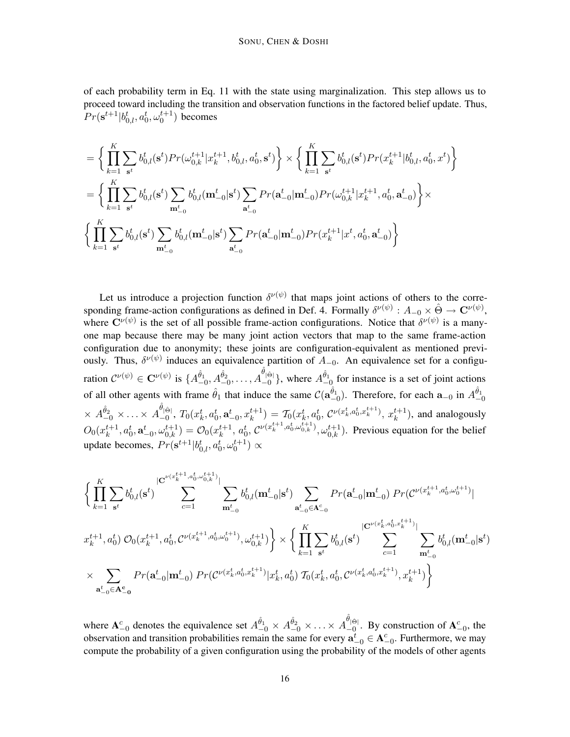of each probability term in Eq. 11 with the state using marginalization. This step allows us to proceed toward including the transition and observation functions in the factored belief update. Thus,  $Pr(\mathbf{s}^{t+1} | b^{t}_{0,l}, a^{t}_{0}, \omega^{t+1}_{0})$  becomes

$$
\begin{split} & = \bigg\{\prod_{k=1}^{K}\sum_{\mathbf{s}^{t}}b_{0,l}^{t}(\mathbf{s}^{t})Pr(\omega_{0,k}^{t+1}|x_{k}^{t+1},b_{0,l}^{t},a_{0}^{t},\mathbf{s}^{t})\bigg\}\times\bigg\{\prod_{k=1}^{K}\sum_{\mathbf{s}^{t}}b_{0,l}^{t}(\mathbf{s}^{t})Pr(x_{k}^{t+1}|b_{0,l}^{t},a_{0}^{t},x^{t})\bigg\}\\ &=\bigg\{\prod_{k=1}^{K}\sum_{\mathbf{s}^{t}}b_{0,l}^{t}(\mathbf{s}^{t})\sum_{\mathbf{m}_{-0}^{t}}b_{0,l}^{t}(\mathbf{m}_{-0}^{t}|\mathbf{s}^{t})\sum_{\mathbf{a}_{-0}^{t}}Pr(\mathbf{a}_{-0}^{t}|\mathbf{m}_{-0}^{t})Pr(\omega_{0,k}^{t+1}|x_{k}^{t+1},a_{0}^{t},\mathbf{a}_{-0}^{t})\bigg\}\times\\ & \bigg\{\prod_{k=1}^{K}\sum_{\mathbf{s}^{t}}b_{0,l}^{t}(\mathbf{s}^{t})\sum_{\mathbf{m}_{-0}^{t}}b_{0,l}^{t}(\mathbf{m}_{-0}^{t}|\mathbf{s}^{t})\sum_{\mathbf{a}_{-0}^{t}}Pr(\mathbf{a}_{-0}^{t}|\mathbf{m}_{-0}^{t})Pr(x_{k}^{t+1}|x^{t},a_{0}^{t},\mathbf{a}_{-0}^{t})\bigg\} \end{split}
$$

Let us introduce a projection function  $\delta^{\nu(\psi)}$  that maps joint actions of others to the corresponding frame-action configurations as defined in Def. 4. Formally  $\delta^{\nu(\psi)}: A_{-0} \times \hat{\Theta} \to \mathbb{C}^{\nu(\psi)}$ , where  $\mathbf{C}^{\nu(\psi)}$  is the set of all possible frame-action configurations. Notice that  $\delta^{\nu(\psi)}$  is a manyone map because there may be many joint action vectors that map to the same frame-action configuration due to anonymity; these joints are configuration-equivalent as mentioned previously. Thus,  $\delta^{\nu(\psi)}$  induces an equivalence partition of  $A_{-0}$ . An equivalence set for a configuration  $\mathcal{C}^{\nu(\psi)} \in \mathbf{C}^{\nu(\psi)}$  is  $\{A^{\hat{\theta}_1}_{-0}, A^{\hat{\theta}_2}_{-0}, \ldots, A^{\hat{\theta}_{|\hat{\Theta}|}}_{-0}$  $\binom{\theta_{|\hat{\Theta}|}}{-0}$ , where  $A_{-0}^{\hat{\theta}_{1}}$  for instance is a set of joint actions of all other agents with frame  $\hat{\theta}_1$  that induce the same  $\mathcal{C}(\mathbf{a}_{-0}^{\hat{\theta}_1})$ . Therefore, for each  $\mathbf{a}_{-0}$  in  $A_{-0}^{\hat{\theta}_1}$  $\times$   $A_{-0}^{\hat{\theta}_2}$   $\times$   $\ldots$   $\times$   $A_{-0}^{\hat{\theta}_{|\hat{\Theta}|}}$  $\mathcal{L}_{-0}^{[0]}$ ,  $T_0(x_k^t, a_0^t, \mathbf{a}_{-0}^t, x_k^{t+1}) = \mathcal{T}_0(x_k^t, a_0^t, \mathcal{C}^{\nu(x_k^t, a_0^t, x_k^{t+1})}, x_k^{t+1})$ , and analogously  $O_0(x_k^{t+1}$  $k^{t+1}, a_0^t, \mathbf{a}_{-0}^t, \omega_{0,k}^{t+1}) = \mathcal{O}_0(x_k^{t+1})$  $k^{t+1}$ ,  $a_0^t$ ,  $C^{\nu(x_k^{t+1}, a_0^t, \omega_{0,k}^{t+1})}$ ,  $\omega_{0,k}^{t+1}$ ). Previous equation for the belief update becomes,  $Pr(\mathbf{s}^{t+1} | b_{0,l}^t, a_0^t, \omega_0^{t+1}) \propto$ 

$$
\begin{split} &\bigg\{\prod_{k=1}^{K}\sum_{\mathbf{s}^{t}}b_{0,l}^{t}(\mathbf{s}^{t})\sum_{c=1}^{|\mathbf{C}^{\nu(x_{k}^{t+1},a_{0}^{t},\omega_{0,k}^{t+1})}|}\sum_{\mathbf{m}_{-0}^{t}}b_{0,l}^{t}(\mathbf{m}_{-0}^{t}|\mathbf{s}^{t})\sum_{\mathbf{a}_{-0}^{t}\in\mathbf{A}_{-0}^{c}}Pr(\mathbf{a}_{-0}^{t}|\mathbf{m}_{-0}^{t})\Pr(\mathcal{C}^{\nu(x_{k}^{t+1},a_{0}^{t},\omega_{0}^{t+1})}|\\ &x_{k}^{t+1},a_{0}^{t})\;\mathcal{O}_{0}(x_{k}^{t+1},a_{0}^{t},\mathcal{C}^{\nu(x_{k}^{t+1},a_{0}^{t},\omega_{0}^{t+1})},\omega_{0,k}^{t+1})\bigg\}\times\bigg\{\prod_{k=1}^{K}\sum_{\mathbf{s}^{t}}b_{0,l}^{t}(\mathbf{s}^{t})\sum_{c=1}^{|\mathbf{C}^{\nu(x_{k}^{t},a_{0}^{t},x_{k}^{t+1})}|}\sum_{\mathbf{m}_{-0}^{t}}b_{0,l}^{t}(\mathbf{m}_{-0}^{t}|\mathbf{s}^{t})\\ &\times\sum_{\mathbf{a}_{-0}^{t}\in\mathbf{A}_{-0}^{c}}Pr(\mathbf{a}_{-0}^{t}|\mathbf{m}_{-0}^{t})\;Pr(\mathcal{C}^{\nu(x_{k}^{t},a_{0}^{t},x_{k}^{t+1})|x_{k}^{t},a_{0}^{t})\;\mathcal{T}_{0}(x_{k}^{t},a_{0}^{t},\mathcal{C}^{\nu(x_{k}^{t},a_{0}^{t},x_{k}^{t+1})},x_{k}^{t+1})\bigg\}\end{split}
$$

where  $A_{-0}^c$  denotes the equivalence set  $A_{-0}^{\hat{\theta}_1} \times A_{-0}^{\hat{\theta}_2} \times \ldots \times A_{-0}^{\hat{\theta}_{|\hat{\Theta}|}}$  $\frac{1}{2}$ ( $\Theta$ ). By construction of  $A_{-0}^c$ , the observation and transition probabilities remain the same for every  $\mathbf{a}_{-0}^t \in \mathbf{A}_{-0}^c$ . Furthermore, we may compute the probability of a given configuration using the probability of the models of other agents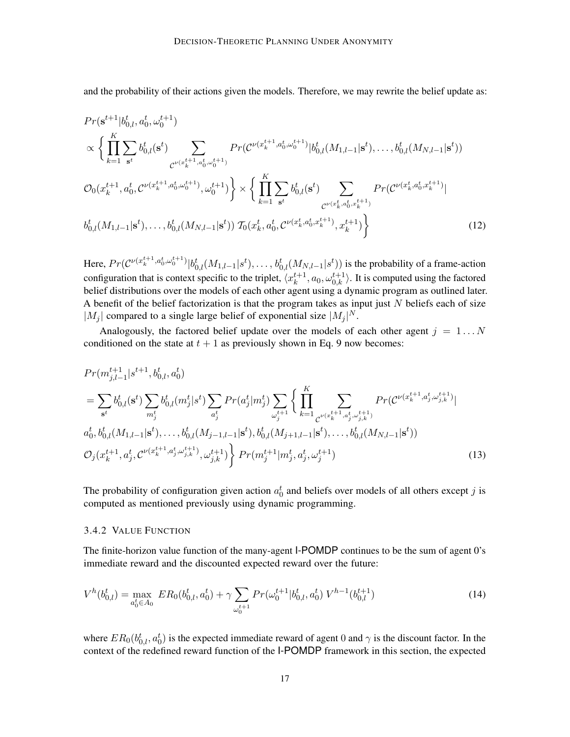and the probability of their actions given the models. Therefore, we may rewrite the belief update as:

$$
Pr(\mathbf{s}^{t+1}|b_{0,l}^{t}, a_{0,l}^{t}, \omega_{0}^{t+1})
$$
\n
$$
\propto \left\{ \prod_{k=1}^{K} \sum_{\mathbf{s}^{t}} b_{0,l}^{t}(\mathbf{s}^{t}) \sum_{\mathcal{C}^{\nu(x_{k}^{t+1}, a_{0,\omega_{0}^{t+1}}^{t})}} Pr(\mathcal{C}^{\nu(x_{k}^{t+1}, a_{0,\omega_{0}^{t}}^{t})}|b_{0,l}^{t}(M_{1,l-1}|\mathbf{s}^{t}), \dots, b_{0,l}^{t}(M_{N,l-1}|\mathbf{s}^{t}))
$$
\n
$$
\mathcal{O}_{0}(x_{k}^{t+1}, a_{0,l}^{t}, \mathcal{C}^{\nu(x_{k}^{t+1}, a_{0,\omega_{0}^{t+1}}^{t})}, \omega_{0}^{t+1}) \right\} \times \left\{ \prod_{k=1}^{K} \sum_{\mathbf{s}^{t}} b_{0,l}^{t}(\mathbf{s}^{t}) \sum_{\mathcal{C}^{\nu(x_{k}^{t}, a_{0}^{t}, x_{k}^{t+1})}} Pr(\mathcal{C}^{\nu(x_{k}^{t}, a_{0}^{t}, x_{k}^{t+1})}|\mathcal{C}^{\nu(x_{k}^{t}, a_{0}^{t}, x_{k}^{t+1})}, \dots, b_{0,l}^{t}(M_{N,l-1}|\mathbf{s}^{t}), \dots, b_{0,l}^{t}(M_{N,l-1}|\mathbf{s}^{t})) \mathcal{T}_{0}(x_{k}^{t}, a_{0,l}^{t}, \mathcal{C}^{\nu(x_{k}^{t}, a_{0}^{t}, x_{k}^{t+1})}, x_{k}^{t+1}) \right\}
$$
\n
$$
(12)
$$

Here,  $Pr(C^{\nu(x_k^{t+1}, a_0^t, \omega_0^{t+1})} | b_{0,l}^t(M_{1,l-1}|s^t), \dots, b_{0,l}^t(M_{N,l-1}|s^t))$  is the probability of a frame-action configuration that is context specific to the triplet,  $\langle x_k^{t+1} \rangle$  $k^{t+1}_{k}$ ,  $a_0, \omega_{0,k}^{t+1}$ . It is computed using the factored belief distributions over the models of each other agent using a dynamic program as outlined later. A benefit of the belief factorization is that the program takes as input just  $N$  beliefs each of size  $|M_j|$  compared to a single large belief of exponential size  $|M_j|^N$ .

Analogously, the factored belief update over the models of each other agent  $j = 1...N$ conditioned on the state at  $t + 1$  as previously shown in Eq. 9 now becomes:

$$
Pr(m_{j,l-1}^{t+1}|s^{t+1}, b_{0,l}^t, a_0^t)
$$
\n
$$
= \sum_{s^t} b_{0,l}^t(s^t) \sum_{m_j^t} b_{0,l}^t(m_j^t|s^t) \sum_{a_j^t} Pr(a_j^t|m_j^t) \sum_{\omega_j^{t+1}} \left\{ \prod_{k=1}^K \sum_{\mathcal{C}^{\nu(x_k^{t+1}, a_j^t, \omega_{j,k}^{t+1})}} Pr(\mathcal{C}^{\nu(x_k^{t+1}, a_j^t, \omega_{j,k}^{t+1})}|
$$
\n
$$
a_0^t, b_{0,l}^t(M_{1,l-1}|s^t), \dots, b_{0,l}^t(M_{j-1,l-1}|s^t), b_{0,l}^t(M_{j+1,l-1}|s^t), \dots, b_{0,l}^t(M_{N,l-1}|s^t))
$$
\n
$$
\mathcal{O}_j(x_k^{t+1}, a_j^t, \mathcal{C}^{\nu(x_k^{t+1}, a_j^t, \omega_{j,k}^{t+1})}, \omega_{j,k}^{t+1}) \right\} Pr(m_j^{t+1}|m_j^t, a_j^t, \omega_j^{t+1})
$$
\n
$$
(13)
$$

The probability of configuration given action  $a_0^t$  and beliefs over models of all others except j is computed as mentioned previously using dynamic programming.

#### 3.4.2 VALUE FUNCTION

The finite-horizon value function of the many-agent I-POMDP continues to be the sum of agent 0's immediate reward and the discounted expected reward over the future:

$$
V^h(b_{0,l}^t) = \max_{a_0^t \in A_0} ER_0(b_{0,l}^t, a_0^t) + \gamma \sum_{\omega_0^{t+1}} Pr(\omega_0^{t+1} | b_{0,l}^t, a_0^t) V^{h-1}(b_{0,l}^{t+1})
$$
\n(14)

where  $ER_0(b_{0,l}^t, a_0^t)$  is the expected immediate reward of agent 0 and  $\gamma$  is the discount factor. In the context of the redefined reward function of the I-POMDP framework in this section, the expected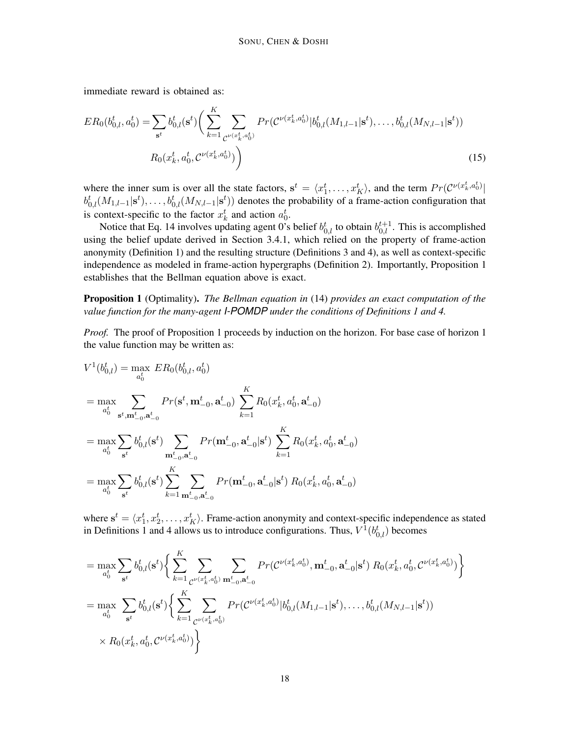immediate reward is obtained as:

$$
ER_0(b_{0,l}^t, a_0^t) = \sum_{\mathbf{s}^t} b_{0,l}^t(\mathbf{s}^t) \bigg(\sum_{k=1}^K \sum_{\mathcal{C}^{\nu(x_k^t, a_0^t)}} Pr(\mathcal{C}^{\nu(x_k^t, a_0^t)} | b_{0,l}^t(M_{1,l-1} | \mathbf{s}^t), \dots, b_{0,l}^t(M_{N,l-1} | \mathbf{s}^t))
$$
  

$$
R_0(x_k^t, a_0^t, \mathcal{C}^{\nu(x_k^t, a_0^t)})\bigg)
$$
 (15)

where the inner sum is over all the state factors,  $s^t = \langle x_1^t, \ldots, x_K^t \rangle$ , and the term  $Pr(\mathcal{C}^{\nu(x_k^t, a_0^t)} |$  $b_{0,l}^t(M_{1,l-1}|\mathbf{s}^t),\ldots,b_{0,l}^t(M_{N,l-1}|\mathbf{s}^t))$  denotes the probability of a frame-action configuration that is context-specific to the factor  $x_k^t$  and action  $a_0^t$ .

Notice that Eq. 14 involves updating agent 0's belief  $b_{0,l}^t$  to obtain  $b_{0,l}^{t+1}$ . This is accomplished using the belief update derived in Section 3.4.1, which relied on the property of frame-action anonymity (Definition 1) and the resulting structure (Definitions 3 and 4), as well as context-specific independence as modeled in frame-action hypergraphs (Definition 2). Importantly, Proposition 1 establishes that the Bellman equation above is exact.

Proposition 1 (Optimality). *The Bellman equation in* (14) *provides an exact computation of the value function for the many-agent I-POMDP under the conditions of Definitions 1 and 4.*

*Proof.* The proof of Proposition 1 proceeds by induction on the horizon. For base case of horizon 1 the value function may be written as:

$$
V^{1}(b_{0,l}^{t}) = \max_{a_{0}^{t}} ER_{0}(b_{0,l}^{t}, a_{0}^{t})
$$
  
\n
$$
= \max_{a_{0}^{t}} \sum_{\mathbf{s}^{t}, \mathbf{m}_{-0}^{t}, \mathbf{a}_{-0}^{t}} Pr(\mathbf{s}^{t}, \mathbf{m}_{-0}^{t}, \mathbf{a}_{-0}^{t}) \sum_{k=1}^{K} R_{0}(x_{k}^{t}, a_{0}^{t}, \mathbf{a}_{-0}^{t})
$$
  
\n
$$
= \max_{a_{0}^{t}} \sum_{\mathbf{s}^{t}} b_{0,l}^{t}(\mathbf{s}^{t}) \sum_{\mathbf{m}_{-0}^{t}, \mathbf{a}_{-0}^{t}} Pr(\mathbf{m}_{-0}^{t}, \mathbf{a}_{-0}^{t} | \mathbf{s}^{t}) \sum_{k=1}^{K} R_{0}(x_{k}^{t}, a_{0}^{t}, \mathbf{a}_{-0}^{t})
$$
  
\n
$$
= \max_{a_{0}^{t}} \sum_{\mathbf{s}^{t}} b_{0,l}^{t}(\mathbf{s}^{t}) \sum_{k=1}^{K} \sum_{\mathbf{m}_{-0}^{t}, \mathbf{a}_{-0}^{t}} Pr(\mathbf{m}_{-0}^{t}, \mathbf{a}_{-0}^{t} | \mathbf{s}^{t}) R_{0}(x_{k}^{t}, a_{0}^{t}, \mathbf{a}_{-0}^{t})
$$

where  $s^t = \langle x_1^t, x_2^t, \dots, x_K^t \rangle$ . Frame-action anonymity and context-specific independence as stated in Definitions 1 and 4 allows us to introduce configurations. Thus,  $V^1(b_{0,l}^t)$  becomes

$$
= \max_{a_0^t} \sum_{s^t} b_{0,l}^t(s^t) \Big\{ \sum_{k=1}^K \sum_{\mathcal{C}^{\nu(x_k^t, a_0^t)}} \sum_{\mathbf{m}_{-0}^t, \mathbf{a}_{-0}^t} Pr(\mathcal{C}^{\nu(x_k^t, a_0^t)}, \mathbf{m}_{-0}^t, \mathbf{a}_{-0}^t | \mathbf{s}^t) R_0(x_k^t, a_0^t, \mathcal{C}^{\nu(x_k^t, a_0^t)}) \Big\}
$$
  
\n
$$
= \max_{a_0^t} \sum_{s^t} b_{0,l}^t(s^t) \Big\{ \sum_{k=1}^K \sum_{\mathcal{C}^{\nu(x_k^t, a_0^t)}} Pr(\mathcal{C}^{\nu(x_k^t, a_0^t)} | b_{0,l}^t(M_{1,l-1} | \mathbf{s}^t), \dots, b_{0,l}^t(M_{N,l-1} | \mathbf{s}^t))
$$
  
\n
$$
\times R_0(x_k^t, a_0^t, \mathcal{C}^{\nu(x_k^t, a_0^t)}) \Big\}
$$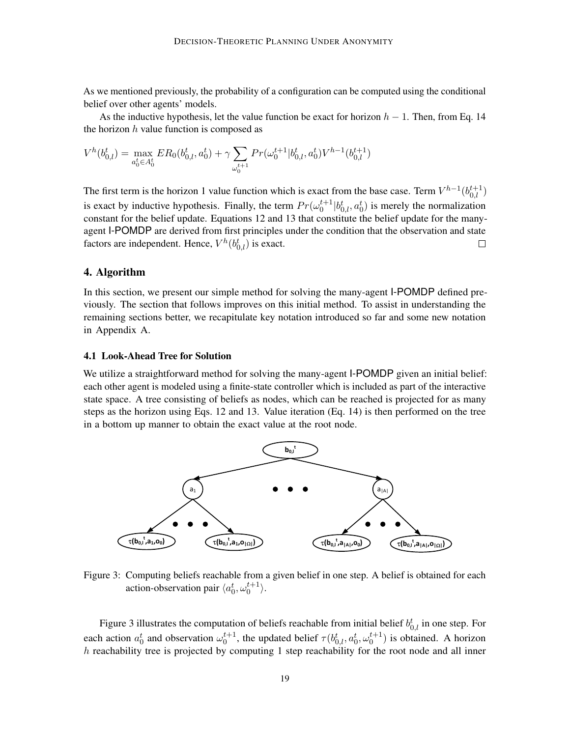As we mentioned previously, the probability of a configuration can be computed using the conditional belief over other agents' models.

As the inductive hypothesis, let the value function be exact for horizon  $h - 1$ . Then, from Eq. 14 the horizon  $h$  value function is composed as

$$
V^h(b_{0,l}^t) = \max_{a_0^t \in A_0^t} ER_0(b_{0,l}^t, a_0^t) + \gamma \sum_{\omega_0^{t+1}} Pr(\omega_0^{t+1}|b_{0,l}^t, a_0^t) V^{h-1}(b_{0,l}^{t+1})
$$

The first term is the horizon 1 value function which is exact from the base case. Term  $V^{h-1}(b_{0,l}^{t+1})$ is exact by inductive hypothesis. Finally, the term  $Pr(\omega_0^{t+1} | b_{0,l}^t, a_0^t)$  is merely the normalization constant for the belief update. Equations 12 and 13 that constitute the belief update for the manyagent I-POMDP are derived from first principles under the condition that the observation and state factors are independent. Hence,  $V^h(b_{0,l}^t)$  is exact.  $\Box$ 

## 4. Algorithm

In this section, we present our simple method for solving the many-agent I-POMDP defined previously. The section that follows improves on this initial method. To assist in understanding the remaining sections better, we recapitulate key notation introduced so far and some new notation in Appendix A.

#### 4.1 Look-Ahead Tree for Solution

We utilize a straightforward method for solving the many-agent I-POMDP given an initial belief: each other agent is modeled using a finite-state controller which is included as part of the interactive state space. A tree consisting of beliefs as nodes, which can be reached is projected for as many steps as the horizon using Eqs. 12 and 13. Value iteration (Eq. 14) is then performed on the tree in a bottom up manner to obtain the exact value at the root node.



Figure 3: Computing beliefs reachable from a given belief in one step. A belief is obtained for each action-observation pair  $\langle a_0^t, \omega_0^{t+1} \rangle$ .

Figure 3 illustrates the computation of beliefs reachable from initial belief  $b_{0,l}^t$  in one step. For each action  $a_0^t$  and observation  $\omega_0^{t+1}$ , the updated belief  $\tau(b_{0,l}^t, a_0^t, \omega_0^{t+1})$  is obtained. A horizon  $h$  reachability tree is projected by computing 1 step reachability for the root node and all inner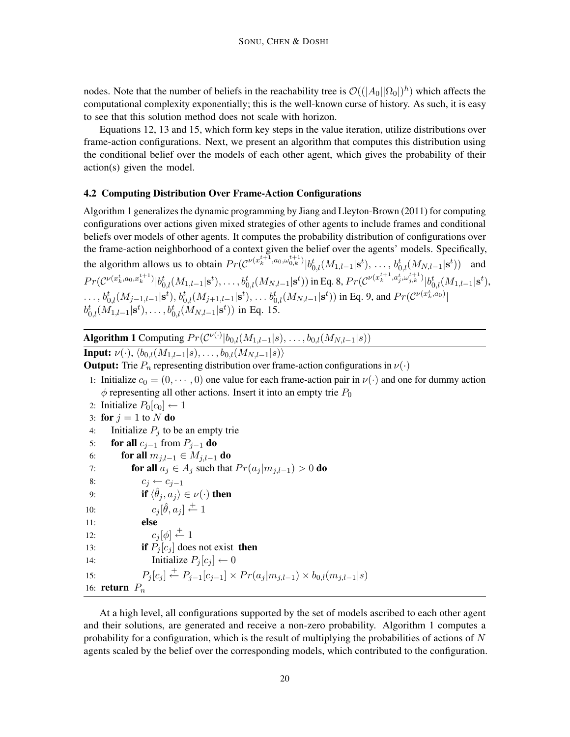nodes. Note that the number of beliefs in the reachability tree is  $\mathcal{O}((|A_0||\Omega_0|)^h)$  which affects the computational complexity exponentially; this is the well-known curse of history. As such, it is easy to see that this solution method does not scale with horizon.

Equations 12, 13 and 15, which form key steps in the value iteration, utilize distributions over frame-action configurations. Next, we present an algorithm that computes this distribution using the conditional belief over the models of each other agent, which gives the probability of their action(s) given the model.

## 4.2 Computing Distribution Over Frame-Action Configurations

Algorithm 1 generalizes the dynamic programming by Jiang and Lleyton-Brown (2011) for computing configurations over actions given mixed strategies of other agents to include frames and conditional beliefs over models of other agents. It computes the probability distribution of configurations over the frame-action neighborhood of a context given the belief over the agents' models. Specifically, the algorithm allows us to obtain  $Pr(\mathcal{C}^{\nu(x_k^{t+1}, a_0, \omega_{0,k}^{t+1})} | b_{0,l}^t(M_{1,l-1} | s^t), \dots, b_{0,l}^t(M_{N,l-1} | s^t))$  and  $Pr(\mathcal{C}^{\nu(x_k^t, a_0, x_k^{t+1})}|b_{0,l}^t(M_{1,l-1}|\mathbf{s}^t), \dots, b_{0,l}^t(M_{N,l-1}|\mathbf{s}^t)) \text{ in Eq. 8, } Pr(\mathcal{C}^{\nu(x_k^{t+1}, a_j^t, \omega_{j,k}^{t+1})}|b_{0,l}^t(M_{1,l-1}|\mathbf{s}^t),$  $\ldots, b_{0,l}^t(M_{j-1,l-1}|\mathbf{s}^t), b_{0,l}^t(M_{j+1,l-1}|\mathbf{s}^t), \ldots b_{0,l}^t(M_{N,l-1}|\mathbf{s}^t))$  in Eq. 9, and  $Pr(\mathcal{C}^{\nu(x_k^t, a_0)}|$  $b_{0,l}^{t}(M_{1,l-1}|\mathbf{s}^{t}), \ldots, b_{0,l}^{t}(M_{N,l-1}|\mathbf{s}^{t}))$  in Eq. 15.

**Algorithm 1** Computing  $Pr(C^{\nu(\cdot)} | b_{0,l}(M_{1,l-1}|s), \ldots, b_{0,l}(M_{N,l-1}|s))$ 

**Input:**  $\nu(\cdot)$ ,  $\langle b_{0,l}(M_{1,l-1}|s), \ldots, b_{0,l}(M_{N,l-1}|s) \rangle$ 

**Output:** Trie  $P_n$  representing distribution over frame-action configurations in  $\nu(\cdot)$ 

- 1: Initialize  $c_0 = (0, \dots, 0)$  one value for each frame-action pair in  $\nu(\cdot)$  and one for dummy action  $\phi$  representing all other actions. Insert it into an empty trie  $P_0$
- 2: Initialize  $P_0[c_0] \leftarrow 1$

```
3: for j = 1 to N do
```
- 4: Initialize  $P_i$  to be an empty trie
- 5: **for all**  $c_{j-1}$  from  $P_{j-1}$  **do**
- 6: **for all**  $m_{i,l-1} \in M_{i,l-1}$  **do**
- 7: **for all**  $a_j \in A_j$  such that  $Pr(a_j | m_{j,l-1}) > 0$  **do**
- 8:  $c_j \leftarrow c_{j-1}$
- 9: **if**  $\langle \hat{\theta}_j, a_j \rangle \in \nu(\cdot)$  then
- 10:  $c_j[\hat{\theta}, a_j] \stackrel{+}{\leftarrow} 1$

```
11: else
```

```
12: c_j[\phi] \stackrel{+}{\leftarrow} 1
```

```
13: if P_j[c_j] does not exist then
```

```
14: Initialize P_i[c_i] \leftarrow 0
```
15:  $P_j[c_j] \stackrel{+}{\leftarrow} P_{j-1}[c_{j-1}] \times Pr(a_j|m_{j,l-1}) \times b_{0,l}(m_{j,l-1}|s)$ 

16: return  $P_n$ 

At a high level, all configurations supported by the set of models ascribed to each other agent and their solutions, are generated and receive a non-zero probability. Algorithm 1 computes a probability for a configuration, which is the result of multiplying the probabilities of actions of  $N$ agents scaled by the belief over the corresponding models, which contributed to the configuration.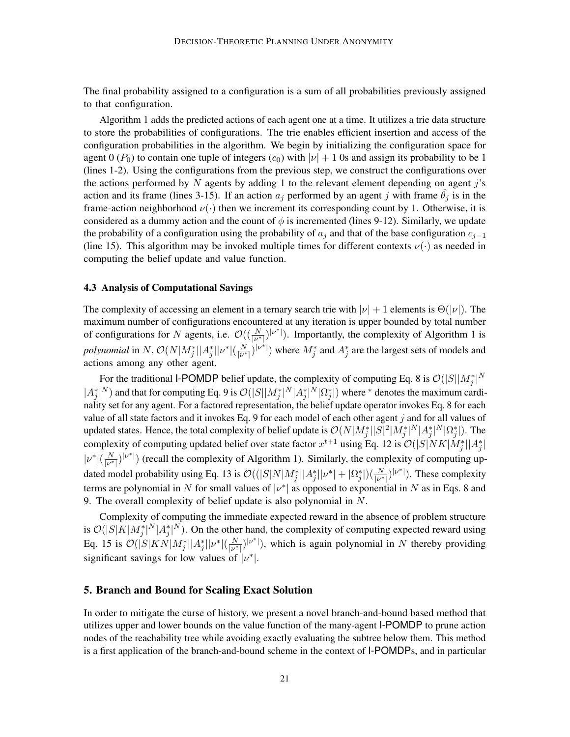The final probability assigned to a configuration is a sum of all probabilities previously assigned to that configuration.

Algorithm 1 adds the predicted actions of each agent one at a time. It utilizes a trie data structure to store the probabilities of configurations. The trie enables efficient insertion and access of the configuration probabilities in the algorithm. We begin by initializing the configuration space for agent 0 ( $P_0$ ) to contain one tuple of integers ( $c_0$ ) with  $|\nu| + 1$  0s and assign its probability to be 1 (lines 1-2). Using the configurations from the previous step, we construct the configurations over the actions performed by  $N$  agents by adding 1 to the relevant element depending on agent j's action and its frame (lines 3-15). If an action  $a_j$  performed by an agent j with frame  $\theta_j$  is in the frame-action neighborhood  $\nu(\cdot)$  then we increment its corresponding count by 1. Otherwise, it is considered as a dummy action and the count of  $\phi$  is incremented (lines 9-12). Similarly, we update the probability of a configuration using the probability of  $a_j$  and that of the base configuration  $c_{j-1}$ (line 15). This algorithm may be invoked multiple times for different contexts  $\nu(\cdot)$  as needed in computing the belief update and value function.

### 4.3 Analysis of Computational Savings

The complexity of accessing an element in a ternary search trie with  $|\nu| + 1$  elements is  $\Theta(|\nu|)$ . The maximum number of configurations encountered at any iteration is upper bounded by total number of configurations for N agents, i.e.  $\mathcal{O}((\frac{N}{|\nu^*|})^{|\nu^*|})$ . Importantly, the complexity of Algorithm 1 is polynomial in N,  $\mathcal{O}(N|M_j^*||A_j^*||\nu^*|(\frac{N}{|\nu^*|})$  $\frac{N}{|\nu^*|}$  where  $M_j^*$  and  $A_j^*$  are the largest sets of models and actions among any other agent.

For the traditional I-POMDP belief update, the complexity of computing Eq. 8 is  $\mathcal{O}(|S||M_j^*|^{N})$  $|A_j^*|^N$  and that for computing Eq. 9 is  $\mathcal{O}(|S||M_j^*|^N|A_j^*|^N|\Omega_j^*|)$  where  $^*$  denotes the maximum cardinality set for any agent. For a factored representation, the belief update operator invokes Eq. 8 for each value of all state factors and it invokes Eq. 9 for each model of each other agent j and for all values of updated states. Hence, the total complexity of belief update is  $\mathcal{O}(N|M_j^*||S|^2|M_j^*|^N|A_j^*|^N|\Omega_j^*|)$ . The complexity of computing updated belief over state factor  $x^{t+1}$  using Eq. 12 is  $\mathcal{O}(|S|NK|M_j^*||A_j^*|$  $|\nu^*|(\frac{N}{\nu^*})$  $\frac{N}{|\nu^*|}$ ) (recall the complexity of Algorithm 1). Similarly, the complexity of computing updated model probability using Eq. 13 is  $\mathcal{O}((|S|N|M_j^*||A_j^*||\nu^*| + |\Omega_j^*|)(\frac{N}{|\nu^*|})$ . These complexity terms are polynomial in N for small values of  $|v^*|$  as opposed to exponential in N as in Eqs. 8 and 9. The overall complexity of belief update is also polynomial in N.

Complexity of computing the immediate expected reward in the absence of problem structure is  $\mathcal{O}(|S|K|M_j^*|^N|A_j^*|^N)$ . On the other hand, the complexity of computing expected reward using Eq. 15 is  $\mathcal{O}(|S|KN|M_j^*||A_j^*||\nu^*|(\frac{N}{|\nu^*|})$  $\frac{N}{|\nu^*|}$ , which is again polynomial in N thereby providing significant savings for low values of  $|\nu^*|$ .

## 5. Branch and Bound for Scaling Exact Solution

In order to mitigate the curse of history, we present a novel branch-and-bound based method that utilizes upper and lower bounds on the value function of the many-agent I-POMDP to prune action nodes of the reachability tree while avoiding exactly evaluating the subtree below them. This method is a first application of the branch-and-bound scheme in the context of I-POMDPs, and in particular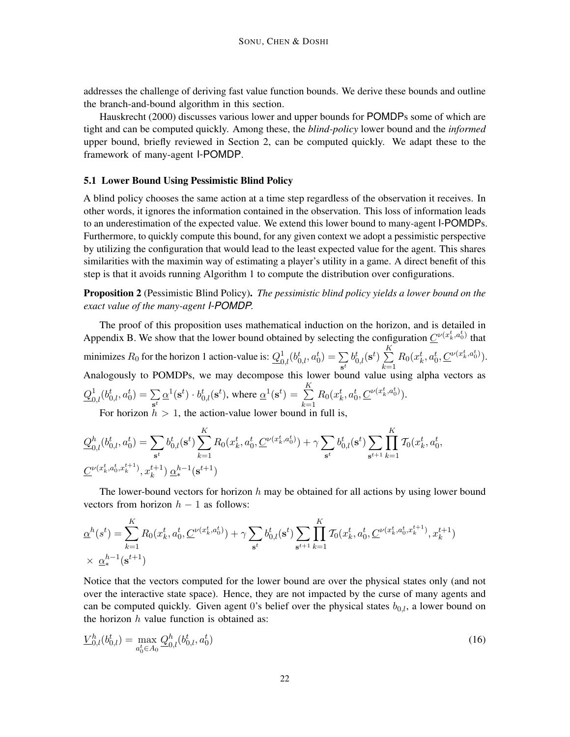addresses the challenge of deriving fast value function bounds. We derive these bounds and outline the branch-and-bound algorithm in this section.

Hauskrecht (2000) discusses various lower and upper bounds for POMDPs some of which are tight and can be computed quickly. Among these, the *blind-policy* lower bound and the *informed* upper bound, briefly reviewed in Section 2, can be computed quickly. We adapt these to the framework of many-agent I-POMDP.

#### 5.1 Lower Bound Using Pessimistic Blind Policy

A blind policy chooses the same action at a time step regardless of the observation it receives. In other words, it ignores the information contained in the observation. This loss of information leads to an underestimation of the expected value. We extend this lower bound to many-agent I-POMDPs. Furthermore, to quickly compute this bound, for any given context we adopt a pessimistic perspective by utilizing the configuration that would lead to the least expected value for the agent. This shares similarities with the maximin way of estimating a player's utility in a game. A direct benefit of this step is that it avoids running Algorithm 1 to compute the distribution over configurations.

Proposition 2 (Pessimistic Blind Policy). *The pessimistic blind policy yields a lower bound on the exact value of the many-agent I-POMDP.*

The proof of this proposition uses mathematical induction on the horizon, and is detailed in Appendix B. We show that the lower bound obtained by selecting the configuration  $C^{\nu(x_k^t, a_0^t)}$  that minimizes  $R_0$  for the horizon 1 action-value is:  $Q_{0,l}^1(b_{0,l}^t, a_0^t) = \sum_{k=1}^{l} d_k$  $\sum_{\mathbf{s}^t} b_{0,l}^t(\mathbf{s}^t) \sum_{k=1}^K$  $k=1$  $R_0(x_k^t, a_0^t, \underline{C}^{\nu(x_k^t, a_0^t)}).$ Analogously to POMDPs, we may decompose this lower bound value using alpha vectors as  $\underline{Q}^{1}_{0,l}(b_{0,l}^{t},a_{0}^{t})=\sum_{t}% ^{t}}\alpha_{t}^{t}(\alpha_{t}^{t},\alpha_{t}^{t})\in \mathcal{A}^{t}(\alpha_{t}^{t},\alpha_{t}^{t})$  $\sum_{\mathbf{s}^t} \underline{\alpha}^1(\mathbf{s}^t) \cdot b_{0,l}^t(\mathbf{s}^t)$ , where  $\underline{\alpha}^1(\mathbf{s}^t) = \sum_{k=1}^K$  $_{k=1}$  $R_0(x_k^t, a_0^t, \underline{C}^{\nu(x_k^t, a_0^t)}).$ 

For horizon  $h > 1$ , the action-value lower bound in full is,

$$
\mathcal{Q}_{0,l}^{h}(b_{0,l}^{t}, a_{0}^{t}) = \sum_{\mathbf{s}^{t}} b_{0,l}^{t}(\mathbf{s}^{t}) \sum_{k=1}^{K} R_{0}(x_{k}^{t}, a_{0}^{t}, \underline{C}^{\nu(x_{k}^{t}, a_{0}^{t})}) + \gamma \sum_{\mathbf{s}^{t}} b_{0,l}^{t}(\mathbf{s}^{t}) \sum_{\mathbf{s}^{t+1}} \prod_{k=1}^{K} \mathcal{T}_{0}(x_{k}^{t}, a_{0}^{t}, \underline{C}^{\nu(x_{k}^{t}, a_{0}^{t}, x_{k}^{t+1})}, x_{k}^{t+1}) \underline{\alpha}_{\mathbf{s}^{t}}^{h-1}(\mathbf{s}^{t+1})
$$

The lower-bound vectors for horizon  $h$  may be obtained for all actions by using lower bound vectors from horizon  $h - 1$  as follows:

$$
\underline{\alpha}^{h}(s^{t}) = \sum_{k=1}^{K} R_{0}(x_{k}^{t}, a_{0}^{t}, \underline{C}^{\nu(x_{k}^{t}, a_{0}^{t})}) + \gamma \sum_{s^{t}} b_{0,l}^{t}(s^{t}) \sum_{s^{t+1}} \prod_{k=1}^{K} \mathcal{T}_{0}(x_{k}^{t}, a_{0}^{t}, \underline{C}^{\nu(x_{k}^{t}, a_{0}^{t}, x_{k}^{t+1})}, x_{k}^{t+1})
$$
  
  $\times \underline{\alpha}_{*}^{h-1}(s^{t+1})$ 

Notice that the vectors computed for the lower bound are over the physical states only (and not over the interactive state space). Hence, they are not impacted by the curse of many agents and can be computed quickly. Given agent 0's belief over the physical states  $b_{0,l}$ , a lower bound on the horizon  $h$  value function is obtained as:

$$
\underline{V}_{0,l}^h(b_{0,l}^t) = \max_{a_0^t \in A_0} \underline{Q}_{0,l}^h(b_{0,l}^t, a_0^t)
$$
\n(16)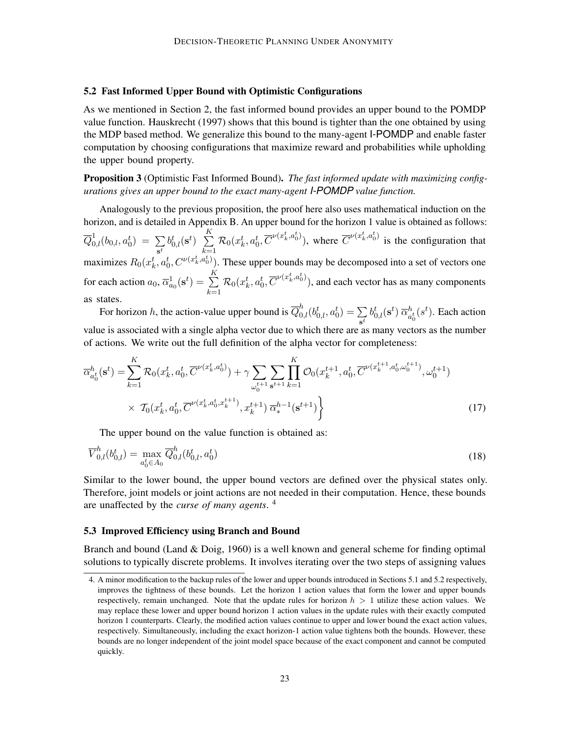#### 5.2 Fast Informed Upper Bound with Optimistic Configurations

As we mentioned in Section 2, the fast informed bound provides an upper bound to the POMDP value function. Hauskrecht (1997) shows that this bound is tighter than the one obtained by using the MDP based method. We generalize this bound to the many-agent I-POMDP and enable faster computation by choosing configurations that maximize reward and probabilities while upholding the upper bound property.

Proposition 3 (Optimistic Fast Informed Bound). *The fast informed update with maximizing configurations gives an upper bound to the exact many-agent I-POMDP value function.*

Analogously to the previous proposition, the proof here also uses mathematical induction on the horizon, and is detailed in Appendix B. An upper bound for the horizon 1 value is obtained as follows:  $\overline{Q}^1_{0,l}(b_{0,l},a_0^t) \ = \ \sum$  $\sum_{\mathbf{s}^t} b_{0,l}^t(\mathbf{s}^t) \ \ \sum_{k=1}^K$  $_{k=1}$  $\mathcal{R}_0(x_k^t, a_0^t, \overline{C}^{\nu(x_k^t, a_0^t)})$ , where  $\overline{C}^{\nu(x_k^t, a_0^t)}$  is the configuration that maximizes  $R_0(x_k^t, a_0^t, C^{\nu(x_k^t, a_0^t)})$ . These upper bounds may be decomposed into a set of vectors one for each action  $a_0$ ,  $\overline{\alpha}_{a_0}^1(\mathbf{s}^t) = \sum_{k=1}^K a_k^k$  $_{k=1}$  $\mathcal{R}_0(x_k^t, a_0^t, \overline{C}^{\nu(x_k^t, a_0^t)}),$  and each vector has as many components as states.

For horizon h, the action-value upper bound is  $\overline{Q}_{0,l}^h(b_{0,l}^t, a_0^t) = \sum_{l=1}^{n}$  $\sum_{\mathbf{s}^t} b^t_{0,l}(\mathbf{s}^t) \ \overline{\alpha}^h_a$  $\frac{h}{a_0^t}(s^t)$ . Each action value is associated with a single alpha vector due to which there are as many vectors as the number of actions. We write out the full definition of the alpha vector for completeness:

$$
\overline{\alpha}_{a_0^t}^h(\mathbf{s}^t) = \sum_{k=1}^K \mathcal{R}_0(x_k^t, a_0^t, \overline{C}^{\nu(x_k^t, a_0^t)}) + \gamma \sum_{\omega_0^{t+1}} \sum_{\mathbf{s}^{t+1}} \prod_{k=1}^K \mathcal{O}_0(x_k^{t+1}, a_0^t, \overline{C}^{\nu(x_k^{t+1}, a_0^t, \omega_0^{t+1})}, \omega_0^{t+1})
$$
\n
$$
\times \mathcal{T}_0(x_k^t, a_0^t, \overline{C}^{\nu(x_k^t, a_0^t, x_k^{t+1})}, x_k^{t+1}) \overline{\alpha}_*^{h-1}(\mathbf{s}^{t+1}) \bigg\}
$$
\n(17)

The upper bound on the value function is obtained as:

$$
\overline{V}_{0,l}^h(b_{0,l}^t) = \max_{a_0^t \in A_0} \overline{Q}_{0,l}^h(b_{0,l}^t, a_0^t)
$$
\n(18)

Similar to the lower bound, the upper bound vectors are defined over the physical states only. Therefore, joint models or joint actions are not needed in their computation. Hence, these bounds are unaffected by the *curse of many agents*. 4

#### 5.3 Improved Efficiency using Branch and Bound

Branch and bound (Land & Doig, 1960) is a well known and general scheme for finding optimal solutions to typically discrete problems. It involves iterating over the two steps of assigning values

<sup>4.</sup> A minor modification to the backup rules of the lower and upper bounds introduced in Sections 5.1 and 5.2 respectively, improves the tightness of these bounds. Let the horizon 1 action values that form the lower and upper bounds respectively, remain unchanged. Note that the update rules for horizon  $h > 1$  utilize these action values. We may replace these lower and upper bound horizon 1 action values in the update rules with their exactly computed horizon 1 counterparts. Clearly, the modified action values continue to upper and lower bound the exact action values, respectively. Simultaneously, including the exact horizon-1 action value tightens both the bounds. However, these bounds are no longer independent of the joint model space because of the exact component and cannot be computed quickly.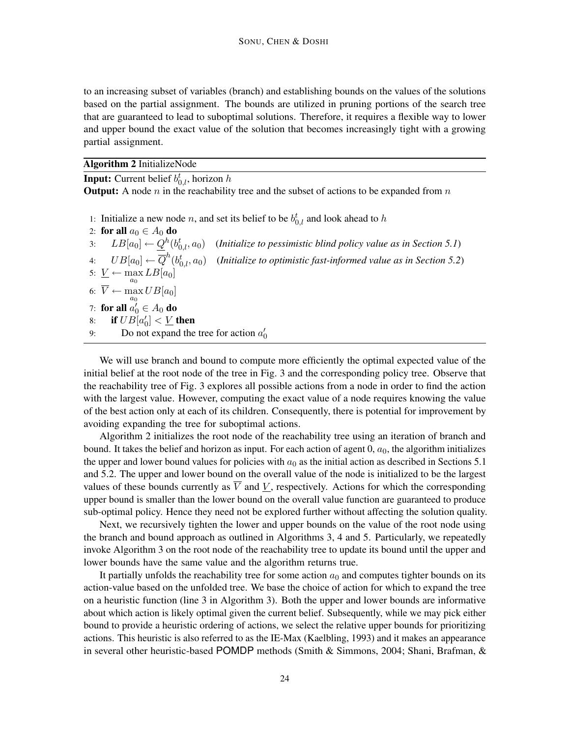to an increasing subset of variables (branch) and establishing bounds on the values of the solutions based on the partial assignment. The bounds are utilized in pruning portions of the search tree that are guaranteed to lead to suboptimal solutions. Therefore, it requires a flexible way to lower and upper bound the exact value of the solution that becomes increasingly tight with a growing partial assignment.

#### Algorithm 2 InitializeNode

**Input:** Current belief  $b_{0,l}^t$ , horizon h

**Output:** A node  $n$  in the reachability tree and the subset of actions to be expanded from  $n$ 

1: Initialize a new node *n*, and set its belief to be  $b_{0,l}^t$  and look ahead to h

| 2: for all $a_0 \in A_0$ do                    |                                                                                                                         |
|------------------------------------------------|-------------------------------------------------------------------------------------------------------------------------|
|                                                | 3: $LB[a_0] \leftarrow Q^h(b_{0,l}^t, a_0)$ ( <i>Initialize to pessimistic blind policy value as in Section 5.1</i> )   |
|                                                | 4: $UB[a_0] \leftarrow \overline{Q}^h(b_{0,l}^t, a_0)$ (Initialize to optimistic fast-informed value as in Section 5.2) |
| 5: $\underline{V} \leftarrow \max LB[a_0]$     |                                                                                                                         |
| 6: $\overline{V} \leftarrow \max UB[a_0]$      |                                                                                                                         |
| 7: for all $a'_0 \in A_0$ do                   |                                                                                                                         |
| 8: if $UB[a'_0] < \underline{V}$ then          |                                                                                                                         |
| Do not expand the tree for action $a'_0$<br>9: |                                                                                                                         |

We will use branch and bound to compute more efficiently the optimal expected value of the initial belief at the root node of the tree in Fig. 3 and the corresponding policy tree. Observe that the reachability tree of Fig. 3 explores all possible actions from a node in order to find the action with the largest value. However, computing the exact value of a node requires knowing the value of the best action only at each of its children. Consequently, there is potential for improvement by avoiding expanding the tree for suboptimal actions.

Algorithm 2 initializes the root node of the reachability tree using an iteration of branch and bound. It takes the belief and horizon as input. For each action of agent  $0, a_0$ , the algorithm initializes the upper and lower bound values for policies with  $a_0$  as the initial action as described in Sections 5.1 and 5.2. The upper and lower bound on the overall value of the node is initialized to be the largest values of these bounds currently as  $\overline{V}$  and V, respectively. Actions for which the corresponding upper bound is smaller than the lower bound on the overall value function are guaranteed to produce sub-optimal policy. Hence they need not be explored further without affecting the solution quality.

Next, we recursively tighten the lower and upper bounds on the value of the root node using the branch and bound approach as outlined in Algorithms 3, 4 and 5. Particularly, we repeatedly invoke Algorithm 3 on the root node of the reachability tree to update its bound until the upper and lower bounds have the same value and the algorithm returns true.

It partially unfolds the reachability tree for some action  $a_0$  and computes tighter bounds on its action-value based on the unfolded tree. We base the choice of action for which to expand the tree on a heuristic function (line 3 in Algorithm 3). Both the upper and lower bounds are informative about which action is likely optimal given the current belief. Subsequently, while we may pick either bound to provide a heuristic ordering of actions, we select the relative upper bounds for prioritizing actions. This heuristic is also referred to as the IE-Max (Kaelbling, 1993) and it makes an appearance in several other heuristic-based POMDP methods (Smith & Simmons, 2004; Shani, Brafman, &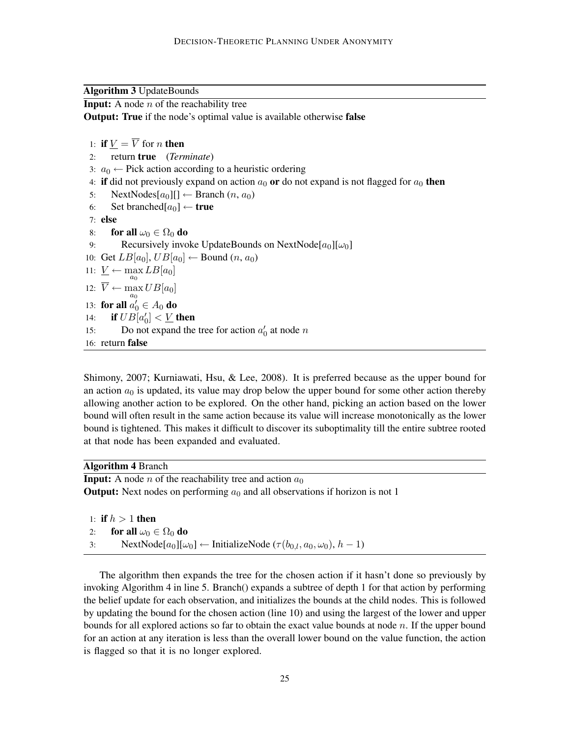Algorithm 3 UpdateBounds

**Input:** A node  $n$  of the reachability tree

Output: True if the node's optimal value is available otherwise false

```
1: if V = \overline{V} for n then
 2: return true (Terminate)
 3: a_0 \leftarrow Pick action according to a heuristic ordering
 4: if did not previously expand on action a_0 or do not expand is not flagged for a_0 then
 5: NextNodes[a_0][] \leftarrowBranch (n, a_0)6: Set branched[a_0] \leftarrow true
 7: else
 8: for all \omega_0 \in \Omega_0 do
 9: Recursively invoke UpdateBounds on NextNode[a_0][\omega_0]10: Get LB[a_0], UB[a_0] \leftarrow Bound (n, a_0)11: \underline{V} \leftarrow \max_{a_0} LB[a_0]12: \overline{V} \leftarrow \max UB[a_0]\overline{a_0}13: for all a'_0 \in A_0 do
14: if UB[a'_0] < \underline{V} then
15: Do not expand the tree for action a'_0 at node n
16: return false
```
Shimony, 2007; Kurniawati, Hsu, & Lee, 2008). It is preferred because as the upper bound for an action  $a_0$  is updated, its value may drop below the upper bound for some other action thereby allowing another action to be explored. On the other hand, picking an action based on the lower bound will often result in the same action because its value will increase monotonically as the lower bound is tightened. This makes it difficult to discover its suboptimality till the entire subtree rooted at that node has been expanded and evaluated.

Algorithm 4 Branch

**Input:** A node *n* of the reachability tree and action  $a_0$ **Output:** Next nodes on performing  $a_0$  and all observations if horizon is not 1

1: if  $h > 1$  then 2: for all  $\omega_0 \in \Omega_0$  do 3: NextNode[ $a_0$ ][ $\omega_0$ ] ← InitializeNode ( $\tau(b_{0,l}, a_0, \omega_0)$ ,  $h - 1$ )

The algorithm then expands the tree for the chosen action if it hasn't done so previously by invoking Algorithm 4 in line 5. Branch() expands a subtree of depth 1 for that action by performing the belief update for each observation, and initializes the bounds at the child nodes. This is followed by updating the bound for the chosen action (line 10) and using the largest of the lower and upper bounds for all explored actions so far to obtain the exact value bounds at node  $n$ . If the upper bound for an action at any iteration is less than the overall lower bound on the value function, the action is flagged so that it is no longer explored.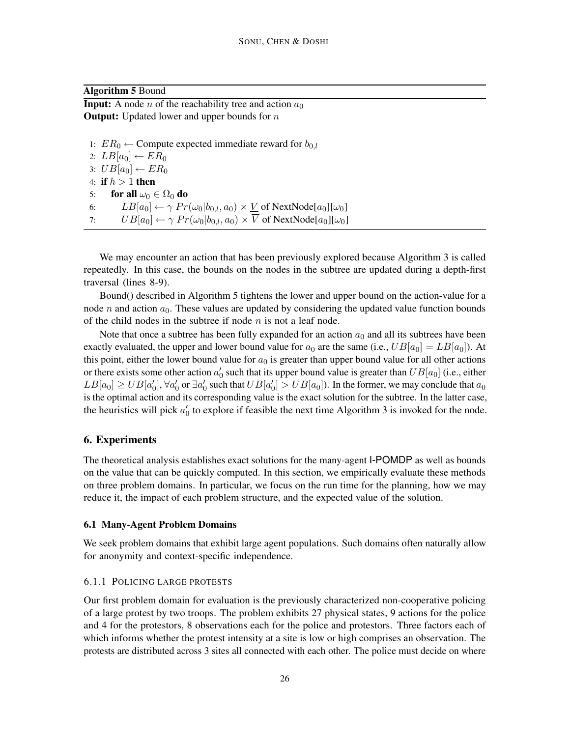#### Algorithm 5 Bound

**Input:** A node *n* of the reachability tree and action  $a_0$ **Output:** Updated lower and upper bounds for  $n$ 

1:  $ER_0 \leftarrow$  Compute expected immediate reward for  $b_{0,l}$ 2:  $LB[a_0] \leftarrow ER_0$ 3:  $UB[a_0] \leftarrow ER_0$ 4: if  $h > 1$  then 5: for all  $\omega_0 \in \Omega_0$  do 6:  $LB[a_0] \leftarrow \gamma Pr(\omega_0|b_{0,l}, a_0) \times \underline{V}$  of NextNode $[a_0][\omega_0]$ 7:  $UB[a_0] \leftarrow \gamma Pr(\omega_0 | b_{0,l}, a_0) \times \overline{V}$  of NextNode $[a_0][\omega_0]$ 

We may encounter an action that has been previously explored because Algorithm 3 is called repeatedly. In this case, the bounds on the nodes in the subtree are updated during a depth-first traversal (lines 8-9).

Bound() described in Algorithm 5 tightens the lower and upper bound on the action-value for a node  $n$  and action  $a_0$ . These values are updated by considering the updated value function bounds of the child nodes in the subtree if node  $n$  is not a leaf node.

Note that once a subtree has been fully expanded for an action  $a_0$  and all its subtrees have been exactly evaluated, the upper and lower bound value for  $a_0$  are the same (i.e.,  $UB[a_0] = LB[a_0]$ ). At this point, either the lower bound value for  $a_0$  is greater than upper bound value for all other actions or there exists some other action  $a'_0$  such that its upper bound value is greater than  $UB[a_0]$  (i.e., either  $LB[a_0]\ge UB[a_0'], \forall a_0'$  or  $\exists a_0'$  such that  $UB[a_0'])>UB[a_0]$ ). In the former, we may conclude that  $a_0$ is the optimal action and its corresponding value is the exact solution for the subtree. In the latter case, the heuristics will pick  $a'_0$  to explore if feasible the next time Algorithm 3 is invoked for the node.

## 6. Experiments

The theoretical analysis establishes exact solutions for the many-agent I-POMDP as well as bounds on the value that can be quickly computed. In this section, we empirically evaluate these methods on three problem domains. In particular, we focus on the run time for the planning, how we may reduce it, the impact of each problem structure, and the expected value of the solution.

#### 6.1 Many-Agent Problem Domains

We seek problem domains that exhibit large agent populations. Such domains often naturally allow for anonymity and context-specific independence.

#### 6.1.1 POLICING LARGE PROTESTS

Our first problem domain for evaluation is the previously characterized non-cooperative policing of a large protest by two troops. The problem exhibits 27 physical states, 9 actions for the police and 4 for the protestors, 8 observations each for the police and protestors. Three factors each of which informs whether the protest intensity at a site is low or high comprises an observation. The protests are distributed across 3 sites all connected with each other. The police must decide on where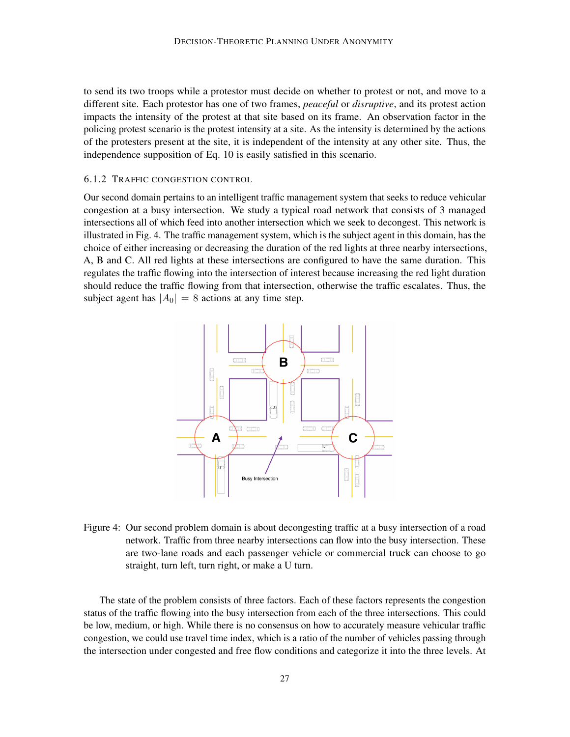to send its two troops while a protestor must decide on whether to protest or not, and move to a different site. Each protestor has one of two frames, *peaceful* or *disruptive*, and its protest action impacts the intensity of the protest at that site based on its frame. An observation factor in the policing protest scenario is the protest intensity at a site. As the intensity is determined by the actions of the protesters present at the site, it is independent of the intensity at any other site. Thus, the independence supposition of Eq. 10 is easily satisfied in this scenario.

### 6.1.2 TRAFFIC CONGESTION CONTROL

Our second domain pertains to an intelligent traffic management system that seeks to reduce vehicular congestion at a busy intersection. We study a typical road network that consists of 3 managed intersections all of which feed into another intersection which we seek to decongest. This network is illustrated in Fig. 4. The traffic management system, which is the subject agent in this domain, has the choice of either increasing or decreasing the duration of the red lights at three nearby intersections, A, B and C. All red lights at these intersections are configured to have the same duration. This regulates the traffic flowing into the intersection of interest because increasing the red light duration should reduce the traffic flowing from that intersection, otherwise the traffic escalates. Thus, the subject agent has  $|A_0| = 8$  actions at any time step.



Figure 4: Our second problem domain is about decongesting traffic at a busy intersection of a road network. Traffic from three nearby intersections can flow into the busy intersection. These are two-lane roads and each passenger vehicle or commercial truck can choose to go straight, turn left, turn right, or make a U turn.

The state of the problem consists of three factors. Each of these factors represents the congestion status of the traffic flowing into the busy intersection from each of the three intersections. This could be low, medium, or high. While there is no consensus on how to accurately measure vehicular traffic congestion, we could use travel time index, which is a ratio of the number of vehicles passing through the intersection under congested and free flow conditions and categorize it into the three levels. At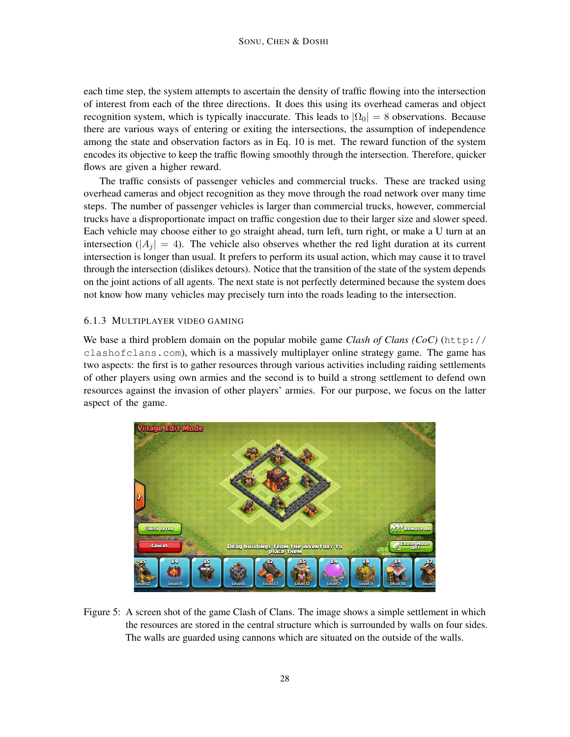each time step, the system attempts to ascertain the density of traffic flowing into the intersection of interest from each of the three directions. It does this using its overhead cameras and object recognition system, which is typically inaccurate. This leads to  $|\Omega_0| = 8$  observations. Because there are various ways of entering or exiting the intersections, the assumption of independence among the state and observation factors as in Eq. 10 is met. The reward function of the system encodes its objective to keep the traffic flowing smoothly through the intersection. Therefore, quicker flows are given a higher reward.

The traffic consists of passenger vehicles and commercial trucks. These are tracked using overhead cameras and object recognition as they move through the road network over many time steps. The number of passenger vehicles is larger than commercial trucks, however, commercial trucks have a disproportionate impact on traffic congestion due to their larger size and slower speed. Each vehicle may choose either to go straight ahead, turn left, turn right, or make a U turn at an intersection ( $|A_i| = 4$ ). The vehicle also observes whether the red light duration at its current intersection is longer than usual. It prefers to perform its usual action, which may cause it to travel through the intersection (dislikes detours). Notice that the transition of the state of the system depends on the joint actions of all agents. The next state is not perfectly determined because the system does not know how many vehicles may precisely turn into the roads leading to the intersection.

## 6.1.3 MULTIPLAYER VIDEO GAMING

We base a third problem domain on the popular mobile game *Clash of Clans (CoC)* (http:// clashofclans.com), which is a massively multiplayer online strategy game. The game has two aspects: the first is to gather resources through various activities including raiding settlements of other players using own armies and the second is to build a strong settlement to defend own resources against the invasion of other players' armies. For our purpose, we focus on the latter aspect of the game.



Figure 5: A screen shot of the game Clash of Clans. The image shows a simple settlement in which the resources are stored in the central structure which is surrounded by walls on four sides. The walls are guarded using cannons which are situated on the outside of the walls.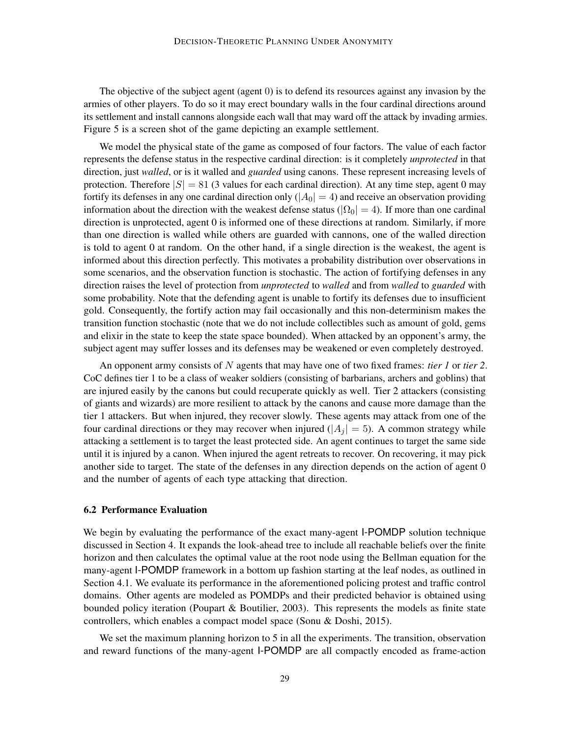The objective of the subject agent (agent 0) is to defend its resources against any invasion by the armies of other players. To do so it may erect boundary walls in the four cardinal directions around its settlement and install cannons alongside each wall that may ward off the attack by invading armies. Figure 5 is a screen shot of the game depicting an example settlement.

We model the physical state of the game as composed of four factors. The value of each factor represents the defense status in the respective cardinal direction: is it completely *unprotected* in that direction, just *walled*, or is it walled and *guarded* using canons. These represent increasing levels of protection. Therefore  $|S| = 81$  (3 values for each cardinal direction). At any time step, agent 0 may fortify its defenses in any one cardinal direction only  $(|A_0| = 4)$  and receive an observation providing information about the direction with the weakest defense status ( $|\Omega_0| = 4$ ). If more than one cardinal direction is unprotected, agent 0 is informed one of these directions at random. Similarly, if more than one direction is walled while others are guarded with cannons, one of the walled direction is told to agent 0 at random. On the other hand, if a single direction is the weakest, the agent is informed about this direction perfectly. This motivates a probability distribution over observations in some scenarios, and the observation function is stochastic. The action of fortifying defenses in any direction raises the level of protection from *unprotected* to *walled* and from *walled* to *guarded* with some probability. Note that the defending agent is unable to fortify its defenses due to insufficient gold. Consequently, the fortify action may fail occasionally and this non-determinism makes the transition function stochastic (note that we do not include collectibles such as amount of gold, gems and elixir in the state to keep the state space bounded). When attacked by an opponent's army, the subject agent may suffer losses and its defenses may be weakened or even completely destroyed.

An opponent army consists of N agents that may have one of two fixed frames: *tier 1* or *tier 2*. CoC defines tier 1 to be a class of weaker soldiers (consisting of barbarians, archers and goblins) that are injured easily by the canons but could recuperate quickly as well. Tier 2 attackers (consisting of giants and wizards) are more resilient to attack by the canons and cause more damage than the tier 1 attackers. But when injured, they recover slowly. These agents may attack from one of the four cardinal directions or they may recover when injured ( $|A_i| = 5$ ). A common strategy while attacking a settlement is to target the least protected side. An agent continues to target the same side until it is injured by a canon. When injured the agent retreats to recover. On recovering, it may pick another side to target. The state of the defenses in any direction depends on the action of agent 0 and the number of agents of each type attacking that direction.

## 6.2 Performance Evaluation

We begin by evaluating the performance of the exact many-agent I-POMDP solution technique discussed in Section 4. It expands the look-ahead tree to include all reachable beliefs over the finite horizon and then calculates the optimal value at the root node using the Bellman equation for the many-agent I-POMDP framework in a bottom up fashion starting at the leaf nodes, as outlined in Section 4.1. We evaluate its performance in the aforementioned policing protest and traffic control domains. Other agents are modeled as POMDPs and their predicted behavior is obtained using bounded policy iteration (Poupart & Boutilier, 2003). This represents the models as finite state controllers, which enables a compact model space (Sonu & Doshi, 2015).

We set the maximum planning horizon to 5 in all the experiments. The transition, observation and reward functions of the many-agent I-POMDP are all compactly encoded as frame-action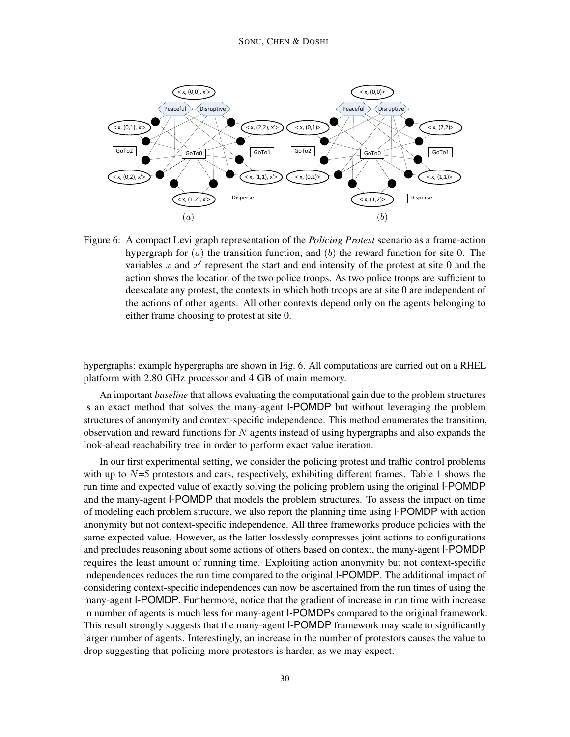

Figure 6: A compact Levi graph representation of the *Policing Protest* scenario as a frame-action hypergraph for  $(a)$  the transition function, and  $(b)$  the reward function for site 0. The variables  $x$  and  $x'$  represent the start and end intensity of the protest at site 0 and the action shows the location of the two police troops. As two police troops are sufficient to deescalate any protest, the contexts in which both troops are at site 0 are independent of the actions of other agents. All other contexts depend only on the agents belonging to either frame choosing to protest at site 0.

hypergraphs; example hypergraphs are shown in Fig. 6. All computations are carried out on a RHEL platform with 2.80 GHz processor and 4 GB of main memory.

An important *baseline* that allows evaluating the computational gain due to the problem structures is an exact method that solves the many-agent I-POMDP but without leveraging the problem structures of anonymity and context-specific independence. This method enumerates the transition, observation and reward functions for  $N$  agents instead of using hypergraphs and also expands the look-ahead reachability tree in order to perform exact value iteration.

In our first experimental setting, we consider the policing protest and traffic control problems with up to  $N=5$  protestors and cars, respectively, exhibiting different frames. Table 1 shows the run time and expected value of exactly solving the policing problem using the original I-POMDP and the many-agent I-POMDP that models the problem structures. To assess the impact on time of modeling each problem structure, we also report the planning time using I-POMDP with action anonymity but not context-specific independence. All three frameworks produce policies with the same expected value. However, as the latter losslessly compresses joint actions to configurations and precludes reasoning about some actions of others based on context, the many-agent I-POMDP requires the least amount of running time. Exploiting action anonymity but not context-specific independences reduces the run time compared to the original I-POMDP. The additional impact of considering context-specific independences can now be ascertained from the run times of using the many-agent I-POMDP. Furthermore, notice that the gradient of increase in run time with increase in number of agents is much less for many-agent I-POMDPs compared to the original framework. This result strongly suggests that the many-agent I-POMDP framework may scale to significantly larger number of agents. Interestingly, an increase in the number of protestors causes the value to drop suggesting that policing more protestors is harder, as we may expect.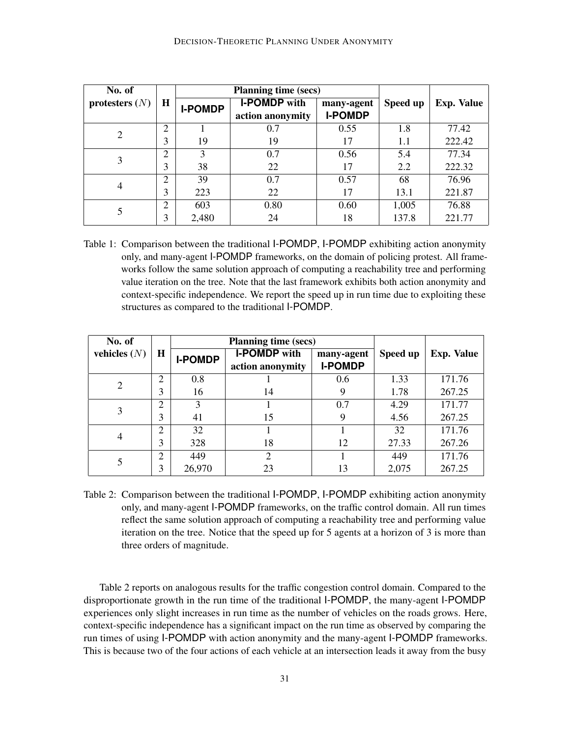| No. of           |                |                | <b>Planning time (secs)</b>             |                              |          |                   |
|------------------|----------------|----------------|-----------------------------------------|------------------------------|----------|-------------------|
| protesters $(N)$ | $\mathbf H$    | <b>I-POMDP</b> | <b>I-POMDP</b> with<br>action anonymity | many-agent<br><b>I-POMDP</b> | Speed up | <b>Exp. Value</b> |
| $\overline{2}$   | ↑              |                | 0.7                                     | 0.55                         | 1.8      | 77.42             |
|                  | 3              | 19             | 19                                      | 17                           | 1.1      | 222.42            |
| 3                | ↑              | 3              | 0.7                                     | 0.56                         | 5.4      | 77.34             |
|                  | 3              | 38             | 22                                      | 17                           | 2.2      | 222.32            |
| $\overline{4}$   | ↑              | 39             | 0.7                                     | 0.57                         | 68       | 76.96             |
|                  | 3              | 223            | 22                                      | 17                           | 13.1     | 221.87            |
|                  | $\overline{c}$ | 603            | 0.80                                    | 0.60                         | 1,005    | 76.88             |
|                  | 3              | 2,480          | 24                                      | 18                           | 137.8    | 221.77            |

Table 1: Comparison between the traditional I-POMDP, I-POMDP exhibiting action anonymity only, and many-agent I-POMDP frameworks, on the domain of policing protest. All frameworks follow the same solution approach of computing a reachability tree and performing value iteration on the tree. Note that the last framework exhibits both action anonymity and context-specific independence. We report the speed up in run time due to exploiting these structures as compared to the traditional I-POMDP.

| No. of         | $\mathbf H$    |                | <b>Planning time (secs)</b>             |                              |          |                   |
|----------------|----------------|----------------|-----------------------------------------|------------------------------|----------|-------------------|
| vehicles $(N)$ |                | <b>I-POMDP</b> | <b>I-POMDP</b> with<br>action anonymity | many-agent<br><b>I-POMDP</b> | Speed up | <b>Exp. Value</b> |
| $\overline{2}$ | 2              | 0.8            |                                         | 0.6                          | 1.33     | 171.76            |
|                | 3              | 16             | 14                                      | 9                            | 1.78     | 267.25            |
| 3              | $\overline{2}$ | $\mathcal{R}$  |                                         | 0.7                          | 4.29     | 171.77            |
|                | 3              | 41             | 15                                      | 9                            | 4.56     | 267.25            |
| 4              | $\overline{2}$ | 32             |                                         |                              | 32       | 171.76            |
|                | 3              | 328            | 18                                      | 12                           | 27.33    | 267.26            |
|                | $\overline{2}$ | 449            | $\overline{2}$                          |                              | 449      | 171.76            |
|                | 3              | 26,970         | 23                                      | 13                           | 2,075    | 267.25            |

Table 2: Comparison between the traditional I-POMDP, I-POMDP exhibiting action anonymity only, and many-agent I-POMDP frameworks, on the traffic control domain. All run times reflect the same solution approach of computing a reachability tree and performing value iteration on the tree. Notice that the speed up for 5 agents at a horizon of 3 is more than three orders of magnitude.

Table 2 reports on analogous results for the traffic congestion control domain. Compared to the disproportionate growth in the run time of the traditional I-POMDP, the many-agent I-POMDP experiences only slight increases in run time as the number of vehicles on the roads grows. Here, context-specific independence has a significant impact on the run time as observed by comparing the run times of using I-POMDP with action anonymity and the many-agent I-POMDP frameworks. This is because two of the four actions of each vehicle at an intersection leads it away from the busy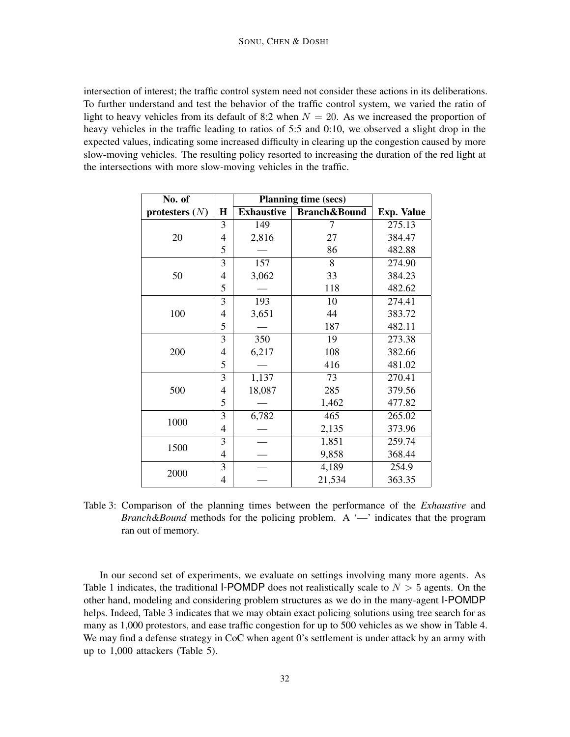intersection of interest; the traffic control system need not consider these actions in its deliberations. To further understand and test the behavior of the traffic control system, we varied the ratio of light to heavy vehicles from its default of 8:2 when  $N = 20$ . As we increased the proportion of heavy vehicles in the traffic leading to ratios of 5:5 and 0:10, we observed a slight drop in the expected values, indicating some increased difficulty in clearing up the congestion caused by more slow-moving vehicles. The resulting policy resorted to increasing the duration of the red light at the intersections with more slow-moving vehicles in the traffic.

| No. of           |                | <b>Planning time (secs)</b> |                         |                   |
|------------------|----------------|-----------------------------|-------------------------|-------------------|
| protesters $(N)$ | $\bf H$        | <b>Exhaustive</b>           | <b>Branch&amp;Bound</b> | <b>Exp. Value</b> |
|                  | 3              | 149                         | 7                       | 275.13            |
| 20               | 4              | 2,816                       | 27                      | 384.47            |
|                  | 5              |                             | 86                      | 482.88            |
|                  | $\overline{3}$ | 157                         | 8                       | 274.90            |
| 50               | 4              | 3,062                       | 33                      | 384.23            |
|                  | 5              |                             | 118                     | 482.62            |
|                  | 3              | 193                         | 10                      | 274.41            |
| 100              | 4              | 3,651                       | 44                      | 383.72            |
|                  | 5              |                             | 187                     | 482.11            |
|                  | 3              | 350                         | 19                      | 273.38            |
| 200              | 4              | 6,217                       | 108                     | 382.66            |
|                  | 5              |                             | 416                     | 481.02            |
|                  | 3              | 1,137                       | 73                      | 270.41            |
| 500              | 4              | 18,087                      | 285                     | 379.56            |
|                  | 5              |                             | 1,462                   | 477.82            |
|                  | 3              | 6,782                       | 465                     | 265.02            |
| 1000             | 4              |                             | 2,135                   | 373.96            |
|                  | 3              |                             | 1,851                   | 259.74            |
| 1500             | 4              |                             | 9,858                   | 368.44            |
| 2000             | 3              |                             | 4,189                   | 254.9             |
|                  | 4              |                             | 21,534                  | 363.35            |

Table 3: Comparison of the planning times between the performance of the *Exhaustive* and *Branch&Bound* methods for the policing problem. A '—' indicates that the program ran out of memory.

In our second set of experiments, we evaluate on settings involving many more agents. As Table 1 indicates, the traditional I-POMDP does not realistically scale to  $N > 5$  agents. On the other hand, modeling and considering problem structures as we do in the many-agent I-POMDP helps. Indeed, Table 3 indicates that we may obtain exact policing solutions using tree search for as many as 1,000 protestors, and ease traffic congestion for up to 500 vehicles as we show in Table 4. We may find a defense strategy in CoC when agent 0's settlement is under attack by an army with up to 1,000 attackers (Table 5).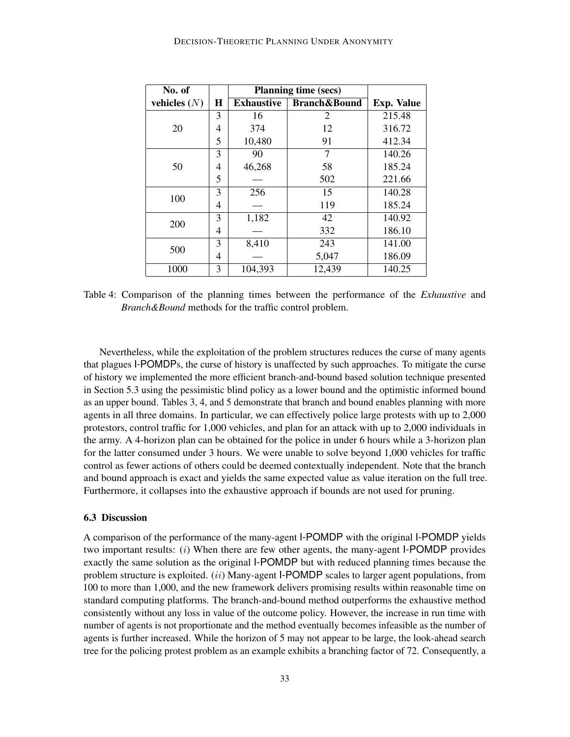| No. of         |   | <b>Planning time (secs)</b> |                         |                   |
|----------------|---|-----------------------------|-------------------------|-------------------|
| vehicles $(N)$ | H | <b>Exhaustive</b>           | <b>Branch&amp;Bound</b> | <b>Exp. Value</b> |
|                | 3 | 16                          | 2                       | 215.48            |
| 20             | 4 | 374                         | 12                      | 316.72            |
|                | 5 | 10,480                      | 91                      | 412.34            |
|                | 3 | 90                          | 7                       | 140.26            |
| 50             | 4 | 46,268                      | 58                      | 185.24            |
|                | 5 |                             | 502                     | 221.66            |
| 100            | 3 | 256                         | 15                      | 140.28            |
|                | 4 |                             | 119                     | 185.24            |
| <b>200</b>     | 3 | 1,182                       | 42                      | 140.92            |
|                | 4 |                             | 332                     | 186.10            |
| 500            | 3 | 8,410                       | 243                     | 141.00            |
|                | 4 |                             | 5,047                   | 186.09            |
| 1000           | 3 | 104,393                     | 12,439                  | 140.25            |

Table 4: Comparison of the planning times between the performance of the *Exhaustive* and *Branch&Bound* methods for the traffic control problem.

Nevertheless, while the exploitation of the problem structures reduces the curse of many agents that plagues I-POMDPs, the curse of history is unaffected by such approaches. To mitigate the curse of history we implemented the more efficient branch-and-bound based solution technique presented in Section 5.3 using the pessimistic blind policy as a lower bound and the optimistic informed bound as an upper bound. Tables 3, 4, and 5 demonstrate that branch and bound enables planning with more agents in all three domains. In particular, we can effectively police large protests with up to 2,000 protestors, control traffic for 1,000 vehicles, and plan for an attack with up to 2,000 individuals in the army. A 4-horizon plan can be obtained for the police in under 6 hours while a 3-horizon plan for the latter consumed under 3 hours. We were unable to solve beyond 1,000 vehicles for traffic control as fewer actions of others could be deemed contextually independent. Note that the branch and bound approach is exact and yields the same expected value as value iteration on the full tree. Furthermore, it collapses into the exhaustive approach if bounds are not used for pruning.

#### 6.3 Discussion

A comparison of the performance of the many-agent I-POMDP with the original I-POMDP yields two important results:  $(i)$  When there are few other agents, the many-agent I-POMDP provides exactly the same solution as the original I-POMDP but with reduced planning times because the problem structure is exploited. *(ii)* Many-agent I-POMDP scales to larger agent populations, from 100 to more than 1,000, and the new framework delivers promising results within reasonable time on standard computing platforms. The branch-and-bound method outperforms the exhaustive method consistently without any loss in value of the outcome policy. However, the increase in run time with number of agents is not proportionate and the method eventually becomes infeasible as the number of agents is further increased. While the horizon of 5 may not appear to be large, the look-ahead search tree for the policing protest problem as an example exhibits a branching factor of 72. Consequently, a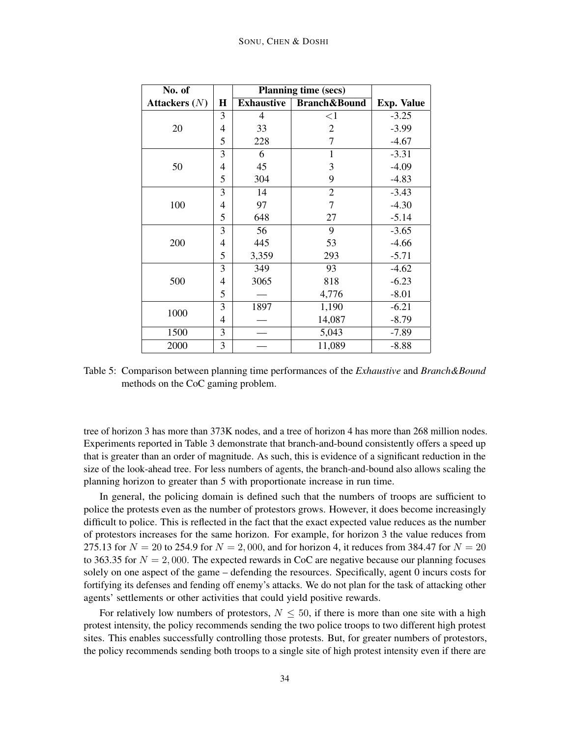| No. of          |   | <b>Planning time (secs)</b> |                         |                   |
|-----------------|---|-----------------------------|-------------------------|-------------------|
| Attackers $(N)$ | H | <b>Exhaustive</b>           | <b>Branch&amp;Bound</b> | <b>Exp. Value</b> |
|                 | 3 | $\overline{4}$              | <1                      | $-3.25$           |
| 20              | 4 | 33                          | 2                       | $-3.99$           |
|                 | 5 | 228                         | 7                       | $-4.67$           |
|                 | 3 | 6                           | 1                       | $-3.31$           |
| 50              | 4 | 45                          | 3                       | $-4.09$           |
|                 | 5 | 304                         | 9                       | $-4.83$           |
|                 | 3 | 14                          | $\mathfrak{2}$          | $-3.43$           |
| 100             | 4 | 97                          | $\tau$                  | $-4.30$           |
|                 | 5 | 648                         | 27                      | $-5.14$           |
|                 | 3 | 56                          | 9                       | $-3.65$           |
| 200             | 4 | 445                         | 53                      | $-4.66$           |
|                 | 5 | 3,359                       | 293                     | $-5.71$           |
|                 | 3 | 349                         | 93                      | $-4.62$           |
| 500             | 4 | 3065                        | 818                     | $-6.23$           |
|                 | 5 |                             | 4,776                   | $-8.01$           |
| 1000            | 3 | 1897                        | 1,190                   | $-6.21$           |
|                 | 4 |                             | 14,087                  | $-8.79$           |
| 1500            | 3 |                             | 5,043                   | $-7.89$           |
| 2000            | 3 |                             | 11,089                  | $-8.88$           |

Table 5: Comparison between planning time performances of the *Exhaustive* and *Branch&Bound* methods on the CoC gaming problem.

tree of horizon 3 has more than 373K nodes, and a tree of horizon 4 has more than 268 million nodes. Experiments reported in Table 3 demonstrate that branch-and-bound consistently offers a speed up that is greater than an order of magnitude. As such, this is evidence of a significant reduction in the size of the look-ahead tree. For less numbers of agents, the branch-and-bound also allows scaling the planning horizon to greater than 5 with proportionate increase in run time.

In general, the policing domain is defined such that the numbers of troops are sufficient to police the protests even as the number of protestors grows. However, it does become increasingly difficult to police. This is reflected in the fact that the exact expected value reduces as the number of protestors increases for the same horizon. For example, for horizon 3 the value reduces from 275.13 for  $N = 20$  to 254.9 for  $N = 2,000$ , and for horizon 4, it reduces from 384.47 for  $N = 20$ to 363.35 for  $N = 2,000$ . The expected rewards in CoC are negative because our planning focuses solely on one aspect of the game – defending the resources. Specifically, agent 0 incurs costs for fortifying its defenses and fending off enemy's attacks. We do not plan for the task of attacking other agents' settlements or other activities that could yield positive rewards.

For relatively low numbers of protestors,  $N \leq 50$ , if there is more than one site with a high protest intensity, the policy recommends sending the two police troops to two different high protest sites. This enables successfully controlling those protests. But, for greater numbers of protestors, the policy recommends sending both troops to a single site of high protest intensity even if there are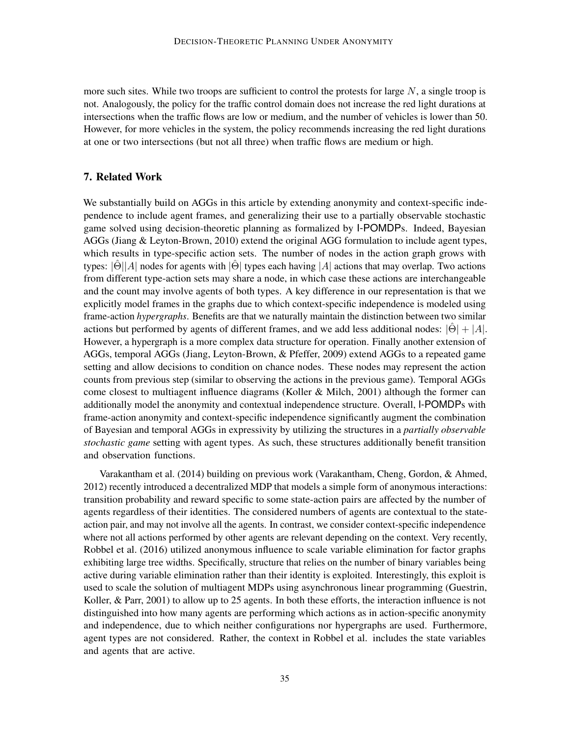more such sites. While two troops are sufficient to control the protests for large  $N$ , a single troop is not. Analogously, the policy for the traffic control domain does not increase the red light durations at intersections when the traffic flows are low or medium, and the number of vehicles is lower than 50. However, for more vehicles in the system, the policy recommends increasing the red light durations at one or two intersections (but not all three) when traffic flows are medium or high.

## 7. Related Work

We substantially build on AGGs in this article by extending anonymity and context-specific independence to include agent frames, and generalizing their use to a partially observable stochastic game solved using decision-theoretic planning as formalized by I-POMDPs. Indeed, Bayesian AGGs (Jiang & Leyton-Brown, 2010) extend the original AGG formulation to include agent types, which results in type-specific action sets. The number of nodes in the action graph grows with types:  $|\hat{\Theta}||A|$  nodes for agents with  $|\hat{\Theta}|$  types each having  $|A|$  actions that may overlap. Two actions from different type-action sets may share a node, in which case these actions are interchangeable and the count may involve agents of both types. A key difference in our representation is that we explicitly model frames in the graphs due to which context-specific independence is modeled using frame-action *hypergraphs*. Benefits are that we naturally maintain the distinction between two similar actions but performed by agents of different frames, and we add less additional nodes:  $|\Theta| + |A|$ . However, a hypergraph is a more complex data structure for operation. Finally another extension of AGGs, temporal AGGs (Jiang, Leyton-Brown, & Pfeffer, 2009) extend AGGs to a repeated game setting and allow decisions to condition on chance nodes. These nodes may represent the action counts from previous step (similar to observing the actions in the previous game). Temporal AGGs come closest to multiagent influence diagrams (Koller & Milch, 2001) although the former can additionally model the anonymity and contextual independence structure. Overall, I-POMDPs with frame-action anonymity and context-specific independence significantly augment the combination of Bayesian and temporal AGGs in expressivity by utilizing the structures in a *partially observable stochastic game* setting with agent types. As such, these structures additionally benefit transition and observation functions.

Varakantham et al. (2014) building on previous work (Varakantham, Cheng, Gordon, & Ahmed, 2012) recently introduced a decentralized MDP that models a simple form of anonymous interactions: transition probability and reward specific to some state-action pairs are affected by the number of agents regardless of their identities. The considered numbers of agents are contextual to the stateaction pair, and may not involve all the agents. In contrast, we consider context-specific independence where not all actions performed by other agents are relevant depending on the context. Very recently, Robbel et al. (2016) utilized anonymous influence to scale variable elimination for factor graphs exhibiting large tree widths. Specifically, structure that relies on the number of binary variables being active during variable elimination rather than their identity is exploited. Interestingly, this exploit is used to scale the solution of multiagent MDPs using asynchronous linear programming (Guestrin, Koller, & Parr, 2001) to allow up to 25 agents. In both these efforts, the interaction influence is not distinguished into how many agents are performing which actions as in action-specific anonymity and independence, due to which neither configurations nor hypergraphs are used. Furthermore, agent types are not considered. Rather, the context in Robbel et al. includes the state variables and agents that are active.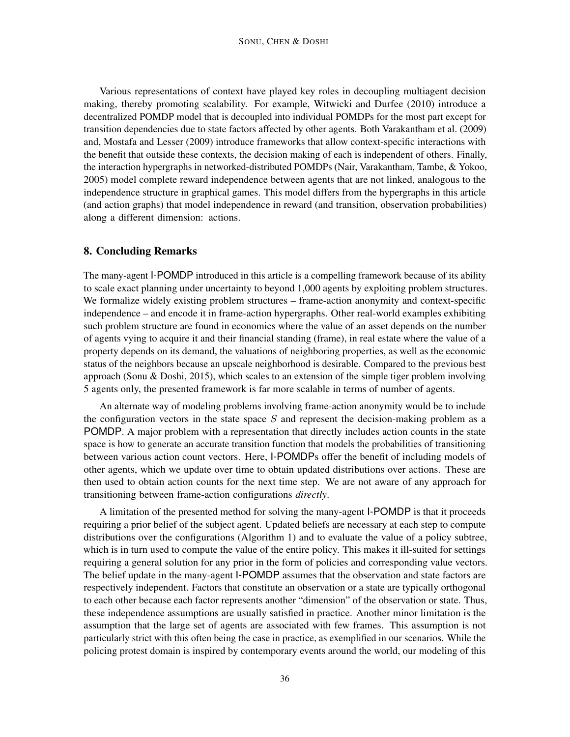Various representations of context have played key roles in decoupling multiagent decision making, thereby promoting scalability. For example, Witwicki and Durfee (2010) introduce a decentralized POMDP model that is decoupled into individual POMDPs for the most part except for transition dependencies due to state factors affected by other agents. Both Varakantham et al. (2009) and, Mostafa and Lesser (2009) introduce frameworks that allow context-specific interactions with the benefit that outside these contexts, the decision making of each is independent of others. Finally, the interaction hypergraphs in networked-distributed POMDPs (Nair, Varakantham, Tambe, & Yokoo, 2005) model complete reward independence between agents that are not linked, analogous to the independence structure in graphical games. This model differs from the hypergraphs in this article (and action graphs) that model independence in reward (and transition, observation probabilities) along a different dimension: actions.

# 8. Concluding Remarks

The many-agent I-POMDP introduced in this article is a compelling framework because of its ability to scale exact planning under uncertainty to beyond 1,000 agents by exploiting problem structures. We formalize widely existing problem structures – frame-action anonymity and context-specific independence – and encode it in frame-action hypergraphs. Other real-world examples exhibiting such problem structure are found in economics where the value of an asset depends on the number of agents vying to acquire it and their financial standing (frame), in real estate where the value of a property depends on its demand, the valuations of neighboring properties, as well as the economic status of the neighbors because an upscale neighborhood is desirable. Compared to the previous best approach (Sonu & Doshi, 2015), which scales to an extension of the simple tiger problem involving 5 agents only, the presented framework is far more scalable in terms of number of agents.

An alternate way of modeling problems involving frame-action anonymity would be to include the configuration vectors in the state space  $S$  and represent the decision-making problem as a POMDP. A major problem with a representation that directly includes action counts in the state space is how to generate an accurate transition function that models the probabilities of transitioning between various action count vectors. Here, I-POMDPs offer the benefit of including models of other agents, which we update over time to obtain updated distributions over actions. These are then used to obtain action counts for the next time step. We are not aware of any approach for transitioning between frame-action configurations *directly*.

A limitation of the presented method for solving the many-agent I-POMDP is that it proceeds requiring a prior belief of the subject agent. Updated beliefs are necessary at each step to compute distributions over the configurations (Algorithm 1) and to evaluate the value of a policy subtree, which is in turn used to compute the value of the entire policy. This makes it ill-suited for settings requiring a general solution for any prior in the form of policies and corresponding value vectors. The belief update in the many-agent I-POMDP assumes that the observation and state factors are respectively independent. Factors that constitute an observation or a state are typically orthogonal to each other because each factor represents another "dimension" of the observation or state. Thus, these independence assumptions are usually satisfied in practice. Another minor limitation is the assumption that the large set of agents are associated with few frames. This assumption is not particularly strict with this often being the case in practice, as exemplified in our scenarios. While the policing protest domain is inspired by contemporary events around the world, our modeling of this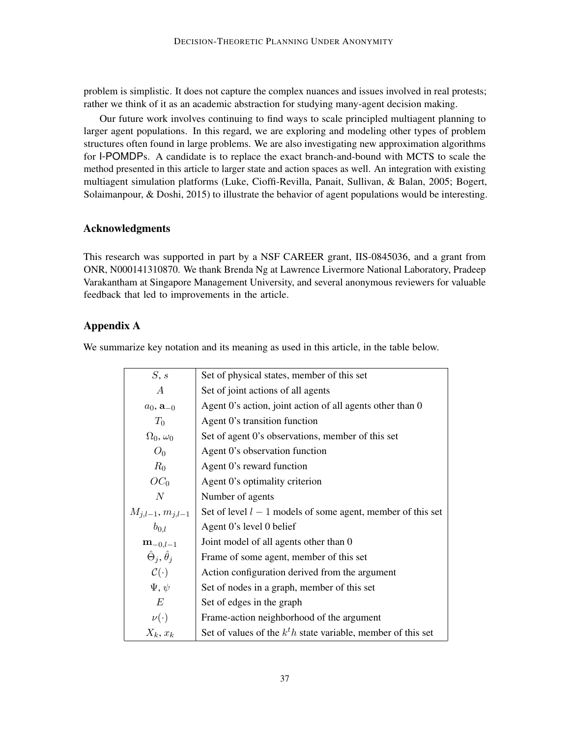problem is simplistic. It does not capture the complex nuances and issues involved in real protests; rather we think of it as an academic abstraction for studying many-agent decision making.

Our future work involves continuing to find ways to scale principled multiagent planning to larger agent populations. In this regard, we are exploring and modeling other types of problem structures often found in large problems. We are also investigating new approximation algorithms for I-POMDPs. A candidate is to replace the exact branch-and-bound with MCTS to scale the method presented in this article to larger state and action spaces as well. An integration with existing multiagent simulation platforms (Luke, Cioffi-Revilla, Panait, Sullivan, & Balan, 2005; Bogert, Solaimanpour, & Doshi, 2015) to illustrate the behavior of agent populations would be interesting.

## Acknowledgments

This research was supported in part by a NSF CAREER grant, IIS-0845036, and a grant from ONR, N000141310870. We thank Brenda Ng at Lawrence Livermore National Laboratory, Pradeep Varakantham at Singapore Management University, and several anonymous reviewers for valuable feedback that led to improvements in the article.

## Appendix A

We summarize key notation and its meaning as used in this article, in the table below.

| S, s                             | Set of physical states, member of this set                     |  |  |  |
|----------------------------------|----------------------------------------------------------------|--|--|--|
| A                                | Set of joint actions of all agents                             |  |  |  |
| $a_0$ , $a_{-0}$                 | Agent 0's action, joint action of all agents other than 0      |  |  |  |
| $T_0$                            | Agent 0's transition function                                  |  |  |  |
| $\Omega_0, \omega_0$             | Set of agent 0's observations, member of this set              |  |  |  |
| $O_0$                            | Agent 0's observation function                                 |  |  |  |
| $R_0$                            | Agent 0's reward function                                      |  |  |  |
| $OC_0$                           | Agent 0's optimality criterion                                 |  |  |  |
| N                                | Number of agents                                               |  |  |  |
| $M_{j,l-1}, m_{j,l-1}$           | Set of level $l-1$ models of some agent, member of this set    |  |  |  |
| $b_{0,l}$                        | Agent 0's level 0 belief                                       |  |  |  |
| ${\bf m}_{-0,l-1}$               | Joint model of all agents other than 0                         |  |  |  |
| $\hat{\Theta}_i, \hat{\theta}_i$ | Frame of some agent, member of this set                        |  |  |  |
| $\mathcal{C}(\cdot)$             | Action configuration derived from the argument                 |  |  |  |
| $\Psi, \psi$                     | Set of nodes in a graph, member of this set                    |  |  |  |
| E                                | Set of edges in the graph                                      |  |  |  |
| $\nu(\cdot)$                     | Frame-action neighborhood of the argument                      |  |  |  |
| $X_k, x_k$                       | Set of values of the $k^th$ state variable, member of this set |  |  |  |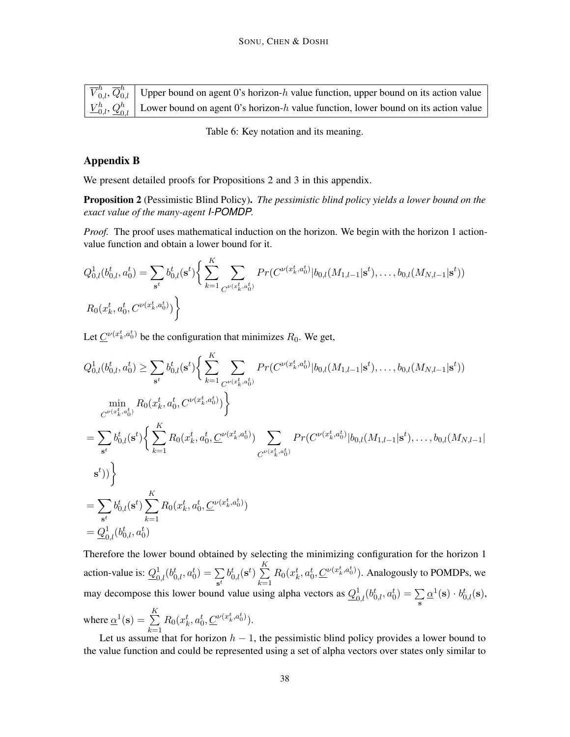| $\sqrt{\overline{V}_{0,l}^h$ , $\overline{Q}_{0,l}^h$ Upper bound on agent 0's horizon-h value function, upper bound on its action value             |
|------------------------------------------------------------------------------------------------------------------------------------------------------|
| $\left  \underline{V}_{0,l}^{h}, \underline{Q}_{0,l}^{h} \right $ Lower bound on agent 0's horizon-h value function, lower bound on its action value |

Table 6: Key notation and its meaning.

## Appendix B

We present detailed proofs for Propositions 2 and 3 in this appendix.

Proposition 2 (Pessimistic Blind Policy). *The pessimistic blind policy yields a lower bound on the exact value of the many-agent I-POMDP.*

*Proof.* The proof uses mathematical induction on the horizon. We begin with the horizon 1 actionvalue function and obtain a lower bound for it.

$$
Q_{0,l}^1(b_{0,l}^t, a_0^t) = \sum_{\mathbf{s}^t} b_{0,l}^t(\mathbf{s}^t) \bigg\{ \sum_{k=1}^K \sum_{C^{\nu(x_k^t, a_0^t)}} Pr(C^{\nu(x_k^t, a_0^t)} | b_{0,l}(M_{1,l-1}|\mathbf{s}^t), \dots, b_{0,l}(M_{N,l-1}|\mathbf{s}^t))
$$
  

$$
R_0(x_k^t, a_0^t, C^{\nu(x_k^t, a_0^t)}) \bigg\}
$$

Let  $\underline{C}^{\nu(x_k^t, a_0^t)}$  be the configuration that minimizes  $R_0$ . We get,

$$
Q_{0,l}^{1}(b_{0,l}^{t}, a_{0}^{t}) \geq \sum_{\mathbf{s}^{t}} b_{0,l}^{t}(\mathbf{s}^{t}) \Big\{ \sum_{k=1}^{K} \sum_{C^{\nu(x_{k}^{t}, a_{0}^{t})}} Pr(C^{\nu(x_{k}^{t}, a_{0}^{t})} | b_{0,l}(M_{1,l-1}|\mathbf{s}^{t}), \dots, b_{0,l}(M_{N,l-1}|\mathbf{s}^{t}))
$$
  
\n
$$
\min_{C^{\nu(x_{k}^{t}, a_{0}^{t})}} R_{0}(x_{k}^{t}, a_{0}^{t}, C^{\nu(x_{k}^{t}, a_{0}^{t})}) \Big\}
$$
  
\n
$$
= \sum_{\mathbf{s}^{t}} b_{0,l}^{t}(\mathbf{s}^{t}) \Big\{ \sum_{k=1}^{K} R_{0}(x_{k}^{t}, a_{0}^{t}, \underline{C}^{\nu(x_{k}^{t}, a_{0}^{t})}) \sum_{C^{\nu(x_{k}^{t}, a_{0}^{t}})} Pr(C^{\nu(x_{k}^{t}, a_{0}^{t})} | b_{0,l}(M_{1,l-1}|\mathbf{s}^{t}), \dots, b_{0,l}(M_{N,l-1}|\mathbf{s}^{t}))
$$
  
\n
$$
= \sum_{\mathbf{s}^{t}} b_{0,l}^{t}(\mathbf{s}^{t}) \sum_{k=1}^{K} R_{0}(x_{k}^{t}, a_{0}^{t}, \underline{C}^{\nu(x_{k}^{t}, a_{0}^{t})})
$$
  
\n
$$
= \underline{Q}_{0,l}^{1}(b_{0,l}^{t}, a_{0}^{t})
$$

Therefore the lower bound obtained by selecting the minimizing configuration for the horizon 1 action-value is:  $Q_{0,l}^1(b_{0,l}^t, a_0^t) = \sum_i$  $\sum_{\mathbf{s}^t} b_{0,l}^t(\mathbf{s}^t) \sum_{k=1}^K$  $k=1$  $R_0(x_k^t, a_0^t, \underline{C}^{\nu(x_k^t, a_0^t)})$ . Analogously to POMDPs, we may decompose this lower bound value using alpha vectors as  $Q_{0,l}^1(b_{0,l}^t, a_0^t) = \sum_{\alpha}$ s  $\underline{\alpha}^{1}(\mathbf{s})\cdot b_{0,l}^{t}(\mathbf{s}),$ where  $\underline{\alpha}^1(\mathbf{s}) = \sum^K$  $R_0(x_k^t, a_0^t, \underline{C}^{\nu(x_k^t, a_0^t)}).$ 

 $k=1$ Let us assume that for horizon  $h - 1$ , the pessimistic blind policy provides a lower bound to the value function and could be represented using a set of alpha vectors over states only similar to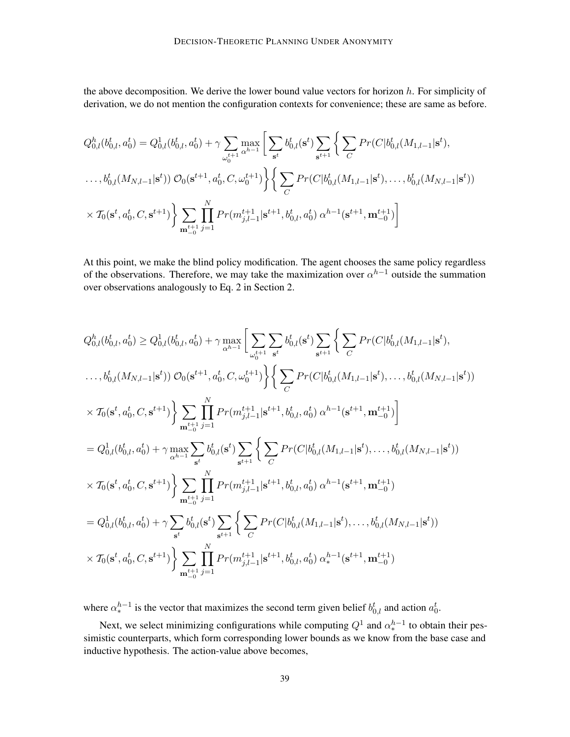the above decomposition. We derive the lower bound value vectors for horizon  $h$ . For simplicity of derivation, we do not mention the configuration contexts for convenience; these are same as before.

$$
Q_{0,l}^{h}(b_{0,l}^{t}, a_{0}^{t}) = Q_{0,l}^{1}(b_{0,l}^{t}, a_{0}^{t}) + \gamma \sum_{\omega_{0}^{t+1}} \max_{\alpha^{h-1}} \left[ \sum_{\mathbf{s}^{t}} b_{0,l}^{t}(\mathbf{s}^{t}) \sum_{\mathbf{s}^{t+1}} \left\{ \sum_{C} Pr(C|b_{0,l}^{t}(M_{1,l-1}|\mathbf{s}^{t}), \dots, b_{0,l}^{t}(M_{N,l-1}|\mathbf{s}^{t})) \right\} \right]
$$
  
...,  $b_{0,l}^{t}(M_{N,l-1}|\mathbf{s}^{t})$ )  $\mathcal{O}_{0}(\mathbf{s}^{t+1}, a_{0}^{t}, C, \omega_{0}^{t+1}) \left\{ \sum_{C} Pr(C|b_{0,l}^{t}(M_{1,l-1}|\mathbf{s}^{t}), \dots, b_{0,l}^{t}(M_{N,l-1}|\mathbf{s}^{t})) \right\}$   

$$
\times T_{0}(\mathbf{s}^{t}, a_{0}^{t}, C, \mathbf{s}^{t+1}) \left\{ \sum_{\mathbf{m}_{-0}^{t+1}} \prod_{j=1}^{N} Pr(m_{j,l-1}^{t+1}|\mathbf{s}^{t+1}, b_{0,l}^{t}, a_{0}^{t}) \alpha^{h-1}(\mathbf{s}^{t+1}, \mathbf{m}_{-0}^{t+1}) \right\}
$$

At this point, we make the blind policy modification. The agent chooses the same policy regardless of the observations. Therefore, we may take the maximization over  $\alpha^{h-1}$  outside the summation over observations analogously to Eq. 2 in Section 2.

$$
Q_{0,l}^{h}(b_{0,l}^{t}, a_{0}^{t}) \geq Q_{0,l}^{1}(b_{0,l}^{t}, a_{0}^{t}) + \gamma \max_{\alpha^{h-1}} \bigg[ \sum_{\omega_{0}^{t+1}} \sum_{s^{t}} b_{0,l}^{t}(s^{t}) \sum_{s^{t+1}} \bigg\{ \sum_{C} Pr(C|b_{0,l}^{t}(M_{1,l-1}|s^{t}),
$$
  
\n $\dots, b_{0,l}^{t}(M_{N,l-1}|s^{t})) O_{0}(s^{t+1}, a_{0}^{t}, C, \omega_{0}^{t+1}) \bigg\} \bigg\{ \sum_{C} Pr(C|b_{0,l}^{t}(M_{1,l-1}|s^{t}), \dots, b_{0,l}^{t}(M_{N,l-1}|s^{t}))$   
\n $\times T_{0}(s^{t}, a_{0}^{t}, C, s^{t+1}) \bigg\} \sum_{\substack{\mathbf{n}_{t-1}^{t+1}} \sum_{j=1}^{N} Pr(m_{j,l-1}^{t+1}|s^{t+1}, b_{0,l}^{t}, a_{0}^{t}) \alpha^{h-1}(s^{t+1}, \mathbf{m}_{-0}^{t+1}) \bigg] \bigg]$   
\n $= Q_{0,l}^{1}(b_{0,l}^{t}, a_{0}^{t}) + \gamma \max_{\alpha^{h-1}} \sum_{s^{t}} b_{0,l}^{t}(s^{t}) \sum_{s^{t+1}} \bigg\{ \sum_{C} Pr(C|b_{0,l}^{t}(M_{1,l-1}|s^{t}), \dots, b_{0,l}^{t}(M_{N,l-1}|s^{t}))$   
\n $\times T_{0}(s^{t}, a_{0}^{t}, C, s^{t+1}) \bigg\} \sum_{\substack{\mathbf{n}_{t-1}^{t+1}} \sum_{j=1}^{N} Pr(m_{j,l-1}^{t+1}|s^{t+1}, b_{0,l}^{t}, a_{0}^{t}) \alpha^{h-1}(s^{t+1}, \mathbf{m}_{-0}^{t+1}) \bigg]} \bigg[ Q_{0,l}^{1}(b_{0,l}^{t}, a_{0}^{t}) + \gamma \sum_{s^{t}} b_{0,l}^{t}(s^{t}) \sum_{s^{t+1}} \bigg\{ \sum_{C} Pr(C|b_{0,l}^{t}(M_{1,l-1}|s^{t}), \dots, b_{0,l}^{t}(M_{N,l-$ 

where  $\alpha_*^{h-1}$  is the vector that maximizes the second term given belief  $b_{0,l}^t$  and action  $a_0^t$ .

Next, we select minimizing configurations while computing  $Q^1$  and  $\alpha^{h-1}_*$  to obtain their pessimistic counterparts, which form corresponding lower bounds as we know from the base case and inductive hypothesis. The action-value above becomes,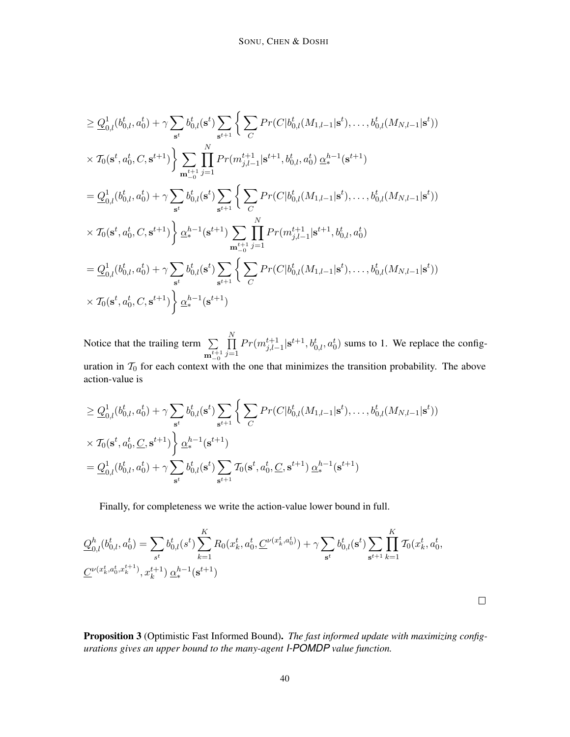$$
\geq \underline{Q}_{0,l}^{1}(b_{0,l}^{t}, a_{0}^{t}) + \gamma \sum_{s^{t}} b_{0,l}^{t}(\mathbf{s}^{t}) \sum_{\mathbf{s}^{t+1}} \Big\{ \sum_{C} Pr(C|b_{0,l}^{t}(M_{1,l-1}|\mathbf{s}^{t}), \dots, b_{0,l}^{t}(M_{N,l-1}|\mathbf{s}^{t}))
$$
\n
$$
\times T_{0}(\mathbf{s}^{t}, a_{0}^{t}, C, \mathbf{s}^{t+1}) \Big\} \sum_{\mathbf{m}_{-0}^{t+1}} \prod_{j=1}^{N} Pr(m_{j,l-1}^{t+1}|\mathbf{s}^{t+1}, b_{0,l}^{t}, a_{0}^{t}) \underline{\alpha}_{*}^{h-1}(\mathbf{s}^{t+1})
$$
\n
$$
= \underline{Q}_{0,l}^{1}(b_{0,l}^{t}, a_{0}^{t}) + \gamma \sum_{\mathbf{s}^{t}} b_{0,l}^{t}(\mathbf{s}^{t}) \sum_{\mathbf{s}^{t+1}} \Big\{ \sum_{C} Pr(C|b_{0,l}^{t}(M_{1,l-1}|\mathbf{s}^{t}), \dots, b_{0,l}^{t}(M_{N,l-1}|\mathbf{s}^{t}))
$$
\n
$$
\times T_{0}(\mathbf{s}^{t}, a_{0}^{t}, C, \mathbf{s}^{t+1}) \Big\} \underline{\alpha}_{*}^{h-1}(\mathbf{s}^{t+1}) \sum_{\mathbf{m}_{-0}^{t+1}} \prod_{j=1}^{N} Pr(m_{j,l-1}^{t+1}|\mathbf{s}^{t+1}, b_{0,l}^{t}, a_{0}^{t})
$$
\n
$$
= \underline{Q}_{0,l}^{1}(b_{0,l}^{t}, a_{0}^{t}) + \gamma \sum_{\mathbf{s}^{t}} b_{0,l}^{t}(\mathbf{s}^{t}) \sum_{\mathbf{s}^{t+1}} \Big\{ \sum_{C} Pr(C|b_{0,l}^{t}(M_{1,l-1}|\mathbf{s}^{t}), \dots, b_{0,l}^{t}(M_{N,l-1}|\mathbf{s}^{t}))
$$
\n
$$
\times T_{0}(\mathbf{s}^{t}, a_{0}^{t}, C, \mathbf{s}^{t+1}) \Big\} \underline{\alpha}_{*}^{h-1}(\mathbf{s}^{t+1})
$$

Notice that the trailing term  $\Sigma$  $\mathbf{m}_{-0}^{t+1}$  $\prod$  $j=1$  $Pr(m_{j,l-1}^{t+1} | s^{t+1}, b_{0,l}^t, a_0^t)$  sums to 1. We replace the configuration in  $T_0$  for each context with the one that minimizes the transition probability. The above action-value is

$$
\geq \underline{Q}_{0,l}^{1}(b_{0,l}^{t}, a_{0}^{t}) + \gamma \sum_{\mathbf{s}^{t}} b_{0,l}^{t}(\mathbf{s}^{t}) \sum_{\mathbf{s}^{t+1}} \left\{ \sum_{C} Pr(C|b_{0,l}^{t}(M_{1,l-1}|\mathbf{s}^{t}), \dots, b_{0,l}^{t}(M_{N,l-1}|\mathbf{s}^{t})) \right\} \times \mathcal{T}_{0}(\mathbf{s}^{t}, a_{0}^{t}, \underline{C}, \mathbf{s}^{t+1}) \left\} \underline{\alpha}_{*}^{h-1}(\mathbf{s}^{t+1}) \n= \underline{Q}_{0,l}^{1}(b_{0,l}^{t}, a_{0}^{t}) + \gamma \sum_{\mathbf{s}^{t}} b_{0,l}^{t}(\mathbf{s}^{t}) \sum_{\mathbf{s}^{t+1}} \mathcal{T}_{0}(\mathbf{s}^{t}, a_{0}^{t}, \underline{C}, \mathbf{s}^{t+1}) \underline{\alpha}_{*}^{h-1}(\mathbf{s}^{t+1})
$$

Finally, for completeness we write the action-value lower bound in full.

$$
\mathcal{Q}_{0,l}^{h}(b_{0,l}^{t}, a_{0}^{t}) = \sum_{s^{t}} b_{0,l}^{t}(s^{t}) \sum_{k=1}^{K} R_{0}(x_{k}^{t}, a_{0}^{t}, \mathcal{L}^{\nu(x_{k}^{t}, a_{0}^{t})}) + \gamma \sum_{s^{t}} b_{0,l}^{t}(s^{t}) \sum_{s^{t+1}} \prod_{k=1}^{K} \mathcal{I}_{0}(x_{k}^{t}, a_{0}^{t}, \mathcal{L}^{\nu(x_{k}^{t}, a_{0}^{t}, x_{k}^{t+1}), x_{k}^{t+1}) \underline{\alpha}_{s}^{h-1}(s^{t+1})
$$

Proposition 3 (Optimistic Fast Informed Bound). *The fast informed update with maximizing configurations gives an upper bound to the many-agent I-POMDP value function.*

 $\Box$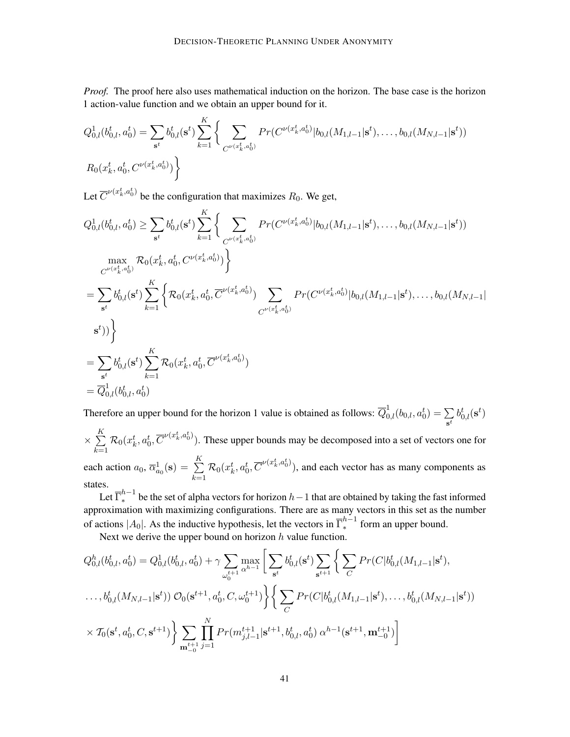*Proof.* The proof here also uses mathematical induction on the horizon. The base case is the horizon 1 action-value function and we obtain an upper bound for it.

$$
Q_{0,l}^1(b_{0,l}^t, a_0^t) = \sum_{\mathbf{s}^t} b_{0,l}^t(\mathbf{s}^t) \sum_{k=1}^K \left\{ \sum_{C^{\nu(x_k^t, a_0^t)}} Pr(C^{\nu(x_k^t, a_0^t)} | b_{0,l}(M_{1,l-1}|\mathbf{s}^t), \dots, b_{0,l}(M_{N,l-1}|\mathbf{s}^t))
$$
  

$$
R_0(x_k^t, a_0^t, C^{\nu(x_k^t, a_0^t)}) \right\}
$$

Let  $\overline{C}^{\nu(x_k^t, a_0^t)}$  be the configuration that maximizes  $R_0$ . We get,

$$
Q_{0,l}^{1}(b_{0,l}^{t}, a_{0}^{t}) \geq \sum_{s^{t}} b_{0,l}^{t}(s^{t}) \sum_{k=1}^{K} \Big\{ \sum_{C^{\nu(x_{k}^{t}, a_{0}^{t})}} Pr(C^{\nu(x_{k}^{t}, a_{0}^{t})} | b_{0,l}(M_{1,l-1}|s^{t}), \dots, b_{0,l}(M_{N,l-1}|s^{t}))
$$
  
\n
$$
\max_{C^{\nu(x_{k}^{t}, a_{0}^{t})}} \mathcal{R}_{0}(x_{k}^{t}, a_{0}^{t}, C^{\nu(x_{k}^{t}, a_{0}^{t})}) \Big\}
$$
  
\n
$$
= \sum_{s^{t}} b_{0,l}^{t}(s^{t}) \sum_{k=1}^{K} \Big\{ \mathcal{R}_{0}(x_{k}^{t}, a_{0}^{t}, \overline{C}^{\nu(x_{k}^{t}, a_{0}^{t})}) \sum_{C^{\nu(x_{k}^{t}, a_{0}^{t}})} Pr(C^{\nu(x_{k}^{t}, a_{0}^{t})} | b_{0,l}(M_{1,l-1}|s^{t}), \dots, b_{0,l}(M_{N,l-1}|s^{t}))
$$
  
\n
$$
= \sum_{s^{t}} b_{0,l}^{t}(s^{t}) \sum_{k=1}^{K} \mathcal{R}_{0}(x_{k}^{t}, a_{0}^{t}, \overline{C}^{\nu(x_{k}^{t}, a_{0}^{t})})
$$
  
\n
$$
= \overline{Q}_{0,l}^{1}(b_{0,l}^{t}, a_{0}^{t})
$$

Therefore an upper bound for the horizon 1 value is obtained as follows:  $\overline{Q}_{0,l}^1(b_{0,l}, a_0^t) = \sum$  $\sum_{\mathbf{s}^t} b^t_{0,l}(\mathbf{s}^t)$ 

 $\times \sum_{i=1}^{K}$  $_{k=1}$  $\mathcal{R}_0(x_k^t, a_0^t, \overline{C}^{\nu(x_k^t, a_0^t)})$ . These upper bounds may be decomposed into a set of vectors one for each action  $a_0$ ,  $\overline{\alpha}_{a_0}^1(\mathbf{s}) = \sum_{n=1}^K a_n^1(a_n - a_n)$  $_{k=1}$  $\mathcal{R}_0(x_k^t, a_0^t, \overline{C}^{\nu(x_k^t, a_0^t)}),$  and each vector has as many components as states.

Let  $\overline{\Gamma}_*^{h-1}$  be the set of alpha vectors for horizon  $h-1$  that are obtained by taking the fast informed approximation with maximizing configurations. There are as many vectors in this set as the number of actions  $|A_0|$ . As the inductive hypothesis, let the vectors in  $\overline{\Gamma}_*^{h-1}$  $\int_{*}^{n-1}$  form an upper bound.

Next we derive the upper bound on horizon  $h$  value function.

$$
Q_{0,l}^{h}(b_{0,l}^{t}, a_{0}^{t}) = Q_{0,l}^{1}(b_{0,l}^{t}, a_{0}^{t}) + \gamma \sum_{\omega_{0}^{t+1}} \max_{\alpha^{h-1}} \left[ \sum_{s^{t}} b_{0,l}^{t}(s^{t}) \sum_{s^{t+1}} \left\{ \sum_{C} Pr(C|b_{0,l}^{t}(M_{1,l-1}|s^{t}),
$$
  

$$
\dots, b_{0,l}^{t}(M_{N,l-1}|s^{t})) \mathcal{O}_{0}(s^{t+1}, a_{0}^{t}, C, \omega_{0}^{t+1}) \right\} \left\{ \sum_{C} Pr(C|b_{0,l}^{t}(M_{1,l-1}|s^{t}), \dots, b_{0,l}^{t}(M_{N,l-1}|s^{t}))
$$
  

$$
\times T_{0}(s^{t}, a_{0}^{t}, C, s^{t+1}) \right\} \sum_{m_{-0}^{t+1}} \prod_{j=1}^{N} Pr(m_{j,l-1}^{t+1}|s^{t+1}, b_{0,l}^{t}, a_{0}^{t}) \alpha^{h-1}(s^{t+1}, m_{-0}^{t+1})
$$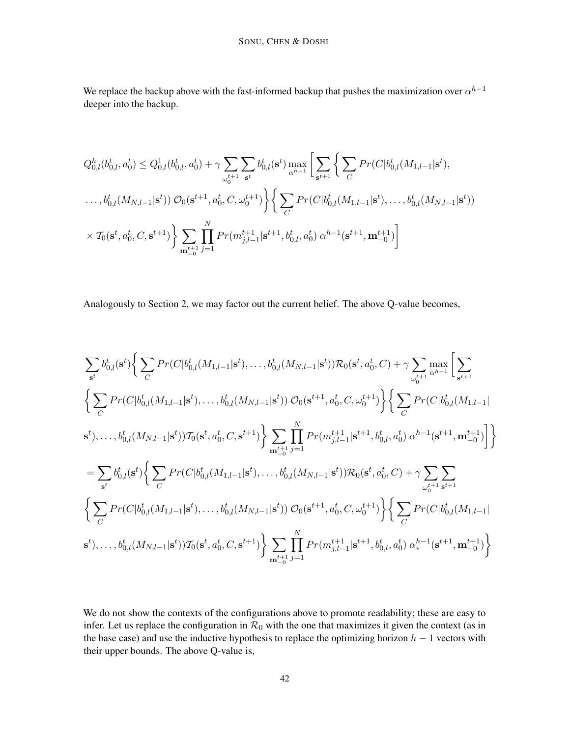We replace the backup above with the fast-informed backup that pushes the maximization over  $\alpha^{h-1}$ deeper into the backup.

$$
Q_{0,l}^{h}(b_{0,l}^{t}, a_{0}^{t}) \leq Q_{0,l}^{1}(b_{0,l}^{t}, a_{0}^{t}) + \gamma \sum_{\omega_{0}^{t+1}} \sum_{s^{t}} b_{0,l}^{t}(s^{t}) \max_{\alpha^{h-1}} \left[ \sum_{s^{t+1}} \left\{ \sum_{C} Pr(C|b_{0,l}^{t}(M_{1,l-1}|s^{t}), \dots, b_{0,l}^{t}(M_{N,l-1}|s^{t})) \right\} \right]
$$
  
...,  $b_{0,l}^{t}(M_{N,l-1}|s^{t})$ )  $\mathcal{O}_{0}(s^{t+1}, a_{0}^{t}, C, \omega_{0}^{t+1}) \left\{ \sum_{C} Pr(C|b_{0,l}^{t}(M_{1,l-1}|s^{t}), \dots, b_{0,l}^{t}(M_{N,l-1}|s^{t})) \right\}$   
 $\times T_{0}(s^{t}, a_{0}^{t}, C, s^{t+1}) \left\} \sum_{\mathbf{m}_{-0}^{t+1}} \prod_{j=1}^{N} Pr(m_{j,l-1}^{t+1}|s^{t+1}, b_{0,l}^{t}, a_{0}^{t}) \alpha^{h-1}(s^{t+1}, \mathbf{m}_{-0}^{t+1}) \right]$ 

Analogously to Section 2, we may factor out the current belief. The above Q-value becomes,

$$
\sum_{s^{t}} b_{0,l}^{t}(s^{t}) \Big\{ \sum_{C} Pr(C|b_{0,l}^{t}(M_{1,l-1}|s^{t}),...,b_{0,l}^{t}(M_{N,l-1}|s^{t})) \mathcal{R}_{0}(s^{t}, a_{0}^{t}, C) + \gamma \sum_{\omega_{0}^{t+1}} \max_{\alpha^{h-1}} \Bigg[ \sum_{s^{t+1}} \sum_{\alpha^{t+1}} Pr(C|b_{0,l}^{t}(M_{1,l-1}|s^{t}),...,b_{0,l}^{t}(M_{N,l-1}|s^{t})) \mathcal{O}_{0}(s^{t+1}, a_{0}^{t}, C, \omega_{0}^{t+1}) \Big\} \Big\{ \sum_{C} Pr(C|b_{0,l}^{t}(M_{1,l-1}|s^{t}),...,b_{0,l}^{t}(M_{N,l-1}|s^{t})) \mathcal{R}_{0}(s^{t}, a_{0}^{t}, C, s^{t+1}) \Big\} \sum_{m_{-0}^{t+1}} \prod_{j=1}^{N} Pr(m_{j,l-1}^{t+1}|s^{t+1}, b_{0,l}^{t}, a_{0}^{t}) \alpha^{h-1}(s^{t+1}, m_{-0}^{t+1}) \Bigg] \Big\}
$$
  
\n
$$
= \sum_{s^{t}} b_{0,l}^{t}(s^{t}) \Big\{ \sum_{C} Pr(C|b_{0,l}^{t}(M_{1,l-1}|s^{t}),...,b_{0,l}^{t}(M_{N,l-1}|s^{t})) \mathcal{R}_{0}(s^{t}, a_{0}^{t}, C) + \gamma \sum_{\omega_{0}^{t+1}} \sum_{s^{t+1}} \sum_{\alpha^{t+1}} \sum_{\alpha^{t+1}} \sum_{\alpha^{t+1}} Pr(C|b_{0,l}^{t}(M_{1,l-1}|s^{t}),...,b_{0,l}^{t}(M_{N,l-1}|s^{t})) \mathcal{O}_{0}(s^{t+1}, a_{0}^{t}, C, \omega_{0}^{t+1}) \Big\} \Big\{ \sum_{C} Pr(C|b_{0,l}^{t}(M_{1,l-1}|s^{t}),...,b_{0,l}^{t}(M_{N,l-1}|s^{t})) \mathcal{R}_{0}(s^{t}, a_{0}^{t}, C, s^{t+1}) \Big\} \sum_{m_{-0}^{t+1}} \prod_{j=1}^{N} Pr(m_{j,l-1}^{t+1}|s^{t+1}, b_{0,l}^{t}, a_{
$$

We do not show the contexts of the configurations above to promote readability; these are easy to infer. Let us replace the configuration in  $\mathcal{R}_0$  with the one that maximizes it given the context (as in the base case) and use the inductive hypothesis to replace the optimizing horizon  $h - 1$  vectors with their upper bounds. The above Q-value is,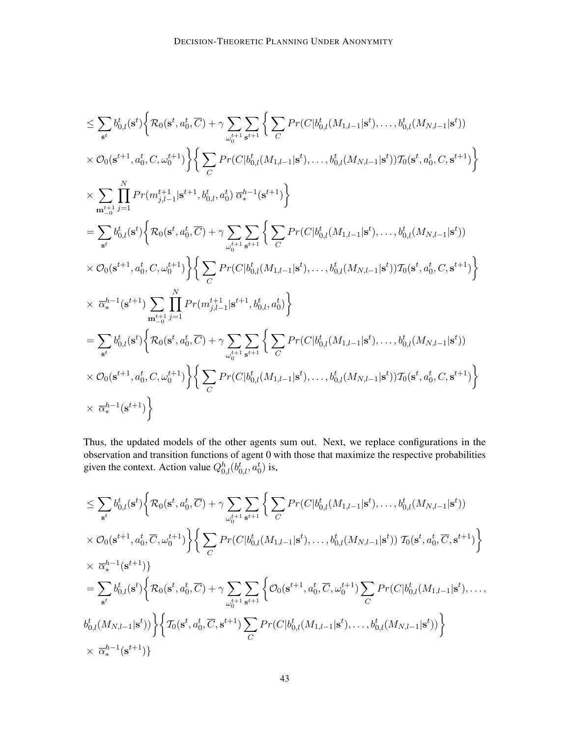$$
\begin{split} &\leq \sum_{\mathbf{s}^{t}}b_{0,l}^{t}(\mathbf{s}^{t})\bigg\{\mathcal{R}_{0}(\mathbf{s}^{t}, a_{0}^{t}, \overline{C})+\gamma \sum_{\omega_{0}^{t+1}}\sum_{\mathbf{s}^{t+1}}\bigg\{\sum_{C}Pr(C|b_{0,l}^{t}(M_{1,l-1}|\mathbf{s}^{t}), \ldots, b_{0,l}^{t}(M_{N,l-1}|\mathbf{s}^{t}))\\ &\times \mathcal{O}_{0}(\mathbf{s}^{t+1}, a_{0}^{t}, C, \omega_{0}^{t+1})\bigg\}\bigg\{\sum_{C}Pr(C|b_{0,l}^{t}(M_{1,l-1}|\mathbf{s}^{t}), \ldots, b_{0,l}^{t}(M_{N,l-1}|\mathbf{s}^{t}))\mathcal{T}_{0}(\mathbf{s}^{t}, a_{0}^{t}, C, \mathbf{s}^{t+1})\bigg\}\\ &\times \sum_{\mathbf{m}_{-0}^{t-1}}\prod_{j=1}^{N}Pr(m_{j,l-1}^{t+1}|\mathbf{s}^{t+1}, b_{0,l}^{t}, a_{0}^{t})\overline{\alpha}_{*}^{h-1}(\mathbf{s}^{t+1})\bigg\}\\ &=\sum_{\mathbf{s}^{t}}b_{0,l}^{t}(\mathbf{s}^{t})\bigg\{\mathcal{R}_{0}(\mathbf{s}^{t}, a_{0}^{t}, \overline{C})+\gamma \sum_{\omega_{0}^{t+1}}\sum_{\mathbf{s}^{t+1}}\bigg\{\sum_{C}Pr(C|b_{0,l}^{t}(M_{1,l-1}|\mathbf{s}^{t}), \ldots, b_{0,l}^{t}(M_{N,l-1}|\mathbf{s}^{t}))\\ &\times \mathcal{O}_{0}(\mathbf{s}^{t+1}, a_{0}^{t}, C, \omega_{0}^{t+1})\bigg\}\bigg\{\sum_{C}Pr(C|b_{0,l}^{t}(M_{1,l-1}|\mathbf{s}^{t}), \ldots, b_{0,l}^{t}(M_{N,l-1}|\mathbf{s}^{t}))\mathcal{T}_{0}(\mathbf{s}^{t}, a_{0}^{t}, C, \mathbf{s}^{t+1})\bigg\}\\ &\times \overline{\alpha}_{*}^{h-1}(\mathbf{s}^{t+1})\sum_{\mathbf{m}_{-0}^{t-1}}\prod_{j=1}^{N}Pr(m_{j,l-1}^{
$$

Thus, the updated models of the other agents sum out. Next, we replace configurations in the observation and transition functions of agent 0 with those that maximize the respective probabilities given the context. Action value  $Q_{0,l}^h(b_{0,l}^t, a_0^t)$  is,

$$
\leq \sum_{\mathbf{s}^t} b_{0,l}^t(\mathbf{s}^t) \Big\{ \mathcal{R}_0(\mathbf{s}^t, a_0^t, \overline{C}) + \gamma \sum_{\omega_0^{t+1}} \sum_{\mathbf{s}^{t+1}} \Big\{ \sum_C Pr(C|b_{0,l}^t(M_{1,l-1}|\mathbf{s}^t), \dots, b_{0,l}^t(M_{N,l-1}|\mathbf{s}^t)) \times \mathcal{O}_0(\mathbf{s}^{t+1}, a_0^t, \overline{C}, \omega_0^{t+1}) \Big\} \Big\{ \sum_C Pr(C|b_{0,l}^t(M_{1,l-1}|\mathbf{s}^t), \dots, b_{0,l}^t(M_{N,l-1}|\mathbf{s}^t)) \mathcal{T}_0(\mathbf{s}^t, a_0^t, \overline{C}, \mathbf{s}^{t+1}) \Big\} \times \overline{\alpha}_{*}^{h-1}(\mathbf{s}^{t+1}) \Big\} \n= \sum_{\mathbf{s}^t} b_{0,l}^t(\mathbf{s}^t) \Big\{ \mathcal{R}_0(\mathbf{s}^t, a_0^t, \overline{C}) + \gamma \sum_{\omega_0^{t+1}} \sum_{\mathbf{s}^{t+1}} \Big\{ \mathcal{O}_0(\mathbf{s}^{t+1}, a_0^t, \overline{C}, \omega_0^{t+1}) \sum_C Pr(C|b_{0,l}^t(M_{1,l-1}|\mathbf{s}^t), \dots, b_{0,l}^t(M_{N,l-1}|\mathbf{s}^t), \dots, b_{0,l}^t(M_{N,l-1}|\mathbf{s}^t)) \Big\} \Big\{ \mathcal{T}_0(\mathbf{s}^t, a_0^t, \overline{C}, \mathbf{s}^{t+1}) \sum_C Pr(C|b_{0,l}^t(M_{1,l-1}|\mathbf{s}^t), \dots, b_{0,l}^t(M_{N,l-1}|\mathbf{s}^t)) \Big\} \times \overline{\alpha}_{*}^{h-1}(\mathbf{s}^{t+1}) \Big\}
$$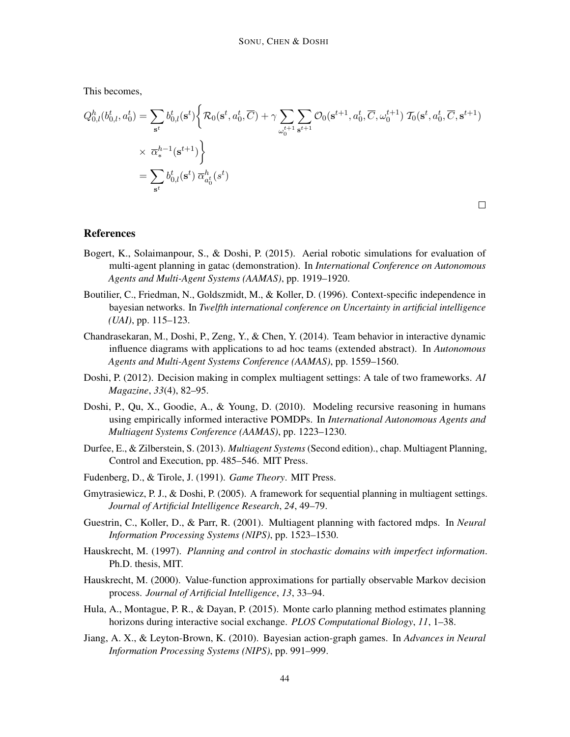This becomes,

$$
Q_{0,l}^{h}(b_{0,l}^{t}, a_{0}^{t}) = \sum_{\mathbf{s}^{t}} b_{0,l}^{t}(\mathbf{s}^{t}) \Big\{ \mathcal{R}_{0}(\mathbf{s}^{t}, a_{0}^{t}, \overline{C}) + \gamma \sum_{\omega_{0}^{t+1}} \sum_{\mathbf{s}^{t+1}} \mathcal{O}_{0}(\mathbf{s}^{t+1}, a_{0}^{t}, \overline{C}, \omega_{0}^{t+1}) \mathcal{I}_{0}(\mathbf{s}^{t}, a_{0}^{t}, \overline{C}, \mathbf{s}^{t+1}) \Big\}
$$
  

$$
\times \overline{\alpha}_{*}^{h-1}(\mathbf{s}^{t+1}) \Big\}
$$
  

$$
= \sum_{\mathbf{s}^{t}} b_{0,l}^{t}(\mathbf{s}^{t}) \overline{\alpha}_{a_{0}^{t}}^{h}(\mathbf{s}^{t})
$$

 $\Box$ 

## References

- Bogert, K., Solaimanpour, S., & Doshi, P. (2015). Aerial robotic simulations for evaluation of multi-agent planning in gatac (demonstration). In *International Conference on Autonomous Agents and Multi-Agent Systems (AAMAS)*, pp. 1919–1920.
- Boutilier, C., Friedman, N., Goldszmidt, M., & Koller, D. (1996). Context-specific independence in bayesian networks. In *Twelfth international conference on Uncertainty in artificial intelligence (UAI)*, pp. 115–123.
- Chandrasekaran, M., Doshi, P., Zeng, Y., & Chen, Y. (2014). Team behavior in interactive dynamic influence diagrams with applications to ad hoc teams (extended abstract). In *Autonomous Agents and Multi-Agent Systems Conference (AAMAS)*, pp. 1559–1560.
- Doshi, P. (2012). Decision making in complex multiagent settings: A tale of two frameworks. *AI Magazine*, *33*(4), 82–95.
- Doshi, P., Qu, X., Goodie, A., & Young, D. (2010). Modeling recursive reasoning in humans using empirically informed interactive POMDPs. In *International Autonomous Agents and Multiagent Systems Conference (AAMAS)*, pp. 1223–1230.
- Durfee, E., & Zilberstein, S. (2013). *Multiagent Systems* (Second edition)., chap. Multiagent Planning, Control and Execution, pp. 485–546. MIT Press.
- Fudenberg, D., & Tirole, J. (1991). *Game Theory*. MIT Press.
- Gmytrasiewicz, P. J., & Doshi, P. (2005). A framework for sequential planning in multiagent settings. *Journal of Artificial Intelligence Research*, *24*, 49–79.
- Guestrin, C., Koller, D., & Parr, R. (2001). Multiagent planning with factored mdps. In *Neural Information Processing Systems (NIPS)*, pp. 1523–1530.
- Hauskrecht, M. (1997). *Planning and control in stochastic domains with imperfect information*. Ph.D. thesis, MIT.
- Hauskrecht, M. (2000). Value-function approximations for partially observable Markov decision process. *Journal of Artificial Intelligence*, *13*, 33–94.
- Hula, A., Montague, P. R., & Dayan, P. (2015). Monte carlo planning method estimates planning horizons during interactive social exchange. *PLOS Computational Biology*, *11*, 1–38.
- Jiang, A. X., & Leyton-Brown, K. (2010). Bayesian action-graph games. In *Advances in Neural Information Processing Systems (NIPS)*, pp. 991–999.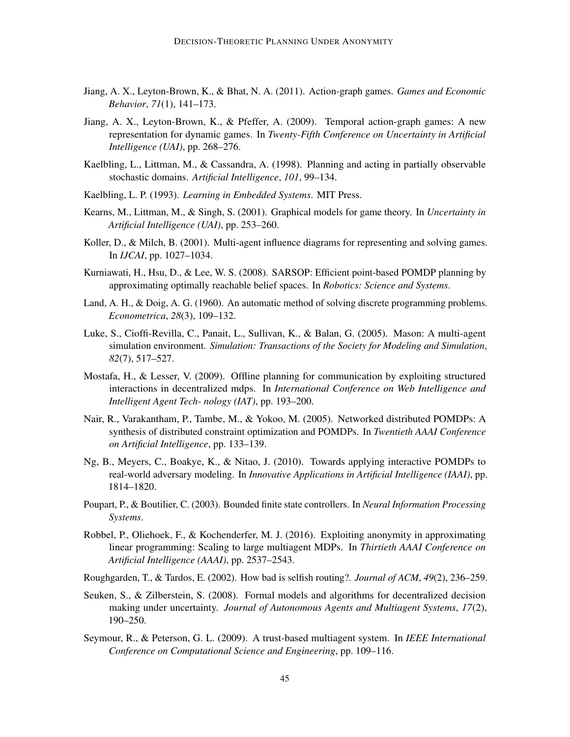- Jiang, A. X., Leyton-Brown, K., & Bhat, N. A. (2011). Action-graph games. *Games and Economic Behavior*, *71*(1), 141–173.
- Jiang, A. X., Leyton-Brown, K., & Pfeffer, A. (2009). Temporal action-graph games: A new representation for dynamic games. In *Twenty-Fifth Conference on Uncertainty in Artificial Intelligence (UAI)*, pp. 268–276.
- Kaelbling, L., Littman, M., & Cassandra, A. (1998). Planning and acting in partially observable stochastic domains. *Artificial Intelligence*, *101*, 99–134.
- Kaelbling, L. P. (1993). *Learning in Embedded Systems*. MIT Press.
- Kearns, M., Littman, M., & Singh, S. (2001). Graphical models for game theory. In *Uncertainty in Artificial Intelligence (UAI)*, pp. 253–260.
- Koller, D., & Milch, B. (2001). Multi-agent influence diagrams for representing and solving games. In *IJCAI*, pp. 1027–1034.
- Kurniawati, H., Hsu, D., & Lee, W. S. (2008). SARSOP: Efficient point-based POMDP planning by approximating optimally reachable belief spaces. In *Robotics: Science and Systems*.
- Land, A. H., & Doig, A. G. (1960). An automatic method of solving discrete programming problems. *Econometrica*, *28*(3), 109–132.
- Luke, S., Cioffi-Revilla, C., Panait, L., Sullivan, K., & Balan, G. (2005). Mason: A multi-agent simulation environment. *Simulation: Transactions of the Society for Modeling and Simulation*, *82*(7), 517–527.
- Mostafa, H., & Lesser, V. (2009). Offline planning for communication by exploiting structured interactions in decentralized mdps. In *International Conference on Web Intelligence and Intelligent Agent Tech- nology (IAT)*, pp. 193–200.
- Nair, R., Varakantham, P., Tambe, M., & Yokoo, M. (2005). Networked distributed POMDPs: A synthesis of distributed constraint optimization and POMDPs. In *Twentieth AAAI Conference on Artificial Intelligence*, pp. 133–139.
- Ng, B., Meyers, C., Boakye, K., & Nitao, J. (2010). Towards applying interactive POMDPs to real-world adversary modeling. In *Innovative Applications in Artificial Intelligence (IAAI)*, pp. 1814–1820.
- Poupart, P., & Boutilier, C. (2003). Bounded finite state controllers. In *Neural Information Processing Systems*.
- Robbel, P., Oliehoek, F., & Kochenderfer, M. J. (2016). Exploiting anonymity in approximating linear programming: Scaling to large multiagent MDPs. In *Thirtieth AAAI Conference on Artificial Intelligence (AAAI)*, pp. 2537–2543.
- Roughgarden, T., & Tardos, E. (2002). How bad is selfish routing?. *Journal of ACM*, *49*(2), 236–259.
- Seuken, S., & Zilberstein, S. (2008). Formal models and algorithms for decentralized decision making under uncertainty. *Journal of Autonomous Agents and Multiagent Systems*, *17*(2), 190–250.
- Seymour, R., & Peterson, G. L. (2009). A trust-based multiagent system. In *IEEE International Conference on Computational Science and Engineering*, pp. 109–116.